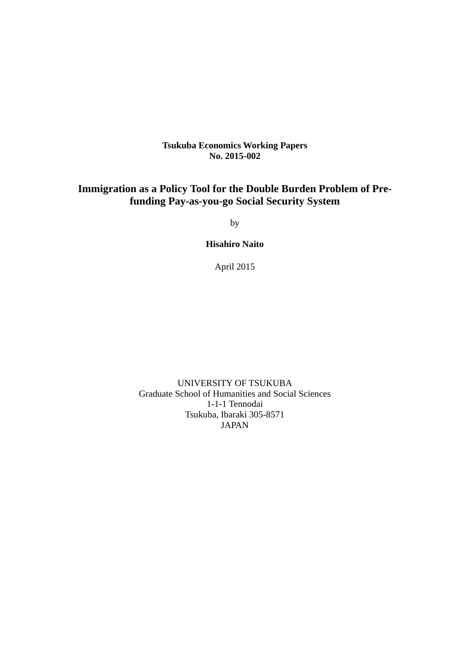# **Tsukuba Economics Working Papers No. 2015-002**

# **Immigration as a Policy Tool for the Double Burden Problem of Prefunding Pay-as-you-go Social Security System**

by

**Hisahiro Naito** 

April 2015

UNIVERSITY OF TSUKUBA Graduate School of Humanities and Social Sciences 1-1-1 Tennodai Tsukuba, Ibaraki 305-8571 JAPAN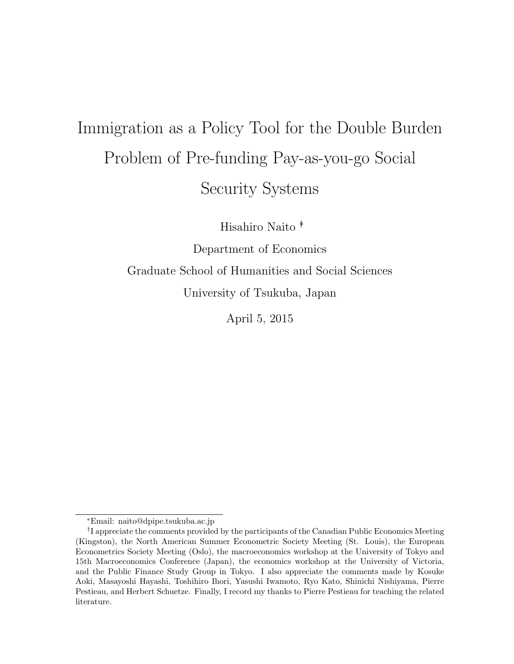# Immigration as a Policy Tool for the Double Burden Problem of Pre-funding Pay-as-you-go Social Security Systems

Hisahiro Naito ∗†

Department of Economics

Graduate School of Humanities and Social Sciences

University of Tsukuba, Japan

April 5, 2015

<sup>∗</sup>Email: naito@dpipe.tsukuba.ac.jp

<sup>&</sup>lt;sup>†</sup>I appreciate the comments provided by the participants of the Canadian Public Economics Meeting (Kingston), the North American Summer Econometric Society Meeting (St. Louis), the European Econometrics Society Meeting (Oslo), the macroeconomics workshop at the University of Tokyo and 15th Macroeconomics Conference (Japan), the economics workshop at the University of Victoria, and the Public Finance Study Group in Tokyo. I also appreciate the comments made by Kosuke Aoki, Masayoshi Hayashi, Toshihiro Ihori, Yasushi Iwamoto, Ryo Kato, Shinichi Nishiyama, Pierre Pestieau, and Herbert Schuetze. Finally, I record my thanks to Pierre Pestieau for teaching the related literature.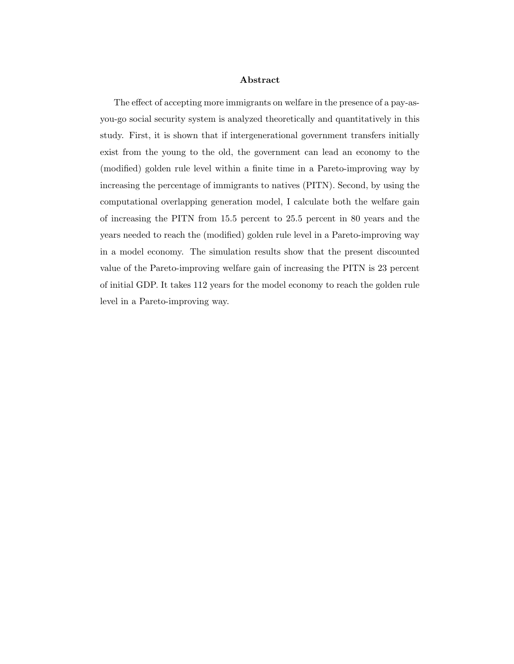#### Abstract

The effect of accepting more immigrants on welfare in the presence of a pay-asyou-go social security system is analyzed theoretically and quantitatively in this study. First, it is shown that if intergenerational government transfers initially exist from the young to the old, the government can lead an economy to the (modified) golden rule level within a finite time in a Pareto-improving way by increasing the percentage of immigrants to natives (PITN). Second, by using the computational overlapping generation model, I calculate both the welfare gain of increasing the PITN from 15.5 percent to 25.5 percent in 80 years and the years needed to reach the (modified) golden rule level in a Pareto-improving way in a model economy. The simulation results show that the present discounted value of the Pareto-improving welfare gain of increasing the PITN is 23 percent of initial GDP. It takes 112 years for the model economy to reach the golden rule level in a Pareto-improving way.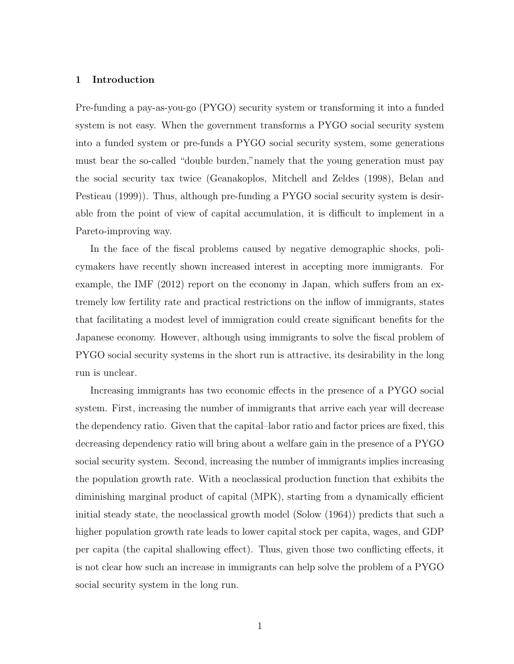## 1 Introduction

Pre-funding a pay-as-you-go (PYGO) security system or transforming it into a funded system is not easy. When the government transforms a PYGO social security system into a funded system or pre-funds a PYGO social security system, some generations must bear the so-called "double burden,"namely that the young generation must pay the social security tax twice (Geanakoplos, Mitchell and Zeldes (1998), Belan and Pestieau (1999)). Thus, although pre-funding a PYGO social security system is desirable from the point of view of capital accumulation, it is difficult to implement in a Pareto-improving way.

In the face of the fiscal problems caused by negative demographic shocks, policymakers have recently shown increased interest in accepting more immigrants. For example, the IMF (2012) report on the economy in Japan, which suffers from an extremely low fertility rate and practical restrictions on the inflow of immigrants, states that facilitating a modest level of immigration could create significant benefits for the Japanese economy. However, although using immigrants to solve the fiscal problem of PYGO social security systems in the short run is attractive, its desirability in the long run is unclear.

Increasing immigrants has two economic effects in the presence of a PYGO social system. First, increasing the number of immigrants that arrive each year will decrease the dependency ratio. Given that the capital–labor ratio and factor prices are fixed, this decreasing dependency ratio will bring about a welfare gain in the presence of a PYGO social security system. Second, increasing the number of immigrants implies increasing the population growth rate. With a neoclassical production function that exhibits the diminishing marginal product of capital (MPK), starting from a dynamically efficient initial steady state, the neoclassical growth model (Solow (1964)) predicts that such a higher population growth rate leads to lower capital stock per capita, wages, and GDP per capita (the capital shallowing effect). Thus, given those two conflicting effects, it is not clear how such an increase in immigrants can help solve the problem of a PYGO social security system in the long run.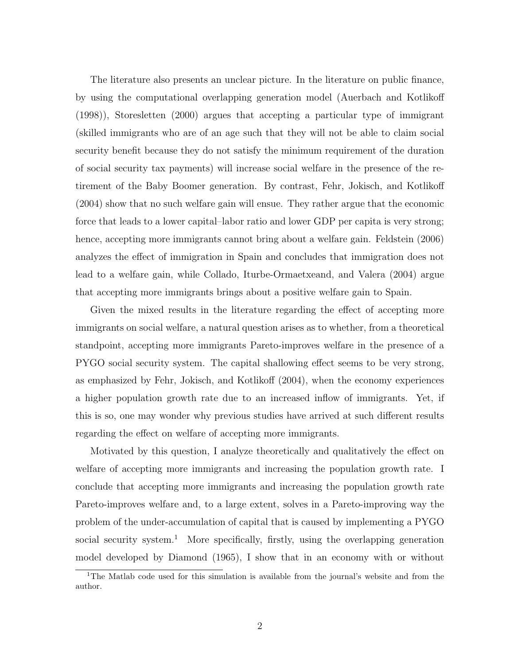The literature also presents an unclear picture. In the literature on public finance, by using the computational overlapping generation model (Auerbach and Kotlikoff (1998)), Storesletten (2000) argues that accepting a particular type of immigrant (skilled immigrants who are of an age such that they will not be able to claim social security benefit because they do not satisfy the minimum requirement of the duration of social security tax payments) will increase social welfare in the presence of the retirement of the Baby Boomer generation. By contrast, Fehr, Jokisch, and Kotlikoff (2004) show that no such welfare gain will ensue. They rather argue that the economic force that leads to a lower capital–labor ratio and lower GDP per capita is very strong; hence, accepting more immigrants cannot bring about a welfare gain. Feldstein  $(2006)$ analyzes the effect of immigration in Spain and concludes that immigration does not lead to a welfare gain, while Collado, Iturbe-Ormaetxeand, and Valera (2004) argue that accepting more immigrants brings about a positive welfare gain to Spain.

Given the mixed results in the literature regarding the effect of accepting more immigrants on social welfare, a natural question arises as to whether, from a theoretical standpoint, accepting more immigrants Pareto-improves welfare in the presence of a PYGO social security system. The capital shallowing effect seems to be very strong, as emphasized by Fehr, Jokisch, and Kotlikoff (2004), when the economy experiences a higher population growth rate due to an increased inflow of immigrants. Yet, if this is so, one may wonder why previous studies have arrived at such different results regarding the effect on welfare of accepting more immigrants.

Motivated by this question, I analyze theoretically and qualitatively the effect on welfare of accepting more immigrants and increasing the population growth rate. I conclude that accepting more immigrants and increasing the population growth rate Pareto-improves welfare and, to a large extent, solves in a Pareto-improving way the problem of the under-accumulation of capital that is caused by implementing a PYGO social security system.<sup>1</sup> More specifically, firstly, using the overlapping generation model developed by Diamond (1965), I show that in an economy with or without

<sup>&</sup>lt;sup>1</sup>The Matlab code used for this simulation is available from the journal's website and from the author.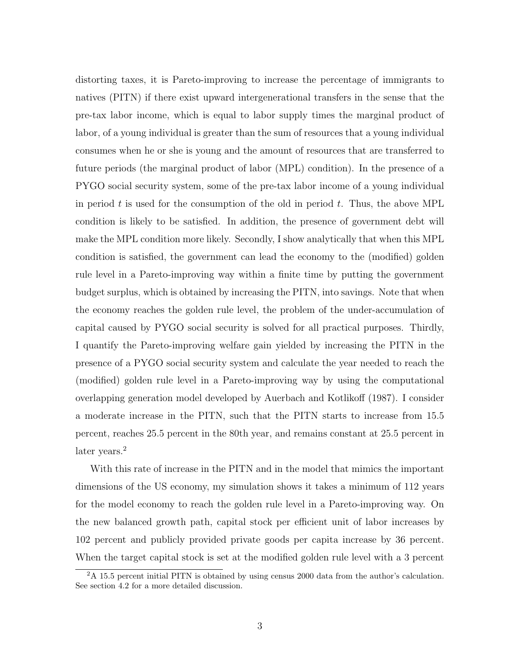distorting taxes, it is Pareto-improving to increase the percentage of immigrants to natives (PITN) if there exist upward intergenerational transfers in the sense that the pre-tax labor income, which is equal to labor supply times the marginal product of labor, of a young individual is greater than the sum of resources that a young individual consumes when he or she is young and the amount of resources that are transferred to future periods (the marginal product of labor (MPL) condition). In the presence of a PYGO social security system, some of the pre-tax labor income of a young individual in period t is used for the consumption of the old in period t. Thus, the above MPL condition is likely to be satisfied. In addition, the presence of government debt will make the MPL condition more likely. Secondly, I show analytically that when this MPL condition is satisfied, the government can lead the economy to the (modified) golden rule level in a Pareto-improving way within a finite time by putting the government budget surplus, which is obtained by increasing the PITN, into savings. Note that when the economy reaches the golden rule level, the problem of the under-accumulation of capital caused by PYGO social security is solved for all practical purposes. Thirdly, I quantify the Pareto-improving welfare gain yielded by increasing the PITN in the presence of a PYGO social security system and calculate the year needed to reach the (modified) golden rule level in a Pareto-improving way by using the computational overlapping generation model developed by Auerbach and Kotlikoff (1987). I consider a moderate increase in the PITN, such that the PITN starts to increase from 15.5 percent, reaches 25.5 percent in the 80th year, and remains constant at 25.5 percent in later years.<sup>2</sup>

With this rate of increase in the PITN and in the model that mimics the important dimensions of the US economy, my simulation shows it takes a minimum of 112 years for the model economy to reach the golden rule level in a Pareto-improving way. On the new balanced growth path, capital stock per efficient unit of labor increases by 102 percent and publicly provided private goods per capita increase by 36 percent. When the target capital stock is set at the modified golden rule level with a 3 percent

<sup>2</sup>A 15.5 percent initial PITN is obtained by using census 2000 data from the author's calculation. See section 4.2 for a more detailed discussion.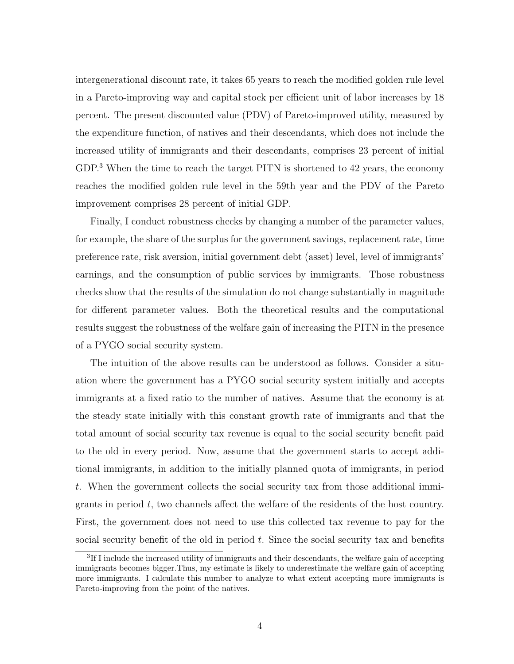intergenerational discount rate, it takes 65 years to reach the modified golden rule level in a Pareto-improving way and capital stock per efficient unit of labor increases by 18 percent. The present discounted value (PDV) of Pareto-improved utility, measured by the expenditure function, of natives and their descendants, which does not include the increased utility of immigrants and their descendants, comprises 23 percent of initial GDP.<sup>3</sup> When the time to reach the target PITN is shortened to 42 years, the economy reaches the modified golden rule level in the 59th year and the PDV of the Pareto improvement comprises 28 percent of initial GDP.

Finally, I conduct robustness checks by changing a number of the parameter values, for example, the share of the surplus for the government savings, replacement rate, time preference rate, risk aversion, initial government debt (asset) level, level of immigrants' earnings, and the consumption of public services by immigrants. Those robustness checks show that the results of the simulation do not change substantially in magnitude for different parameter values. Both the theoretical results and the computational results suggest the robustness of the welfare gain of increasing the PITN in the presence of a PYGO social security system.

The intuition of the above results can be understood as follows. Consider a situation where the government has a PYGO social security system initially and accepts immigrants at a fixed ratio to the number of natives. Assume that the economy is at the steady state initially with this constant growth rate of immigrants and that the total amount of social security tax revenue is equal to the social security benefit paid to the old in every period. Now, assume that the government starts to accept additional immigrants, in addition to the initially planned quota of immigrants, in period t. When the government collects the social security tax from those additional immigrants in period  $t$ , two channels affect the welfare of the residents of the host country. First, the government does not need to use this collected tax revenue to pay for the social security benefit of the old in period  $t$ . Since the social security tax and benefits

<sup>&</sup>lt;sup>3</sup>If I include the increased utility of immigrants and their descendants, the welfare gain of accepting immigrants becomes bigger.Thus, my estimate is likely to underestimate the welfare gain of accepting more immigrants. I calculate this number to analyze to what extent accepting more immigrants is Pareto-improving from the point of the natives.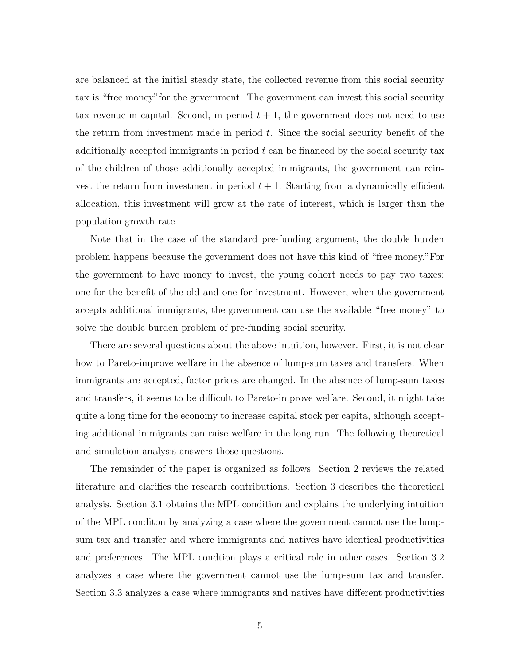are balanced at the initial steady state, the collected revenue from this social security tax is "free money"for the government. The government can invest this social security tax revenue in capital. Second, in period  $t + 1$ , the government does not need to use the return from investment made in period  $t$ . Since the social security benefit of the additionally accepted immigrants in period  $t$  can be financed by the social security tax of the children of those additionally accepted immigrants, the government can reinvest the return from investment in period  $t + 1$ . Starting from a dynamically efficient allocation, this investment will grow at the rate of interest, which is larger than the population growth rate.

Note that in the case of the standard pre-funding argument, the double burden problem happens because the government does not have this kind of "free money."For the government to have money to invest, the young cohort needs to pay two taxes: one for the benefit of the old and one for investment. However, when the government accepts additional immigrants, the government can use the available "free money" to solve the double burden problem of pre-funding social security.

There are several questions about the above intuition, however. First, it is not clear how to Pareto-improve welfare in the absence of lump-sum taxes and transfers. When immigrants are accepted, factor prices are changed. In the absence of lump-sum taxes and transfers, it seems to be difficult to Pareto-improve welfare. Second, it might take quite a long time for the economy to increase capital stock per capita, although accepting additional immigrants can raise welfare in the long run. The following theoretical and simulation analysis answers those questions.

The remainder of the paper is organized as follows. Section 2 reviews the related literature and clarifies the research contributions. Section 3 describes the theoretical analysis. Section 3.1 obtains the MPL condition and explains the underlying intuition of the MPL conditon by analyzing a case where the government cannot use the lumpsum tax and transfer and where immigrants and natives have identical productivities and preferences. The MPL condtion plays a critical role in other cases. Section 3.2 analyzes a case where the government cannot use the lump-sum tax and transfer. Section 3.3 analyzes a case where immigrants and natives have different productivities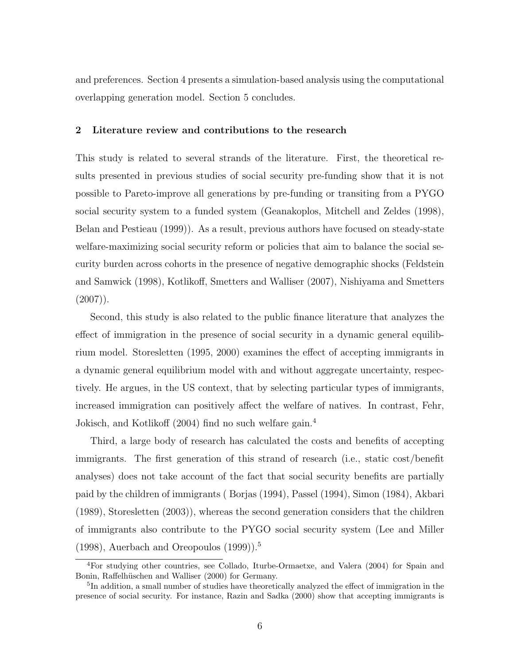and preferences. Section 4 presents a simulation-based analysis using the computational overlapping generation model. Section 5 concludes.

## 2 Literature review and contributions to the research

This study is related to several strands of the literature. First, the theoretical results presented in previous studies of social security pre-funding show that it is not possible to Pareto-improve all generations by pre-funding or transiting from a PYGO social security system to a funded system (Geanakoplos, Mitchell and Zeldes (1998), Belan and Pestieau (1999)). As a result, previous authors have focused on steady-state welfare-maximizing social security reform or policies that aim to balance the social security burden across cohorts in the presence of negative demographic shocks (Feldstein and Samwick (1998), Kotlikoff, Smetters and Walliser (2007), Nishiyama and Smetters  $(2007)$ .

Second, this study is also related to the public finance literature that analyzes the effect of immigration in the presence of social security in a dynamic general equilibrium model. Storesletten (1995, 2000) examines the effect of accepting immigrants in a dynamic general equilibrium model with and without aggregate uncertainty, respectively. He argues, in the US context, that by selecting particular types of immigrants, increased immigration can positively affect the welfare of natives. In contrast, Fehr, Jokisch, and Kotlikoff (2004) find no such welfare gain.<sup>4</sup>

Third, a large body of research has calculated the costs and benefits of accepting immigrants. The first generation of this strand of research (i.e., static cost/benefit analyses) does not take account of the fact that social security benefits are partially paid by the children of immigrants ( Borjas (1994), Passel (1994), Simon (1984), Akbari (1989), Storesletten (2003)), whereas the second generation considers that the children of immigrants also contribute to the PYGO social security system (Lee and Miller  $(1998)$ , Auerbach and Oreopoulos  $(1999)$ .<sup>5</sup>

<sup>4</sup>For studying other countries, see Collado, Iturbe-Ormaetxe, and Valera (2004) for Spain and Bonin, Raffelhüschen and Walliser (2000) for Germany.

<sup>&</sup>lt;sup>5</sup>In addition, a small number of studies have theoretically analyzed the effect of immigration in the presence of social security. For instance, Razin and Sadka (2000) show that accepting immigrants is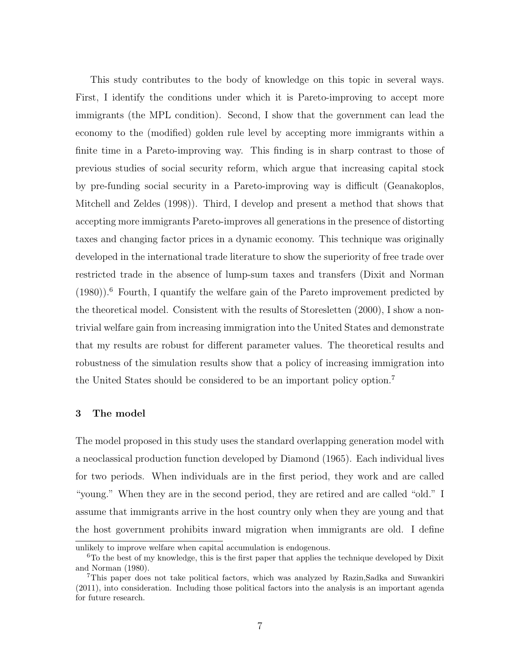This study contributes to the body of knowledge on this topic in several ways. First, I identify the conditions under which it is Pareto-improving to accept more immigrants (the MPL condition). Second, I show that the government can lead the economy to the (modified) golden rule level by accepting more immigrants within a finite time in a Pareto-improving way. This finding is in sharp contrast to those of previous studies of social security reform, which argue that increasing capital stock by pre-funding social security in a Pareto-improving way is difficult (Geanakoplos, Mitchell and Zeldes (1998)). Third, I develop and present a method that shows that accepting more immigrants Pareto-improves all generations in the presence of distorting taxes and changing factor prices in a dynamic economy. This technique was originally developed in the international trade literature to show the superiority of free trade over restricted trade in the absence of lump-sum taxes and transfers (Dixit and Norman  $(1980)$ .<sup>6</sup> Fourth, I quantify the welfare gain of the Pareto improvement predicted by the theoretical model. Consistent with the results of Storesletten (2000), I show a nontrivial welfare gain from increasing immigration into the United States and demonstrate that my results are robust for different parameter values. The theoretical results and robustness of the simulation results show that a policy of increasing immigration into the United States should be considered to be an important policy option.<sup>7</sup>

## 3 The model

The model proposed in this study uses the standard overlapping generation model with a neoclassical production function developed by Diamond (1965). Each individual lives for two periods. When individuals are in the first period, they work and are called "young." When they are in the second period, they are retired and are called "old." I assume that immigrants arrive in the host country only when they are young and that the host government prohibits inward migration when immigrants are old. I define

unlikely to improve welfare when capital accumulation is endogenous.

 $6T<sub>0</sub>$  the best of my knowledge, this is the first paper that applies the technique developed by Dixit and Norman (1980).

<sup>7</sup>This paper does not take political factors, which was analyzed by Razin,Sadka and Suwankiri (2011), into consideration. Including those political factors into the analysis is an important agenda for future research.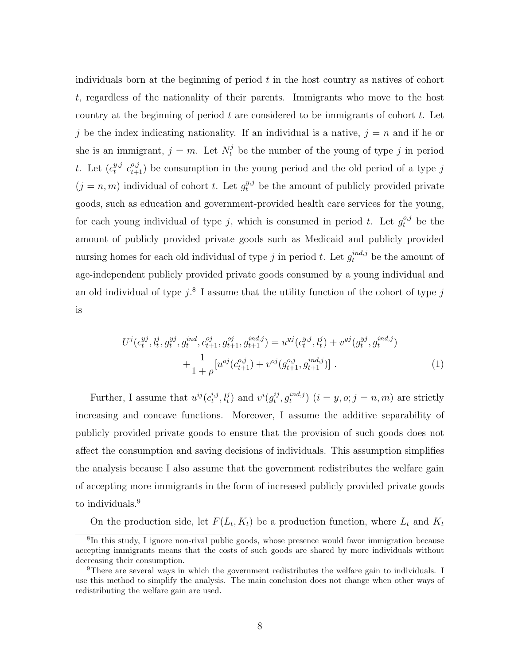individuals born at the beginning of period  $t$  in the host country as natives of cohort t, regardless of the nationality of their parents. Immigrants who move to the host country at the beginning of period  $t$  are considered to be immigrants of cohort  $t$ . Let j be the index indicating nationality. If an individual is a native,  $j = n$  and if he or she is an immigrant,  $j = m$ . Let  $N_t^j$  be the number of the young of type j in period t. Let  $(c_t^{y,j})$  $c_{t+1}^{y,j}$  c<sub>t+1</sub>) be consumption in the young period and the old period of a type j  $(j = n, m)$  individual of cohort t. Let  $g_t^{y,j}$  be the amount of publicly provided private goods, such as education and government-provided health care services for the young, for each young individual of type j, which is consumed in period t. Let  $g_t^{o,j}$  be the amount of publicly provided private goods such as Medicaid and publicly provided nursing homes for each old individual of type j in period t. Let  $g_t^{ind,j}$  be the amount of age-independent publicly provided private goods consumed by a young individual and an old individual of type  $j$ .<sup>8</sup> I assume that the utility function of the cohort of type  $j$ is

$$
U^{j}(c_{t}^{y_{j}}, l_{t}^{j}, g_{t}^{y_{j}}, g_{t}^{ind}, c_{t+1}^{oj}, g_{t+1}^{oj}, g_{t+1}^{ind,j}) = u^{y_{j}}(c_{t}^{y_{j}}, l_{t}^{j}) + v^{y_{j}}(g_{t}^{y_{j}}, g_{t}^{ind,j}) + \frac{1}{1+\rho} [u^{oj}(c_{t+1}^{oj}) + v^{oj}(g_{t+1}^{oj}, g_{t+1}^{ind,j})].
$$
\n
$$
(1)
$$

Further, I assume that  $u^{ij}(c_t^{i,j})$  $(t_t^{i,j}, l_t^j)$  and  $v^i(g_t^{ij})$  $_{t}^{ij},g_{t}^{ind,j}$  $\binom{m a, j}{t}$   $(i = y, o; j = n, m)$  are strictly increasing and concave functions. Moreover, I assume the additive separability of publicly provided private goods to ensure that the provision of such goods does not affect the consumption and saving decisions of individuals. This assumption simplifies the analysis because I also assume that the government redistributes the welfare gain of accepting more immigrants in the form of increased publicly provided private goods to individuals.<sup>9</sup>

On the production side, let  $F(L_t, K_t)$  be a production function, where  $L_t$  and  $K_t$ 

<sup>8</sup> In this study, I ignore non-rival public goods, whose presence would favor immigration because accepting immigrants means that the costs of such goods are shared by more individuals without decreasing their consumption.

<sup>9</sup>There are several ways in which the government redistributes the welfare gain to individuals. I use this method to simplify the analysis. The main conclusion does not change when other ways of redistributing the welfare gain are used.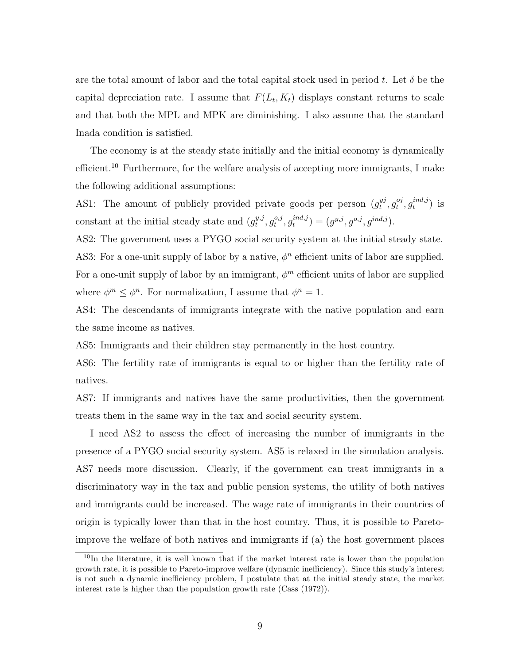are the total amount of labor and the total capital stock used in period t. Let  $\delta$  be the capital depreciation rate. I assume that  $F(L_t, K_t)$  displays constant returns to scale and that both the MPL and MPK are diminishing. I also assume that the standard Inada condition is satisfied.

The economy is at the steady state initially and the initial economy is dynamically efficient.<sup>10</sup> Furthermore, for the welfare analysis of accepting more immigrants, I make the following additional assumptions:

AS1: The amount of publicly provided private goods per person  $(g_t^{yy})$  $t^{yj}, g_t^{oj}$  $_{t}^{oj}, g^{ind,j}_{t}$  $_i^{ind,j})$  is constant at the initial steady state and  $(g_t^{y,j})$  $_{t}^{y,j},g_{t}^{o,j}$  $_{t}^{o,j},g_{t}^{ind,j}$  $(t^{ind,j}) = (g^{y,j}, g^{o,j}, g^{ind,j}).$ 

AS2: The government uses a PYGO social security system at the initial steady state. AS3: For a one-unit supply of labor by a native,  $\phi^n$  efficient units of labor are supplied. For a one-unit supply of labor by an immigrant,  $\phi^m$  efficient units of labor are supplied where  $\phi^m \leq \phi^n$ . For normalization, I assume that  $\phi^n = 1$ .

AS4: The descendants of immigrants integrate with the native population and earn the same income as natives.

AS5: Immigrants and their children stay permanently in the host country.

AS6: The fertility rate of immigrants is equal to or higher than the fertility rate of natives.

AS7: If immigrants and natives have the same productivities, then the government treats them in the same way in the tax and social security system.

I need AS2 to assess the effect of increasing the number of immigrants in the presence of a PYGO social security system. AS5 is relaxed in the simulation analysis. AS7 needs more discussion. Clearly, if the government can treat immigrants in a discriminatory way in the tax and public pension systems, the utility of both natives and immigrants could be increased. The wage rate of immigrants in their countries of origin is typically lower than that in the host country. Thus, it is possible to Paretoimprove the welfare of both natives and immigrants if (a) the host government places

 $10$ In the literature, it is well known that if the market interest rate is lower than the population growth rate, it is possible to Pareto-improve welfare (dynamic inefficiency). Since this study's interest is not such a dynamic inefficiency problem, I postulate that at the initial steady state, the market interest rate is higher than the population growth rate (Cass (1972)).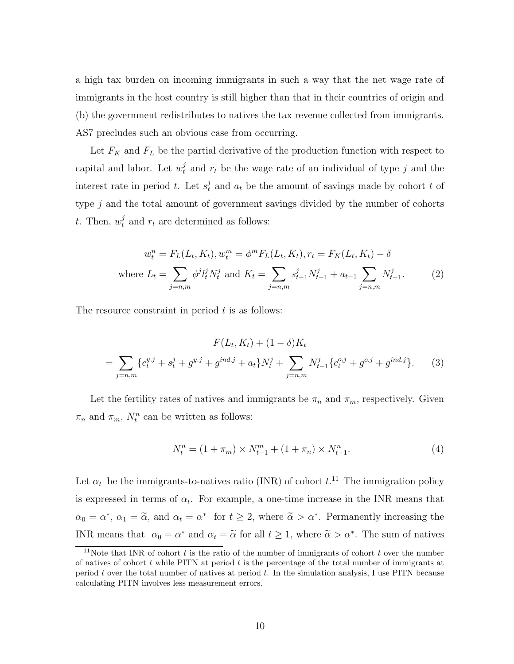a high tax burden on incoming immigrants in such a way that the net wage rate of immigrants in the host country is still higher than that in their countries of origin and (b) the government redistributes to natives the tax revenue collected from immigrants. AS7 precludes such an obvious case from occurring.

Let  $F_K$  and  $F_L$  be the partial derivative of the production function with respect to capital and labor. Let  $w_t^j$  and  $r_t$  be the wage rate of an individual of type j and the interest rate in period t. Let  $s_t^j$  and  $a_t$  be the amount of savings made by cohort t of type  $j$  and the total amount of government savings divided by the number of cohorts t. Then,  $w_t^j$  and  $r_t$  are determined as follows:

$$
w_t^n = F_L(L_t, K_t), w_t^m = \phi^m F_L(L_t, K_t), r_t = F_K(L_t, K_t) - \delta
$$
  
where 
$$
L_t = \sum_{j=n,m} \phi^j l_t^j N_t^j \text{ and } K_t = \sum_{j=n,m} s_{t-1}^j N_{t-1}^j + a_{t-1} \sum_{j=n,m} N_{t-1}^j.
$$
 (2)

The resource constraint in period  $t$  is as follows:

$$
F(L_t, K_t) + (1 - \delta)K_t
$$
  
= 
$$
\sum_{j=n,m} \{c_t^{y,j} + s_t^j + g^{y,j} + g^{ind,j} + a_t\}N_t^j + \sum_{j=n,m} N_{t-1}^j \{c_t^{o,j} + g^{o,j} + g^{ind,j}\}.
$$
 (3)

Let the fertility rates of natives and immigrants be  $\pi_n$  and  $\pi_m$ , respectively. Given  $\pi_n$  and  $\pi_m$ ,  $N_t^n$  can be written as follows:

$$
N_t^n = (1 + \pi_m) \times N_{t-1}^m + (1 + \pi_n) \times N_{t-1}^n. \tag{4}
$$

Let  $\alpha_t$  be the immigrants-to-natives ratio (INR) of cohort  $t$ <sup>11</sup>. The immigration policy is expressed in terms of  $\alpha_t$ . For example, a one-time increase in the INR means that  $\alpha_0 = \alpha^*, \ \alpha_1 = \tilde{\alpha}, \text{ and } \alpha_t = \alpha^* \text{ for } t \geq 2, \text{ where } \tilde{\alpha} > \alpha^*. \text{ Permanently increasing the }$ INR means that  $\alpha_0 = \alpha^*$  and  $\alpha_t = \tilde{\alpha}$  for all  $t \ge 1$ , where  $\tilde{\alpha} > \alpha^*$ . The sum of natives

<sup>&</sup>lt;sup>11</sup>Note that INR of cohort t is the ratio of the number of immigrants of cohort t over the number of natives of cohort  $t$  while PITN at period  $t$  is the percentage of the total number of immigrants at period t over the total number of natives at period t. In the simulation analysis, I use PITN because calculating PITN involves less measurement errors.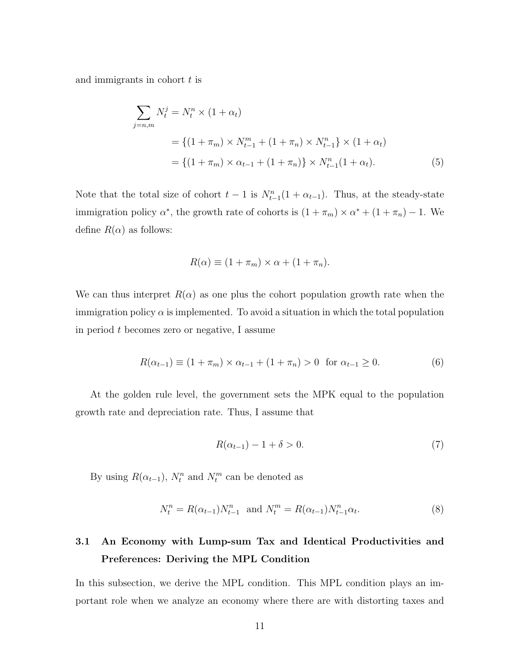and immigrants in cohort  $t$  is

$$
\sum_{j=n,m} N_t^j = N_t^n \times (1 + \alpha_t)
$$
  
= { $(1 + \pi_m) \times N_{t-1}^m + (1 + \pi_n) \times N_{t-1}^n$ } \times (1 + \alpha\_t)  
= { $(1 + \pi_m) \times \alpha_{t-1} + (1 + \pi_n)$ } \times N\_{t-1}^n (1 + \alpha\_t). (5)

Note that the total size of cohort  $t-1$  is  $N_{t-1}^n(1+\alpha_{t-1})$ . Thus, at the steady-state immigration policy  $\alpha^*$ , the growth rate of cohorts is  $(1 + \pi_m) \times \alpha^* + (1 + \pi_n) - 1$ . We define  $R(\alpha)$  as follows:

$$
R(\alpha) \equiv (1 + \pi_m) \times \alpha + (1 + \pi_n).
$$

We can thus interpret  $R(\alpha)$  as one plus the cohort population growth rate when the immigration policy  $\alpha$  is implemented. To avoid a situation in which the total population in period t becomes zero or negative, I assume

$$
R(\alpha_{t-1}) \equiv (1 + \pi_m) \times \alpha_{t-1} + (1 + \pi_n) > 0 \quad \text{for } \alpha_{t-1} \ge 0. \tag{6}
$$

At the golden rule level, the government sets the MPK equal to the population growth rate and depreciation rate. Thus, I assume that

$$
R(\alpha_{t-1}) - 1 + \delta > 0. \tag{7}
$$

By using  $R(\alpha_{t-1}), N_t^n$  and  $N_t^m$  can be denoted as

$$
N_t^n = R(\alpha_{t-1}) N_{t-1}^n \text{ and } N_t^m = R(\alpha_{t-1}) N_{t-1}^n \alpha_t. \tag{8}
$$

# 3.1 An Economy with Lump-sum Tax and Identical Productivities and Preferences: Deriving the MPL Condition

In this subsection, we derive the MPL condition. This MPL condition plays an important role when we analyze an economy where there are with distorting taxes and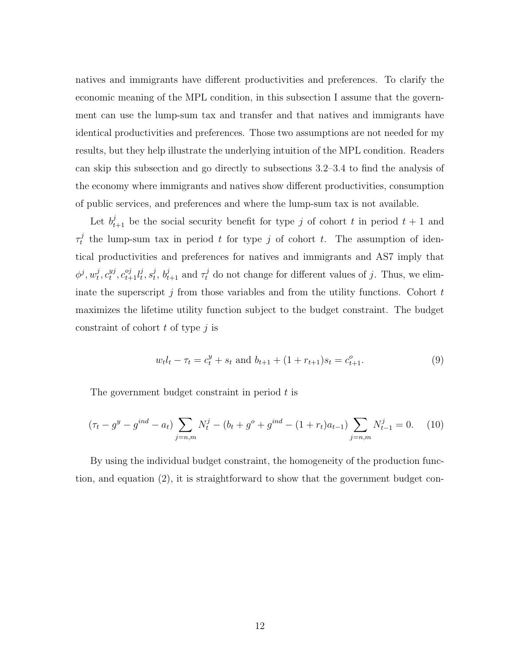natives and immigrants have different productivities and preferences. To clarify the economic meaning of the MPL condition, in this subsection I assume that the government can use the lump-sum tax and transfer and that natives and immigrants have identical productivities and preferences. Those two assumptions are not needed for my results, but they help illustrate the underlying intuition of the MPL condition. Readers can skip this subsection and go directly to subsections 3.2–3.4 to find the analysis of the economy where immigrants and natives show different productivities, consumption of public services, and preferences and where the lump-sum tax is not available.

Let  $b_{t+1}^j$  be the social security benefit for type j of cohort t in period  $t + 1$  and  $\tau^j_t$ <sup>t</sup> the lump-sum tax in period t for type j of cohort t. The assumption of identical productivities and preferences for natives and immigrants and AS7 imply that  $\phi^j,w_t^j$  $_i^j, c_t^{yj}$  $_{t}^{yj}, c_{t+1}^{oj}l_{t}^{j}$  $_i^j,s_t^j$  $t, b_{t+1}^j$  and  $\tau_t^j$  do not change for different values of j. Thus, we eliminate the superscript  $j$  from those variables and from the utility functions. Cohort  $t$ maximizes the lifetime utility function subject to the budget constraint. The budget constraint of cohort  $t$  of type  $j$  is

$$
w_t l_t - \tau_t = c_t^y + s_t \text{ and } b_{t+1} + (1 + r_{t+1})s_t = c_{t+1}^o.
$$
\n
$$
(9)
$$

The government budget constraint in period t is

$$
(\tau_t - g^y - g^{ind} - a_t) \sum_{j=n,m} N_t^j - (b_t + g^o + g^{ind} - (1 + r_t)a_{t-1}) \sum_{j=n,m} N_{t-1}^j = 0.
$$
 (10)

By using the individual budget constraint, the homogeneity of the production function, and equation (2), it is straightforward to show that the government budget con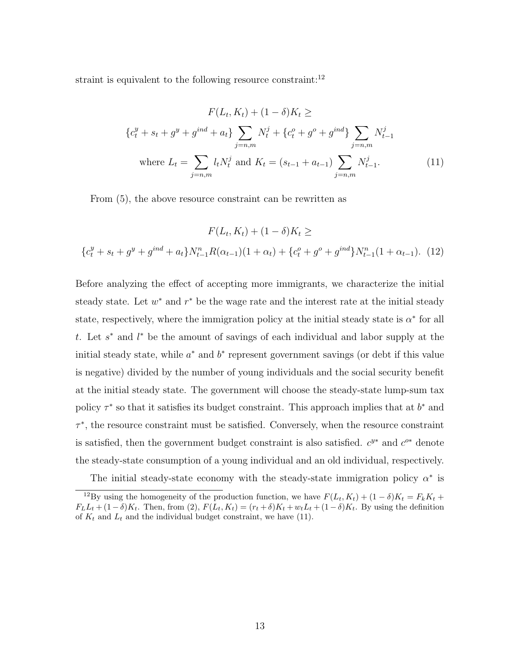straint is equivalent to the following resource constraint:  $12$ 

$$
F(L_t, K_t) + (1 - \delta)K_t \ge
$$
  
\n
$$
\{c_t^y + s_t + g^y + g^{ind} + a_t\} \sum_{j=n,m} N_t^j + \{c_t^o + g^o + g^{ind}\} \sum_{j=n,m} N_{t-1}^j
$$
  
\nwhere  $L_t = \sum_{j=n,m} l_t N_t^j$  and  $K_t = (s_{t-1} + a_{t-1}) \sum_{j=n,m} N_{t-1}^j$ . (11)

From (5), the above resource constraint can be rewritten as

$$
F(L_t, K_t) + (1 - \delta)K_t \ge
$$
  

$$
\{c_t^y + s_t + g^y + g^{ind} + a_t\}N_{t-1}^n R(\alpha_{t-1})(1 + \alpha_t) + \{c_t^o + g^{o} + g^{ind}\}N_{t-1}^n (1 + \alpha_{t-1}).
$$
 (12)

Before analyzing the effect of accepting more immigrants, we characterize the initial steady state. Let  $w^*$  and  $r^*$  be the wage rate and the interest rate at the initial steady state, respectively, where the immigration policy at the initial steady state is  $\alpha^*$  for all t. Let  $s^*$  and  $l^*$  be the amount of savings of each individual and labor supply at the initial steady state, while  $a^*$  and  $b^*$  represent government savings (or debt if this value is negative) divided by the number of young individuals and the social security benefit at the initial steady state. The government will choose the steady-state lump-sum tax policy  $\tau^*$  so that it satisfies its budget constraint. This approach implies that at  $b^*$  and  $\tau^*$ , the resource constraint must be satisfied. Conversely, when the resource constraint is satisfied, then the government budget constraint is also satisfied.  $c^{y*}$  and  $c^{o*}$  denote the steady-state consumption of a young individual and an old individual, respectively.

The initial steady-state economy with the steady-state immigration policy  $\alpha^*$  is

<sup>&</sup>lt;sup>12</sup>By using the homogeneity of the production function, we have  $F(L_t, K_t) + (1 - \delta)K_t = F_kK_t +$  $F_L L_t + (1 - \delta)K_t$ . Then, from (2),  $F(L_t, K_t) = (r_t + \delta)K_t + w_t L_t + (1 - \delta)K_t$ . By using the definition of  $K_t$  and  $L_t$  and the individual budget constraint, we have (11).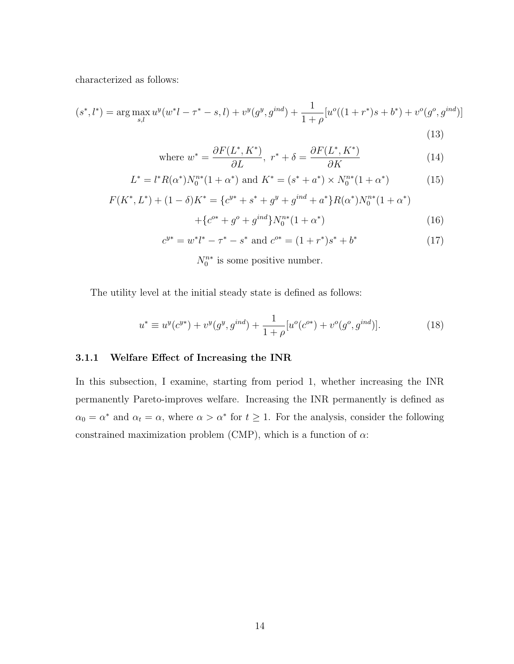characterized as follows:

$$
(s^*, l^*) = \arg\max_{s,l} u^y(w^*l - \tau^* - s, l) + v^y(g^y, g^{ind}) + \frac{1}{1+\rho} [u^o((1+r^*)s + b^*) + v^o(g^o, g^{ind})]
$$
\n(13)

where 
$$
w^* = \frac{\partial F(L^*, K^*)}{\partial L}, r^* + \delta = \frac{\partial F(L^*, K^*)}{\partial K}
$$
 (14)

$$
L^* = l^* R(\alpha^*) N_0^{n*} (1 + \alpha^*) \text{ and } K^* = (s^* + a^*) \times N_0^{n*} (1 + \alpha^*)
$$
 (15)

$$
F(K^*, L^*) + (1 - \delta)K^* = \{c^{y*} + s^* + g^y + g^{ind} + a^*\}R(\alpha^*)N_0^{n*}(1 + \alpha^*)
$$

$$
+ \{c^{o*} + g^o + g^{ind}\}N_0^{n*}(1 + \alpha^*)
$$
(16)

$$
c^{y*} = w^*l^* - \tau^* - s^* \text{ and } c^{o*} = (1 + r^*)s^* + b^* \tag{17}
$$

 $N_0^{n*}$  is some positive number.

The utility level at the initial steady state is defined as follows:

$$
u^* \equiv u^y(c^{y*}) + v^y(g^y, g^{ind}) + \frac{1}{1+\rho} [u^o(c^{o*}) + v^o(g^o, g^{ind})].
$$
\n(18)

## 3.1.1 Welfare Effect of Increasing the INR

In this subsection, I examine, starting from period 1, whether increasing the INR permanently Pareto-improves welfare. Increasing the INR permanently is defined as  $\alpha_0 = \alpha^*$  and  $\alpha_t = \alpha$ , where  $\alpha > \alpha^*$  for  $t \geq 1$ . For the analysis, consider the following constrained maximization problem (CMP), which is a function of  $\alpha$ :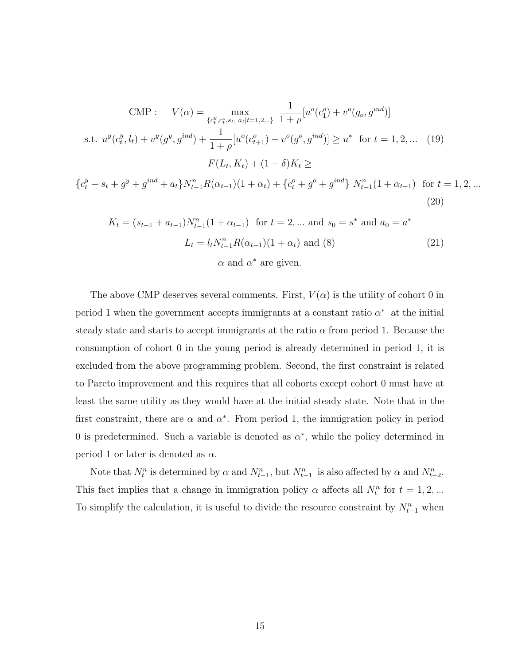$$
\text{CMP}: \quad V(\alpha) = \max_{\{c_t^y, c_t^o, s_t, a_t | t=1, 2, \ldots\}} \frac{1}{1+\rho} [u^o(c_1^o) + v^o(g_o, g^{ind})]
$$
\n
$$
\text{s.t. } u^y(c_t^y, l_t) + v^y(g^y, g^{ind}) + \frac{1}{1+\rho} [u^o(c_{t+1}^o) + v^o(g^o, g^{ind})] \ge u^* \quad \text{for } t = 1, 2, \ldots \quad (19)
$$
\n
$$
F(L_t, K_t) + (1-\delta)K_t \ge
$$
\n
$$
\{c_t^y + s_t + g^y + g^{ind} + a_t\} N_{t-1}^n R(\alpha_{t-1}) (1+\alpha_t) + \{c_t^o + g^o + g^{ind}\} N_{t-1}^n (1+\alpha_{t-1}) \quad \text{for } t = 1, 2, \ldots
$$

$$
K_t = (s_{t-1} + a_{t-1})N_{t-1}^n (1 + \alpha_{t-1}) \text{ for } t = 2, \dots \text{ and } s_0 = s^* \text{ and } a_0 = a^*
$$
  

$$
L_t = l_t N_{t-1}^n R(\alpha_{t-1})(1 + \alpha_t) \text{ and } (8)
$$
  

$$
\alpha \text{ and } \alpha^* \text{ are given.}
$$
 (21)

(20)

The above CMP deserves several comments. First,  $V(\alpha)$  is the utility of cohort 0 in period 1 when the government accepts immigrants at a constant ratio  $\alpha^*$  at the initial steady state and starts to accept immigrants at the ratio  $\alpha$  from period 1. Because the consumption of cohort 0 in the young period is already determined in period 1, it is excluded from the above programming problem. Second, the first constraint is related to Pareto improvement and this requires that all cohorts except cohort 0 must have at least the same utility as they would have at the initial steady state. Note that in the first constraint, there are  $\alpha$  and  $\alpha^*$ . From period 1, the immigration policy in period 0 is predetermined. Such a variable is denoted as  $\alpha^*$ , while the policy determined in period 1 or later is denoted as  $\alpha$ .

Note that  $N_t^n$  is determined by  $\alpha$  and  $N_{t-1}^n$ , but  $N_{t-1}^n$  is also affected by  $\alpha$  and  $N_{t-2}^n$ . This fact implies that a change in immigration policy  $\alpha$  affects all  $N_t^n$  for  $t = 1, 2, ...$ To simplify the calculation, it is useful to divide the resource constraint by  $N_{t-1}^n$  when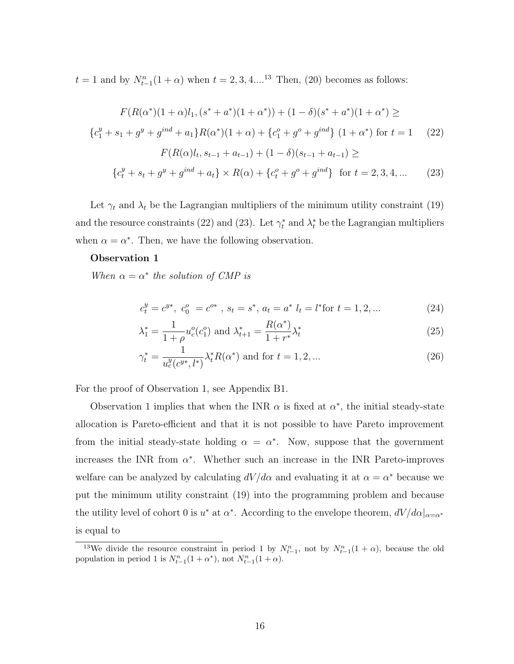$t = 1$  and by  $N_{t-1}^n(1+\alpha)$  when  $t = 2, 3, 4....^{13}$  Then, (20) becomes as follows:

$$
F(R(\alpha^*)(1+\alpha)l_1, (s^* + a^*)(1+\alpha^*)) + (1-\delta)(s^* + a^*)(1+\alpha^*) \ge
$$
  

$$
\{c_1^y + s_1 + g^y + g^{ind} + a_1\}R(\alpha^*)(1+\alpha) + \{c_1^o + g^{o} + g^{ind}\} (1+\alpha^*) \text{ for } t = 1 \quad (22)
$$
  

$$
F(R(\alpha)l_t, s_{t-1} + a_{t-1}) + (1-\delta)(s_{t-1} + a_{t-1}) \ge
$$
  

$$
\{c_t^y + s_t + g^y + g^{ind} + a_t\} \times R(\alpha) + \{c_t^o + g^o + g^{ind}\} \text{ for } t = 2, 3, 4, ... \quad (23)
$$

Let  $\gamma_t$  and  $\lambda_t$  be the Lagrangian multipliers of the minimum utility constraint (19) and the resource constraints (22) and (23). Let  $\gamma_t^*$  and  $\lambda_t^*$  be the Lagrangian multipliers when  $\alpha = \alpha^*$ . Then, we have the following observation.

## Observation 1

When  $\alpha = \alpha^*$  the solution of CMP is

$$
c_t^y = c^{y*}, \ c_0^o = c^{o*}, \ s_t = s^*, \ a_t = a^* \ l_t = l^* \text{for } t = 1, 2, \dots
$$
 (24)

$$
\lambda_1^* = \frac{1}{1+\rho} u_c^o(c_1^o) \text{ and } \lambda_{t+1}^* = \frac{R(\alpha^*)}{1+r^*} \lambda_t^*
$$
\n(25)

$$
\gamma_t^* = \frac{1}{u_c^y(c^{y*}, l^*)} \lambda_t^* R(\alpha^*) \text{ and for } t = 1, 2, \dots
$$
 (26)

For the proof of Observation 1, see Appendix B1.

Observation 1 implies that when the INR  $\alpha$  is fixed at  $\alpha^*$ , the initial steady-state allocation is Pareto-efficient and that it is not possible to have Pareto improvement from the initial steady-state holding  $\alpha = \alpha^*$ . Now, suppose that the government increases the INR from  $\alpha^*$ . Whether such an increase in the INR Pareto-improves welfare can be analyzed by calculating  $dV/d\alpha$  and evaluating it at  $\alpha = \alpha^*$  because we put the minimum utility constraint (19) into the programming problem and because the utility level of cohort 0 is  $u^*$  at  $\alpha^*$ . According to the envelope theorem,  $dV/d\alpha|_{\alpha=\alpha^*}$ is equal to

<sup>&</sup>lt;sup>13</sup>We divide the resource constraint in period 1 by  $N_{t-1}^n$ , not by  $N_{t-1}^n(1+\alpha)$ , because the old population in period 1 is  $N_{t-1}^n(1+\alpha^*)$ , not  $N_{t-1}^n(1+\alpha)$ .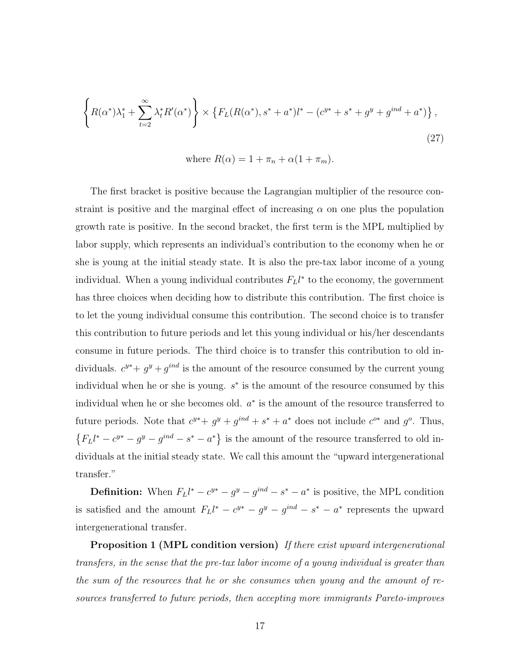$$
\left\{ R(\alpha^*) \lambda_1^* + \sum_{t=2}^{\infty} \lambda_t^* R'(\alpha^*) \right\} \times \left\{ F_L(R(\alpha^*), s^* + a^*) l^* - (c^{y*} + s^* + g^y + g^{ind} + a^*) \right\},
$$
\n(27)

\nwhere  $R(\alpha) = 1 + \pi_n + \alpha(1 + \pi_m)$ .

The first bracket is positive because the Lagrangian multiplier of the resource constraint is positive and the marginal effect of increasing  $\alpha$  on one plus the population growth rate is positive. In the second bracket, the first term is the MPL multiplied by labor supply, which represents an individual's contribution to the economy when he or she is young at the initial steady state. It is also the pre-tax labor income of a young individual. When a young individual contributes  $F_L l^*$  to the economy, the government has three choices when deciding how to distribute this contribution. The first choice is to let the young individual consume this contribution. The second choice is to transfer this contribution to future periods and let this young individual or his/her descendants consume in future periods. The third choice is to transfer this contribution to old individuals.  $c^{y*} + g^{y} + g^{ind}$  is the amount of the resource consumed by the current young individual when he or she is young.  $s^*$  is the amount of the resource consumed by this individual when he or she becomes old.  $a^*$  is the amount of the resource transferred to future periods. Note that  $c^{y*} + g^{y} + g^{ind} + s^* + a^*$  does not include  $c^{o*}$  and  $g^o$ . Thus,  ${F_Ll^* - c^{y*} - g^y - g^{ind} - s^* - a^*}$  is the amount of the resource transferred to old individuals at the initial steady state. We call this amount the "upward intergenerational transfer."

**Definition:** When  $F_L l^* - c^{y*} - g^y - g^{ind} - s^* - a^*$  is positive, the MPL condition is satisfied and the amount  $F_L l^* - c^{y*} - g^y - g^{ind} - s^* - a^*$  represents the upward intergenerational transfer.

Proposition 1 (MPL condition version) If there exist upward intergenerational transfers, in the sense that the pre-tax labor income of a young individual is greater than the sum of the resources that he or she consumes when young and the amount of resources transferred to future periods, then accepting more immigrants Pareto-improves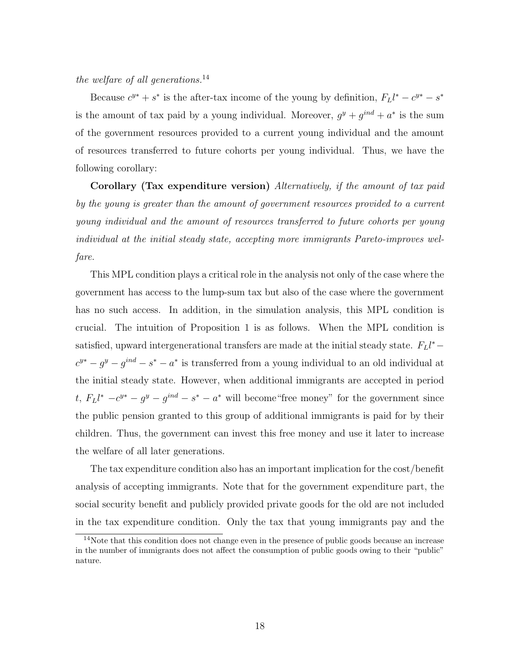the welfare of all generations.<sup>14</sup>

Because  $c^{y*} + s^*$  is the after-tax income of the young by definition,  $F_L l^* - c^{y*} - s^*$ is the amount of tax paid by a young individual. Moreover,  $g^y + g^{ind} + a^*$  is the sum of the government resources provided to a current young individual and the amount of resources transferred to future cohorts per young individual. Thus, we have the following corollary:

Corollary (Tax expenditure version) Alternatively, if the amount of tax paid by the young is greater than the amount of government resources provided to a current young individual and the amount of resources transferred to future cohorts per young individual at the initial steady state, accepting more immigrants Pareto-improves welfare.

This MPL condition plays a critical role in the analysis not only of the case where the government has access to the lump-sum tax but also of the case where the government has no such access. In addition, in the simulation analysis, this MPL condition is crucial. The intuition of Proposition 1 is as follows. When the MPL condition is satisfied, upward intergenerational transfers are made at the initial steady state.  $F_L l^*$  –  $c^{y*} - g^{y} - g^{ind} - s^* - a^*$  is transferred from a young individual to an old individual at the initial steady state. However, when additional immigrants are accepted in period t,  $F_L l^* - c^{y*} - g^y - g^{ind} - s^* - a^*$  will become "free money" for the government since the public pension granted to this group of additional immigrants is paid for by their children. Thus, the government can invest this free money and use it later to increase the welfare of all later generations.

The tax expenditure condition also has an important implication for the cost/benefit analysis of accepting immigrants. Note that for the government expenditure part, the social security benefit and publicly provided private goods for the old are not included in the tax expenditure condition. Only the tax that young immigrants pay and the

<sup>&</sup>lt;sup>14</sup>Note that this condition does not change even in the presence of public goods because an increase in the number of immigrants does not affect the consumption of public goods owing to their "public" nature.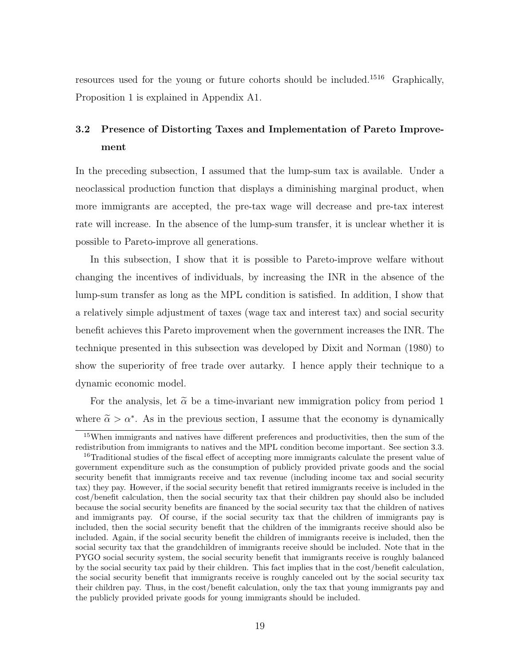resources used for the young or future cohorts should be included.<sup>1516</sup> Graphically, Proposition 1 is explained in Appendix A1.

# 3.2 Presence of Distorting Taxes and Implementation of Pareto Improvement

In the preceding subsection, I assumed that the lump-sum tax is available. Under a neoclassical production function that displays a diminishing marginal product, when more immigrants are accepted, the pre-tax wage will decrease and pre-tax interest rate will increase. In the absence of the lump-sum transfer, it is unclear whether it is possible to Pareto-improve all generations.

In this subsection, I show that it is possible to Pareto-improve welfare without changing the incentives of individuals, by increasing the INR in the absence of the lump-sum transfer as long as the MPL condition is satisfied. In addition, I show that a relatively simple adjustment of taxes (wage tax and interest tax) and social security benefit achieves this Pareto improvement when the government increases the INR. The technique presented in this subsection was developed by Dixit and Norman (1980) to show the superiority of free trade over autarky. I hence apply their technique to a dynamic economic model.

For the analysis, let  $\tilde{\alpha}$  be a time-invariant new immigration policy from period 1 where  $\tilde{\alpha} > \alpha^*$ . As in the previous section, I assume that the economy is dynamically

<sup>&</sup>lt;sup>15</sup>When immigrants and natives have different preferences and productivities, then the sum of the redistribution from immigrants to natives and the MPL condition become important. See section 3.3. <sup>16</sup>Traditional studies of the fiscal effect of accepting more immigrants calculate the present value of government expenditure such as the consumption of publicly provided private goods and the social security benefit that immigrants receive and tax revenue (including income tax and social security tax) they pay. However, if the social security benefit that retired immigrants receive is included in the cost/benefit calculation, then the social security tax that their children pay should also be included because the social security benefits are financed by the social security tax that the children of natives and immigrants pay. Of course, if the social security tax that the children of immigrants pay is included, then the social security benefit that the children of the immigrants receive should also be included. Again, if the social security benefit the children of immigrants receive is included, then the social security tax that the grandchildren of immigrants receive should be included. Note that in the PYGO social security system, the social security benefit that immigrants receive is roughly balanced by the social security tax paid by their children. This fact implies that in the cost/benefit calculation, the social security benefit that immigrants receive is roughly canceled out by the social security tax their children pay. Thus, in the cost/benefit calculation, only the tax that young immigrants pay and the publicly provided private goods for young immigrants should be included.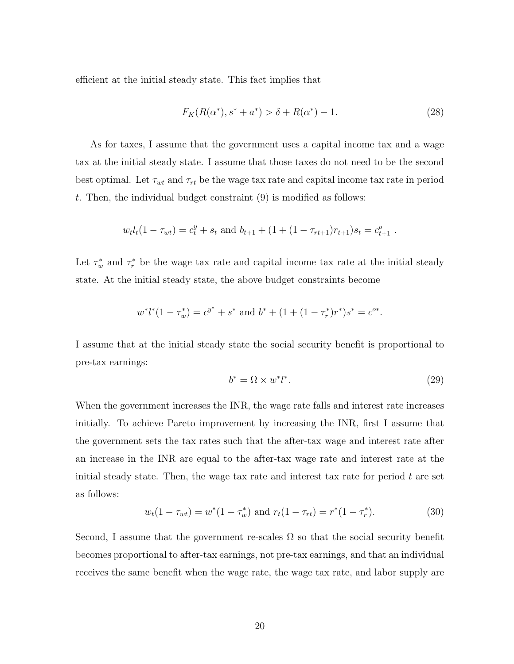efficient at the initial steady state. This fact implies that

$$
F_K(R(\alpha^*), s^* + a^*) > \delta + R(\alpha^*) - 1.
$$
\n(28)

As for taxes, I assume that the government uses a capital income tax and a wage tax at the initial steady state. I assume that those taxes do not need to be the second best optimal. Let  $\tau_{wt}$  and  $\tau_{rt}$  be the wage tax rate and capital income tax rate in period t. Then, the individual budget constraint  $(9)$  is modified as follows:

$$
w_t l_t (1 - \tau_{wt}) = c_t^y + s_t
$$
 and  $b_{t+1} + (1 + (1 - \tau_{rt+1})r_{t+1})s_t = c_{t+1}^o$ .

Let  $\tau_w^*$  and  $\tau_r^*$  be the wage tax rate and capital income tax rate at the initial steady state. At the initial steady state, the above budget constraints become

$$
w^*l^*(1 - \tau_w^*) = c^{y^*} + s^*
$$
 and  $b^* + (1 + (1 - \tau_r^*)r^*)s^* = c^{o*}$ .

I assume that at the initial steady state the social security benefit is proportional to pre-tax earnings:

$$
b^* = \Omega \times w^* l^*.
$$
\n<sup>(29)</sup>

When the government increases the INR, the wage rate falls and interest rate increases initially. To achieve Pareto improvement by increasing the INR, first I assume that the government sets the tax rates such that the after-tax wage and interest rate after an increase in the INR are equal to the after-tax wage rate and interest rate at the initial steady state. Then, the wage tax rate and interest tax rate for period  $t$  are set as follows:

$$
w_t(1 - \tau_{wt}) = w^*(1 - \tau_w^*) \text{ and } r_t(1 - \tau_{rt}) = r^*(1 - \tau_r^*).
$$
 (30)

Second, I assume that the government re-scales  $\Omega$  so that the social security benefit becomes proportional to after-tax earnings, not pre-tax earnings, and that an individual receives the same benefit when the wage rate, the wage tax rate, and labor supply are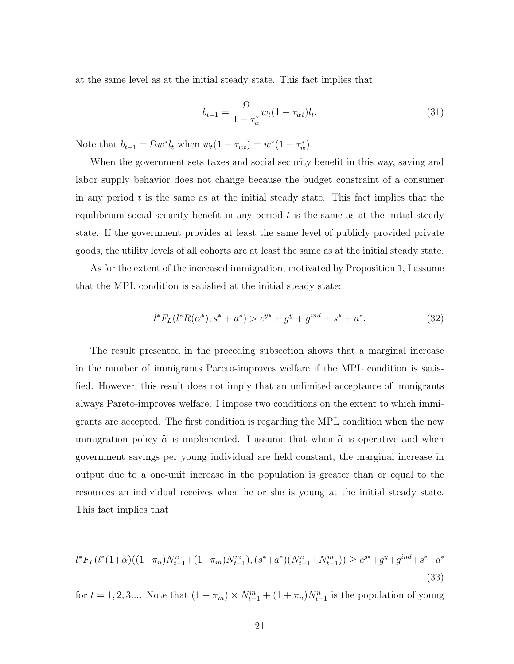at the same level as at the initial steady state. This fact implies that

$$
b_{t+1} = \frac{\Omega}{1 - \tau_w^*} w_t (1 - \tau_{wt}) l_t.
$$
\n(31)

Note that  $b_{t+1} = \Omega w^* l_t$  when  $w_t(1 - \tau_{wt}) = w^*(1 - \tau_w^*).$ 

When the government sets taxes and social security benefit in this way, saving and labor supply behavior does not change because the budget constraint of a consumer in any period  $t$  is the same as at the initial steady state. This fact implies that the equilibrium social security benefit in any period  $t$  is the same as at the initial steady state. If the government provides at least the same level of publicly provided private goods, the utility levels of all cohorts are at least the same as at the initial steady state.

As for the extent of the increased immigration, motivated by Proposition 1, I assume that the MPL condition is satisfied at the initial steady state:

$$
l^*F_L(l^*R(\alpha^*), s^* + a^*) > c^{y*} + g^y + g^{ind} + s^* + a^*.
$$
 (32)

The result presented in the preceding subsection shows that a marginal increase in the number of immigrants Pareto-improves welfare if the MPL condition is satisfied. However, this result does not imply that an unlimited acceptance of immigrants always Pareto-improves welfare. I impose two conditions on the extent to which immigrants are accepted. The first condition is regarding the MPL condition when the new immigration policy  $\tilde{\alpha}$  is implemented. I assume that when  $\tilde{\alpha}$  is operative and when government savings per young individual are held constant, the marginal increase in output due to a one-unit increase in the population is greater than or equal to the resources an individual receives when he or she is young at the initial steady state. This fact implies that

$$
l^*F_L(l^*(1+\widetilde{\alpha})((1+\pi_n)N_{t-1}^n+(1+\pi_m)N_{t-1}^m), (s^*+a^*)(N_{t-1}^n+N_{t-1}^m)) \ge c^{y*}+g^y+g^{ind}+s^*+a^*
$$
\n(33)

for  $t = 1, 2, 3...$  Note that  $(1 + \pi_m) \times N_{t-1}^m + (1 + \pi_n)N_{t-1}^n$  is the population of young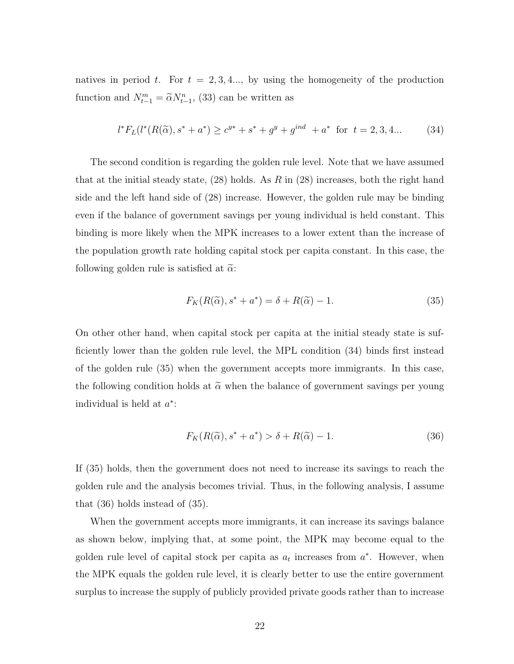natives in period t. For  $t = 2, 3, 4, \ldots$ , by using the homogeneity of the production function and  $N_{t-1}^m = \tilde{\alpha} N_{t-1}^n$ , (33) can be written as

$$
l^*F_L(l^*(R(\widetilde{\alpha}), s^* + a^*) \ge c^{y*} + s^* + g^y + g^{ind} + a^* \text{ for } t = 2, 3, 4... \tag{34}
$$

The second condition is regarding the golden rule level. Note that we have assumed that at the initial steady state,  $(28)$  holds. As R in  $(28)$  increases, both the right hand side and the left hand side of (28) increase. However, the golden rule may be binding even if the balance of government savings per young individual is held constant. This binding is more likely when the MPK increases to a lower extent than the increase of the population growth rate holding capital stock per capita constant. In this case, the following golden rule is satisfied at  $\tilde{\alpha}$ .

$$
F_K(R(\widetilde{\alpha}), s^* + a^*) = \delta + R(\widetilde{\alpha}) - 1.
$$
\n(35)

On other other hand, when capital stock per capita at the initial steady state is sufficiently lower than the golden rule level, the MPL condition (34) binds first instead of the golden rule (35) when the government accepts more immigrants. In this case, the following condition holds at  $\tilde{\alpha}$  when the balance of government savings per young individual is held at  $a^*$ :

$$
F_K(R(\widetilde{\alpha}), s^* + a^*) > \delta + R(\widetilde{\alpha}) - 1.
$$
\n(36)

If (35) holds, then the government does not need to increase its savings to reach the golden rule and the analysis becomes trivial. Thus, in the following analysis, I assume that (36) holds instead of (35).

When the government accepts more immigrants, it can increase its savings balance as shown below, implying that, at some point, the MPK may become equal to the golden rule level of capital stock per capita as  $a_t$  increases from  $a^*$ . However, when the MPK equals the golden rule level, it is clearly better to use the entire government surplus to increase the supply of publicly provided private goods rather than to increase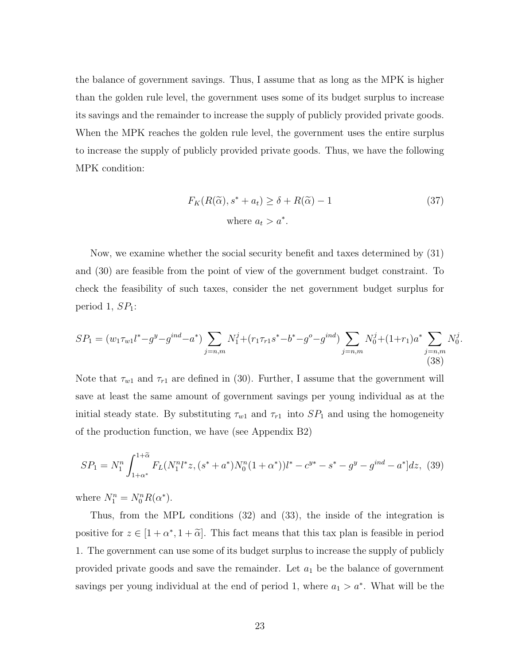the balance of government savings. Thus, I assume that as long as the MPK is higher than the golden rule level, the government uses some of its budget surplus to increase its savings and the remainder to increase the supply of publicly provided private goods. When the MPK reaches the golden rule level, the government uses the entire surplus to increase the supply of publicly provided private goods. Thus, we have the following MPK condition:

$$
F_K(R(\widetilde{\alpha}), s^* + a_t) \ge \delta + R(\widetilde{\alpha}) - 1
$$
  
where  $a_t > a^*$ . (37)

Now, we examine whether the social security benefit and taxes determined by (31) and (30) are feasible from the point of view of the government budget constraint. To check the feasibility of such taxes, consider the net government budget surplus for period 1,  $SP<sub>1</sub>$ :

$$
SP_1 = (w_1 \tau_{w1} l^* - g^y - g^{ind} - a^*) \sum_{j=n,m} N_1^j + (r_1 \tau_{r1} s^* - b^* - g^o - g^{ind}) \sum_{j=n,m} N_0^j + (1+r_1) a^* \sum_{j=n,m} N_0^j.
$$
\n(38)

Note that  $\tau_{w1}$  and  $\tau_{r1}$  are defined in (30). Further, I assume that the government will save at least the same amount of government savings per young individual as at the initial steady state. By substituting  $\tau_{w1}$  and  $\tau_{r1}$  into  $SP_1$  and using the homogeneity of the production function, we have (see Appendix B2)

$$
SP_1 = N_1^n \int_{1+\alpha^*}^{1+\tilde{\alpha}} F_L(N_1^n l^* z, (s^* + a^*) N_0^n (1+\alpha^*)) l^* - c^{y*} - s^* - g^y - g^{ind} - a^* ] dz, \tag{39}
$$

where  $N_1^n = N_0^n R(\alpha^*).$ 

Thus, from the MPL conditions (32) and (33), the inside of the integration is positive for  $z \in [1 + \alpha^*, 1 + \tilde{\alpha}]$ . This fact means that this tax plan is feasible in period 1. The government can use some of its budget surplus to increase the supply of publicly provided private goods and save the remainder. Let  $a_1$  be the balance of government savings per young individual at the end of period 1, where  $a_1 > a^*$ . What will be the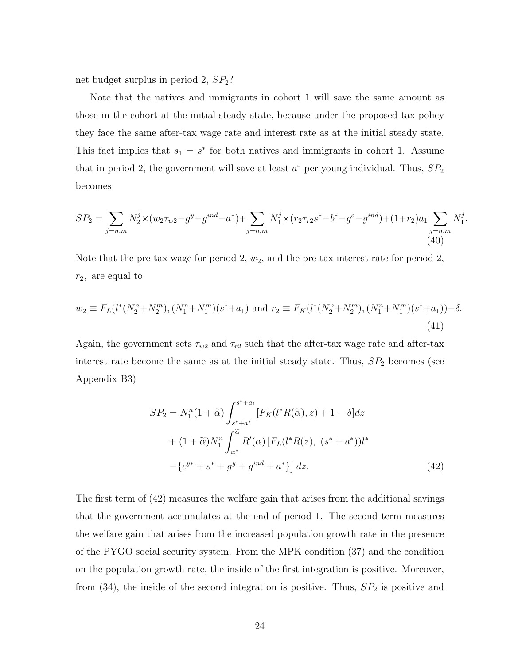net budget surplus in period 2, SP2?

Note that the natives and immigrants in cohort 1 will save the same amount as those in the cohort at the initial steady state, because under the proposed tax policy they face the same after-tax wage rate and interest rate as at the initial steady state. This fact implies that  $s_1 = s^*$  for both natives and immigrants in cohort 1. Assume that in period 2, the government will save at least  $a^*$  per young individual. Thus,  $SP_2$ becomes

$$
SP_2 = \sum_{j=n,m} N_2^j \times (w_2 \tau_{w2} - g^y - g^{ind} - a^*) + \sum_{j=n,m} N_1^j \times (r_2 \tau_{r2} s^* - b^* - g^o - g^{ind}) + (1+r_2)a_1 \sum_{j=n,m} N_1^j.
$$
\n(40)

Note that the pre-tax wage for period 2,  $w_2$ , and the pre-tax interest rate for period 2,  $r_2$ , are equal to

$$
w_2 \equiv F_L(l^*(N_2^n + N_2^m), (N_1^n + N_1^m)(s^* + a_1) \text{ and } r_2 \equiv F_K(l^*(N_2^n + N_2^m), (N_1^n + N_1^m)(s^* + a_1)) - \delta.
$$
\n(41)

Again, the government sets  $\tau_{w2}$  and  $\tau_{r2}$  such that the after-tax wage rate and after-tax interest rate become the same as at the initial steady state. Thus,  $SP<sub>2</sub>$  becomes (see Appendix B3)

$$
SP_2 = N_1^n(1+\tilde{\alpha}) \int_{s^*+a^*}^{s^*+a_1} [F_K(l^*R(\tilde{\alpha}), z) + 1 - \delta] dz
$$
  
+ 
$$
(1+\tilde{\alpha})N_1^n \int_{\alpha^*}^{\tilde{\alpha}} R'(\alpha) [F_L(l^*R(z), (s^*+a^*))l^* - \{c^{y^*} + s^* + g^y + g^{ind} + a^*\}] dz.
$$
 (42)

The first term of (42) measures the welfare gain that arises from the additional savings that the government accumulates at the end of period 1. The second term measures the welfare gain that arises from the increased population growth rate in the presence of the PYGO social security system. From the MPK condition (37) and the condition on the population growth rate, the inside of the first integration is positive. Moreover, from  $(34)$ , the inside of the second integration is positive. Thus,  $SP<sub>2</sub>$  is positive and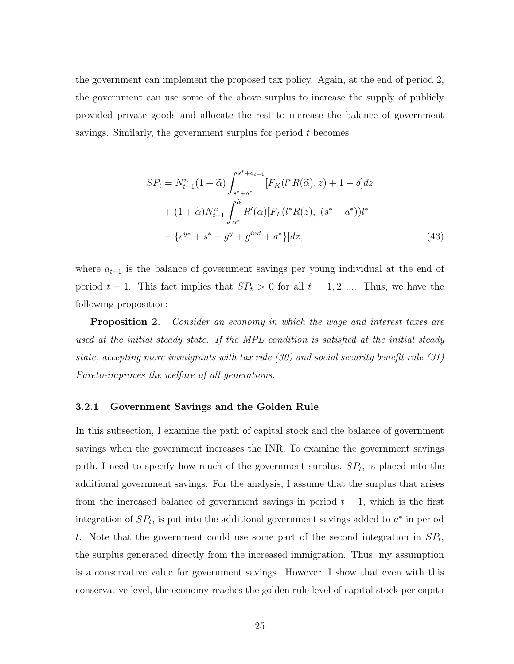the government can implement the proposed tax policy. Again, at the end of period 2, the government can use some of the above surplus to increase the supply of publicly provided private goods and allocate the rest to increase the balance of government savings. Similarly, the government surplus for period t becomes

$$
SP_{t} = N_{t-1}^{n}(1+\tilde{\alpha}) \int_{s^{*}+a^{*}}^{s^{*}+a_{t-1}} [F_{K}(l^{*}R(\tilde{\alpha}), z) + 1 - \delta] dz
$$
  
+ 
$$
(1+\tilde{\alpha})N_{t-1}^{n} \int_{\alpha^{*}}^{\tilde{\alpha}} R'(\alpha)[F_{L}(l^{*}R(z), (s^{*}+a^{*}))l^{*} - \{c^{y^{*}}+s^{*}+g^{y}+g^{ind}+a^{*}\}] dz,
$$
 (43)

where  $a_{t-1}$  is the balance of government savings per young individual at the end of period  $t - 1$ . This fact implies that  $SP_t > 0$  for all  $t = 1, 2, ...$  Thus, we have the following proposition:

**Proposition 2.** Consider an economy in which the wage and interest taxes are used at the initial steady state. If the MPL condition is satisfied at the initial steady state, accepting more immigrants with tax rule (30) and social security benefit rule (31) Pareto-improves the welfare of all generations.

#### 3.2.1 Government Savings and the Golden Rule

In this subsection, I examine the path of capital stock and the balance of government savings when the government increases the INR. To examine the government savings path, I need to specify how much of the government surplus,  $SP<sub>t</sub>$ , is placed into the additional government savings. For the analysis, I assume that the surplus that arises from the increased balance of government savings in period  $t-1$ , which is the first integration of  $SP<sub>t</sub>$ , is put into the additional government savings added to  $a^*$  in period t. Note that the government could use some part of the second integration in  $SP<sub>t</sub>$ , the surplus generated directly from the increased immigration. Thus, my assumption is a conservative value for government savings. However, I show that even with this conservative level, the economy reaches the golden rule level of capital stock per capita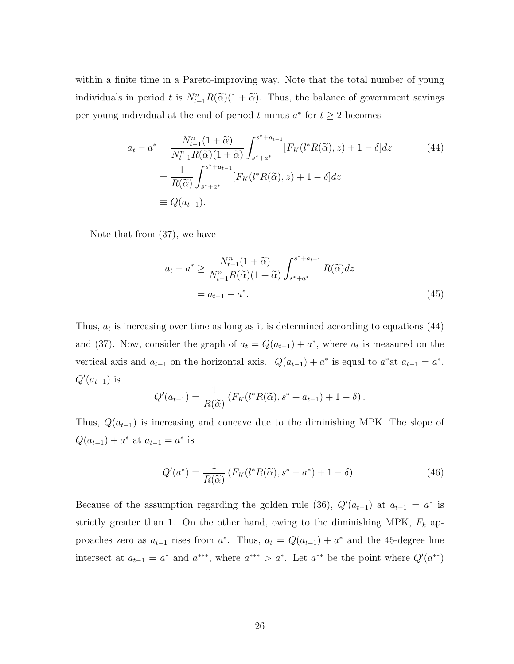within a finite time in a Pareto-improving way. Note that the total number of young individuals in period t is  $N_{t-1}^n R(\tilde{\alpha})(1 + \tilde{\alpha})$ . Thus, the balance of government savings per young individual at the end of period t minus  $a^*$  for  $t \geq 2$  becomes

$$
a_{t} - a^{*} = \frac{N_{t-1}^{n}(1+\tilde{\alpha})}{N_{t-1}^{n}R(\tilde{\alpha})(1+\tilde{\alpha})} \int_{s^{*}+a^{*}}^{s^{*}+a_{t-1}} [F_{K}(l^{*}R(\tilde{\alpha}), z) + 1 - \delta] dz
$$
 (44)  

$$
= \frac{1}{R(\tilde{\alpha})} \int_{s^{*}+a^{*}}^{s^{*}+a_{t-1}} [F_{K}(l^{*}R(\tilde{\alpha}), z) + 1 - \delta] dz
$$
  

$$
\equiv Q(a_{t-1}).
$$

Note that from (37), we have

$$
a_t - a^* \ge \frac{N_{t-1}^n (1 + \widetilde{\alpha})}{N_{t-1}^n R(\widetilde{\alpha})(1 + \widetilde{\alpha})} \int_{s^* + a^*}^{s^* + a_{t-1}} R(\widetilde{\alpha}) dz
$$
  
=  $a_{t-1} - a^*$ . (45)

Thus,  $a_t$  is increasing over time as long as it is determined according to equations (44) and (37). Now, consider the graph of  $a_t = Q(a_{t-1}) + a^*$ , where  $a_t$  is measured on the vertical axis and  $a_{t-1}$  on the horizontal axis.  $Q(a_{t-1}) + a^*$  is equal to  $a^*$  at  $a_{t-1} = a^*$ .  $Q'(a_{t-1})$  is

$$
Q'(a_{t-1}) = \frac{1}{R(\widetilde{\alpha})} \left( F_K(l^*R(\widetilde{\alpha}), s^* + a_{t-1}) + 1 - \delta \right).
$$

Thus,  $Q(a_{t-1})$  is increasing and concave due to the diminishing MPK. The slope of  $Q(a_{t-1}) + a^*$  at  $a_{t-1} = a^*$  is

$$
Q'(a^*) = \frac{1}{R(\widetilde{\alpha})} \left( F_K(l^*R(\widetilde{\alpha}), s^* + a^*) + 1 - \delta \right). \tag{46}
$$

Because of the assumption regarding the golden rule (36),  $Q'(a_{t-1})$  at  $a_{t-1} = a^*$  is strictly greater than 1. On the other hand, owing to the diminishing MPK,  $F_k$  approaches zero as  $a_{t-1}$  rises from  $a^*$ . Thus,  $a_t = Q(a_{t-1}) + a^*$  and the 45-degree line intersect at  $a_{t-1} = a^*$  and  $a^{***}$ , where  $a^{***} > a^*$ . Let  $a^{**}$  be the point where  $Q'(a^{**})$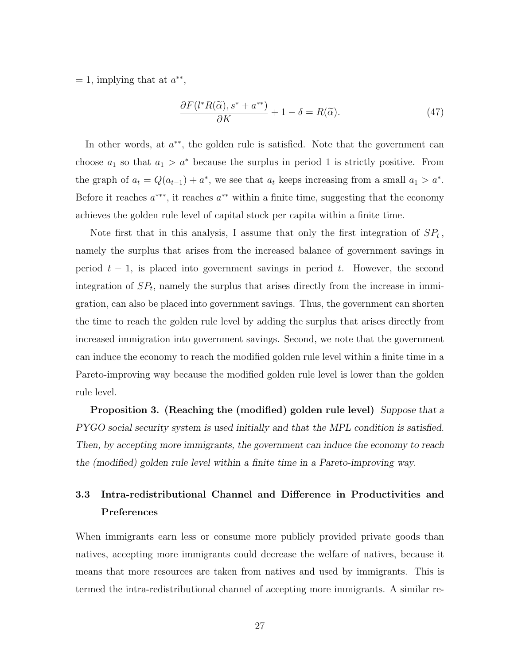$= 1$ , implying that at  $a^{**}$ ,

$$
\frac{\partial F(l^*R(\tilde{\alpha}), s^* + a^{**})}{\partial K} + 1 - \delta = R(\tilde{\alpha}).\tag{47}
$$

In other words, at  $a^{**}$ , the golden rule is satisfied. Note that the government can choose  $a_1$  so that  $a_1 > a^*$  because the surplus in period 1 is strictly positive. From the graph of  $a_t = Q(a_{t-1}) + a^*$ , we see that  $a_t$  keeps increasing from a small  $a_1 > a^*$ . Before it reaches  $a^{***}$ , it reaches  $a^{**}$  within a finite time, suggesting that the economy achieves the golden rule level of capital stock per capita within a finite time.

Note first that in this analysis, I assume that only the first integration of  $SP<sub>t</sub>$ , namely the surplus that arises from the increased balance of government savings in period  $t - 1$ , is placed into government savings in period t. However, the second integration of  $SP<sub>t</sub>$ , namely the surplus that arises directly from the increase in immigration, can also be placed into government savings. Thus, the government can shorten the time to reach the golden rule level by adding the surplus that arises directly from increased immigration into government savings. Second, we note that the government can induce the economy to reach the modified golden rule level within a finite time in a Pareto-improving way because the modified golden rule level is lower than the golden rule level.

Proposition 3. (Reaching the (modified) golden rule level) Suppose that a PYGO social security system is used initially and that the MPL condition is satisfied. Then, by accepting more immigrants, the government can induce the economy to reach the (modified) golden rule level within a finite time in a Pareto-improving way.

# 3.3 Intra-redistributional Channel and Difference in Productivities and Preferences

When immigrants earn less or consume more publicly provided private goods than natives, accepting more immigrants could decrease the welfare of natives, because it means that more resources are taken from natives and used by immigrants. This is termed the intra-redistributional channel of accepting more immigrants. A similar re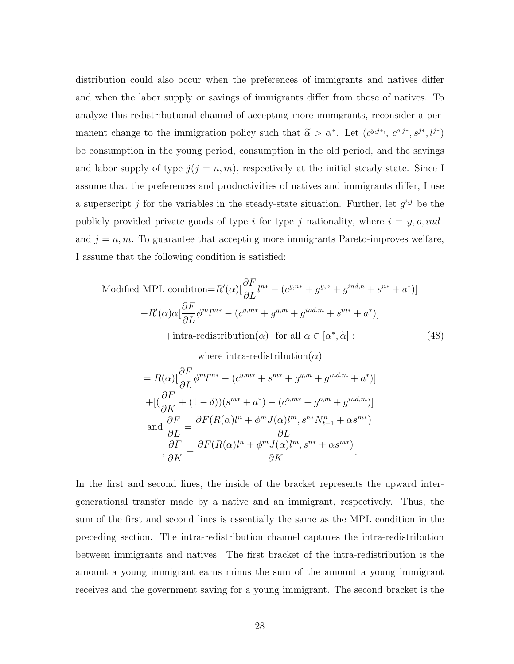distribution could also occur when the preferences of immigrants and natives differ and when the labor supply or savings of immigrants differ from those of natives. To analyze this redistributional channel of accepting more immigrants, reconsider a permanent change to the immigration policy such that  $\tilde{\alpha} > \alpha^*$ . Let  $(c^{y,j*}, c^{o,j*}, s^{j*}, l^{j*})$ be consumption in the young period, consumption in the old period, and the savings and labor supply of type  $j(j = n, m)$ , respectively at the initial steady state. Since I assume that the preferences and productivities of natives and immigrants differ, I use a superscript j for the variables in the steady-state situation. Further, let  $g^{i,j}$  be the publicly provided private goods of type i for type j nationality, where  $i = y, o, ind$ and  $j = n, m$ . To guarantee that accepting more immigrants Pareto-improves welfare, I assume that the following condition is satisfied:

Modified MPL condition =

\n
$$
R'(\alpha) \left[ \frac{\partial F}{\partial L} l^{n*} - (c^{y,n*} + g^{y,n} + g^{ind,n} + s^{n*} + a^*) \right]
$$
\n
$$
+ R'(\alpha) \alpha \left[ \frac{\partial F}{\partial L} \phi^m l^{m*} - (c^{y,m*} + g^{y,m} + g^{ind,m} + s^{m*} + a^*) \right]
$$
\nHintra-redistribution(\alpha) for all  $\alpha \in [\alpha^*, \tilde{\alpha}]$ :

\n(48)

\nwhere intra-redistribution(\alpha)

$$
= R(\alpha) \left[ \frac{\partial F}{\partial L} \phi^m l^{m*} - (c^{y,m*} + s^{m*} + g^{y,m} + g^{ind,m} + a^*) \right]
$$
  
+ 
$$
\left[ \left( \frac{\partial F}{\partial K} + (1 - \delta) \right) (s^{m*} + a^*) - (c^{o,m*} + g^{o,m} + g^{ind,m}) \right]
$$
  
and 
$$
\frac{\partial F}{\partial L} = \frac{\partial F(R(\alpha)l^n + \phi^m J(\alpha)l^m, s^{n*} N_{t-1}^n + \alpha s^{m*})}{\partial L}
$$
  
, 
$$
\frac{\partial F}{\partial K} = \frac{\partial F(R(\alpha)l^n + \phi^m J(\alpha)l^m, s^{n*} + \alpha s^{m*})}{\partial K}.
$$

In the first and second lines, the inside of the bracket represents the upward intergenerational transfer made by a native and an immigrant, respectively. Thus, the sum of the first and second lines is essentially the same as the MPL condition in the preceding section. The intra-redistribution channel captures the intra-redistribution between immigrants and natives. The first bracket of the intra-redistribution is the amount a young immigrant earns minus the sum of the amount a young immigrant receives and the government saving for a young immigrant. The second bracket is the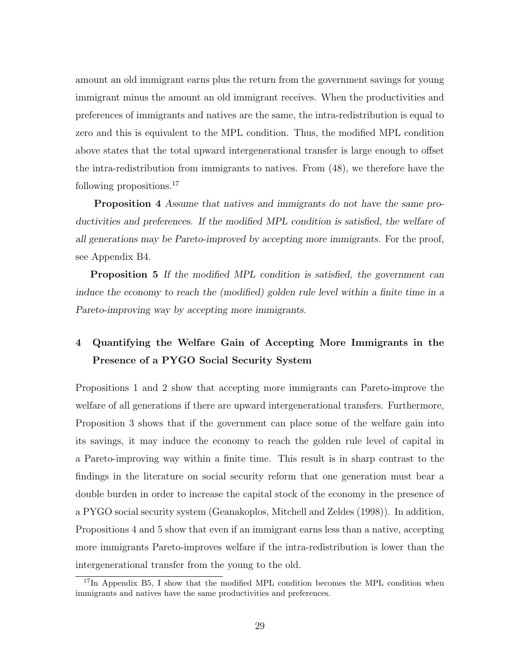amount an old immigrant earns plus the return from the government savings for young immigrant minus the amount an old immigrant receives. When the productivities and preferences of immigrants and natives are the same, the intra-redistribution is equal to zero and this is equivalent to the MPL condition. Thus, the modified MPL condition above states that the total upward intergenerational transfer is large enough to offset the intra-redistribution from immigrants to natives. From (48), we therefore have the following propositions.<sup>17</sup>

Proposition 4 Assume that natives and immigrants do not have the same productivities and preferences. If the modified MPL condition is satisfied, the welfare of all generations may be Pareto-improved by accepting more immigrants. For the proof, see Appendix B4.

**Proposition 5** If the modified MPL condition is satisfied, the government can induce the economy to reach the (modified) golden rule level within a finite time in a Pareto-improving way by accepting more immigrants.

# 4 Quantifying the Welfare Gain of Accepting More Immigrants in the Presence of a PYGO Social Security System

Propositions 1 and 2 show that accepting more immigrants can Pareto-improve the welfare of all generations if there are upward intergenerational transfers. Furthermore, Proposition 3 shows that if the government can place some of the welfare gain into its savings, it may induce the economy to reach the golden rule level of capital in a Pareto-improving way within a finite time. This result is in sharp contrast to the findings in the literature on social security reform that one generation must bear a double burden in order to increase the capital stock of the economy in the presence of a PYGO social security system (Geanakoplos, Mitchell and Zeldes (1998)). In addition, Propositions 4 and 5 show that even if an immigrant earns less than a native, accepting more immigrants Pareto-improves welfare if the intra-redistribution is lower than the intergenerational transfer from the young to the old.

<sup>&</sup>lt;sup>17</sup>In Appendix B5, I show that the modified MPL condition becomes the MPL condition when immigrants and natives have the same productivities and preferences.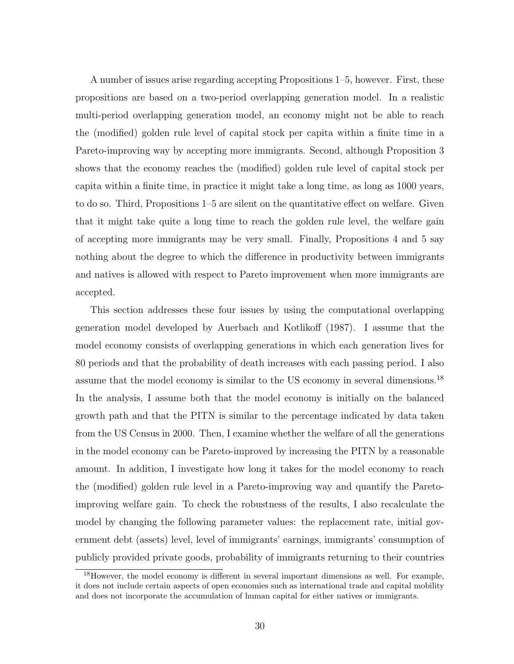A number of issues arise regarding accepting Propositions 1–5, however. First, these propositions are based on a two-period overlapping generation model. In a realistic multi-period overlapping generation model, an economy might not be able to reach the (modified) golden rule level of capital stock per capita within a finite time in a Pareto-improving way by accepting more immigrants. Second, although Proposition 3 shows that the economy reaches the (modified) golden rule level of capital stock per capita within a finite time, in practice it might take a long time, as long as 1000 years, to do so. Third, Propositions 1–5 are silent on the quantitative effect on welfare. Given that it might take quite a long time to reach the golden rule level, the welfare gain of accepting more immigrants may be very small. Finally, Propositions 4 and 5 say nothing about the degree to which the difference in productivity between immigrants and natives is allowed with respect to Pareto improvement when more immigrants are accepted.

This section addresses these four issues by using the computational overlapping generation model developed by Auerbach and Kotlikoff (1987). I assume that the model economy consists of overlapping generations in which each generation lives for 80 periods and that the probability of death increases with each passing period. I also assume that the model economy is similar to the US economy in several dimensions.<sup>18</sup> In the analysis, I assume both that the model economy is initially on the balanced growth path and that the PITN is similar to the percentage indicated by data taken from the US Census in 2000. Then, I examine whether the welfare of all the generations in the model economy can be Pareto-improved by increasing the PITN by a reasonable amount. In addition, I investigate how long it takes for the model economy to reach the (modified) golden rule level in a Pareto-improving way and quantify the Paretoimproving welfare gain. To check the robustness of the results, I also recalculate the model by changing the following parameter values: the replacement rate, initial government debt (assets) level, level of immigrants' earnings, immigrants' consumption of publicly provided private goods, probability of immigrants returning to their countries

<sup>&</sup>lt;sup>18</sup>However, the model economy is different in several important dimensions as well. For example, it does not include certain aspects of open economies such as international trade and capital mobility and does not incorporate the accumulation of human capital for either natives or immigrants.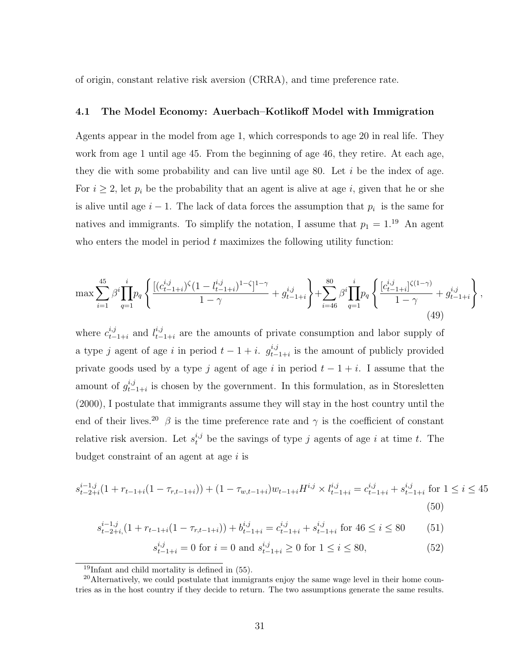of origin, constant relative risk aversion (CRRA), and time preference rate.

## 4.1 The Model Economy: Auerbach–Kotlikoff Model with Immigration

Agents appear in the model from age 1, which corresponds to age 20 in real life. They work from age 1 until age 45. From the beginning of age 46, they retire. At each age, they die with some probability and can live until age 80. Let  $i$  be the index of age. For  $i \geq 2$ , let  $p_i$  be the probability that an agent is alive at age i, given that he or she is alive until age  $i - 1$ . The lack of data forces the assumption that  $p_i$  is the same for natives and immigrants. To simplify the notation, I assume that  $p_1 = 1^{19}$  An agent who enters the model in period  $t$  maximizes the following utility function:

$$
\max \sum_{i=1}^{45} \beta^i \prod_{q=1}^i p_q \left\{ \frac{[(c_{t-1+i}^{i,j})^{\zeta} (1-l_{t-1+i}^{i,j})^{1-\zeta}]^{1-\gamma}}{1-\gamma} + g_{t-1+i}^{i,j} \right\} + \sum_{i=46}^{80} \beta^i \prod_{q=1}^i p_q \left\{ \frac{[c_{t-1+i}^{i,j}]^{\zeta(1-\gamma)}}{1-\gamma} + g_{t-1+i}^{i,j} \right\},\tag{49}
$$

where  $c_{t-}^{i,j}$  $_{t-1+i}^{i,j}$  and  $l_{t-}^{i,j}$  $_{t-1+i}^{i,j}$  are the amounts of private consumption and labor supply of a type j agent of age i in period  $t-1+i$ .  $g_{t-}^{i,j}$  $_{t-1+i}^{i,j}$  is the amount of publicly provided private goods used by a type j agent of age i in period  $t - 1 + i$ . I assume that the amount of  $g_{t-}^{i,j}$  $_{t-1+i}^{i,j}$  is chosen by the government. In this formulation, as in Storesletten (2000), I postulate that immigrants assume they will stay in the host country until the end of their lives.<sup>20</sup>  $\beta$  is the time preference rate and  $\gamma$  is the coefficient of constant relative risk aversion. Let  $s_t^{i,j}$  be the savings of type j agents of age i at time t. The budget constraint of an agent at age  $i$  is

$$
s_{t-2+i}^{i-1,j}(1+r_{t-1+i}(1-\tau_{r,t-1+i})) + (1-\tau_{w,t-1+i})w_{t-1+i}H^{i,j} \times l_{t-1+i}^{i,j} = c_{t-1+i}^{i,j} + s_{t-1+i}^{i,j}
$$
 for  $1 \le i \le 45$  (50)

$$
s_{t-2+i, (1+r_{t-1+i}(1-\tau_{r,t-1+i})) + b_{t-1+i}^{i,j} = c_{t-1+i}^{i,j} + s_{t-1+i}^{i,j} \text{ for } 46 \le i \le 80 \tag{51}
$$

$$
s_{t-1+i}^{i,j} = 0 \text{ for } i = 0 \text{ and } s_{t-1+i}^{i,j} \ge 0 \text{ for } 1 \le i \le 80,
$$
 (52)

 $19$ Infant and child mortality is defined in  $(55)$ .

<sup>&</sup>lt;sup>20</sup>Alternatively, we could postulate that immigrants enjoy the same wage level in their home countries as in the host country if they decide to return. The two assumptions generate the same results.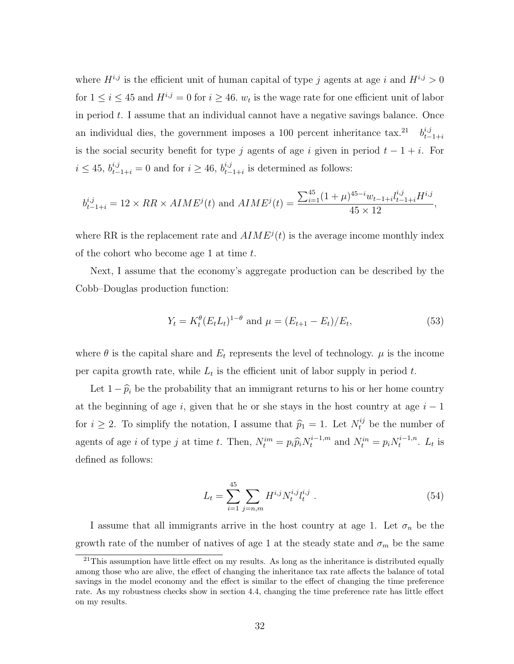where  $H^{i,j}$  is the efficient unit of human capital of type j agents at age i and  $H^{i,j} > 0$ for  $1 \leq i \leq 45$  and  $H^{i,j} = 0$  for  $i \geq 46$ .  $w_t$  is the wage rate for one efficient unit of labor in period  $t$ . I assume that an individual cannot have a negative savings balance. Once an individual dies, the government imposes a 100 percent inheritance tax.<sup>21</sup>  $b_t^{i,j}$  $t-1+i$ is the social security benefit for type j agents of age i given in period  $t - 1 + i$ . For  $i \leq 45$ ,  $b_{t-1+i}^{i,j} = 0$  and for  $i \geq 46$ ,  $b_{t-}^{i,j}$  $_{t-1+i}^{i,j}$  is determined as follows:

$$
b_{t-1+i}^{i,j} = 12 \times RR \times AIME^{j}(t) \text{ and } AIME^{j}(t) = \frac{\sum_{i=1}^{45} (1+\mu)^{45-i} w_{t-1+i} l_{t-1+i}^{i,j}}{45 \times 12},
$$

where RR is the replacement rate and  $AIME^{j}(t)$  is the average income monthly index of the cohort who become age 1 at time t.

Next, I assume that the economy's aggregate production can be described by the Cobb–Douglas production function:

$$
Y_t = K_t^{\theta} (E_t L_t)^{1-\theta} \text{ and } \mu = (E_{t+1} - E_t) / E_t,
$$
\n(53)

where  $\theta$  is the capital share and  $E_t$  represents the level of technology.  $\mu$  is the income per capita growth rate, while  $L_t$  is the efficient unit of labor supply in period t.

Let  $1 - \hat{p}_i$  be the probability that an immigrant returns to his or her home country at the beginning of age i, given that he or she stays in the host country at age  $i - 1$ for  $i \geq 2$ . To simplify the notation, I assume that  $\hat{p}_1 = 1$ . Let  $N_t^{ij}$  be the number of agents of age *i* of type *j* at time *t*. Then,  $N_t^{im} = p_i \hat{p}_i N_t^{i-1,m}$  and  $N_t^{in} = p_i N_t^{i-1,n}$  $t^{i-1,n}$ .  $L_t$  is defined as follows:

$$
L_t = \sum_{i=1}^{45} \sum_{j=n,m} H^{i,j} N_t^{i,j} l_t^{i,j} . \tag{54}
$$

I assume that all immigrants arrive in the host country at age 1. Let  $\sigma_n$  be the growth rate of the number of natives of age 1 at the steady state and  $\sigma_m$  be the same

 $21$ This assumption have little effect on my results. As long as the inheritance is distributed equally among those who are alive, the effect of changing the inheritance tax rate affects the balance of total savings in the model economy and the effect is similar to the effect of changing the time preference rate. As my robustness checks show in section 4.4, changing the time preference rate has little effect on my results.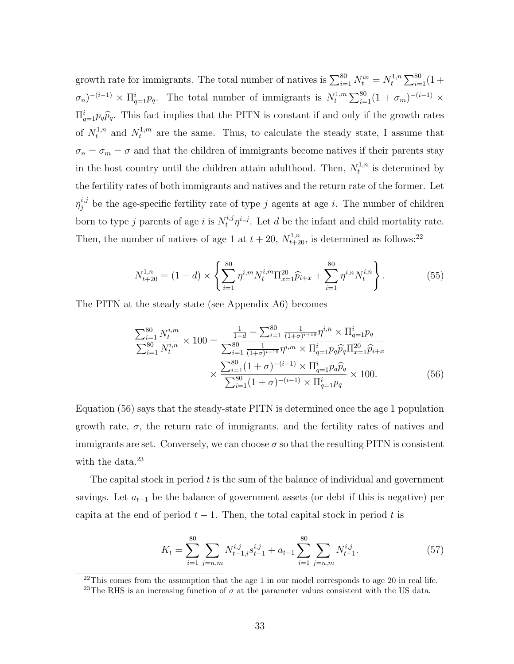growth rate for immigrants. The total number of natives is  $\sum_{i=1}^{80} N_t^{in} = N_t^{1,n}$  $t^{1,n} \sum_{i=1}^{80} (1 +$  $(\sigma_n)^{-(i-1)} \times \Pi_{q=1}^i p_q$ . The total number of immigrants is  $N_t^{1,m}$  $t^{1,m} \sum_{i=1}^{80} (1 + \sigma_m)^{-(i-1)} \times$  $\Pi_{q=1}^{i} p_q \hat{p}_q$ . This fact implies that the PITN is constant if and only if the growth rates of  $N_t^{1,n}$  and  $N_t^{1,m}$  are the same. Thus, to calculate the steady state, I assume that  $\sigma_n = \sigma_m = \sigma$  and that the children of immigrants become natives if their parents stay in the host country until the children attain adulthood. Then,  $N_t^{1,n}$  $t^{1,n}$  is determined by the fertility rates of both immigrants and natives and the return rate of the former. Let  $\eta_j^{i,j}$  be the age-specific fertility rate of type j agents at age i. The number of children born to type j parents of age i is  $N_t^{i,j} \eta^{i,j}$ . Let d be the infant and child mortality rate. Then, the number of natives of age 1 at  $t + 20$ ,  $N_{t+20}^{1,n}$ , is determined as follows:<sup>22</sup>

$$
N_{t+20}^{1,n} = (1-d) \times \left\{ \sum_{i=1}^{80} \eta^{i,m} N_t^{i,m} \Pi_{x=1}^{20} \widehat{p}_{i+x} + \sum_{i=1}^{80} \eta^{i,n} N_t^{i,n} \right\}.
$$
 (55)

The PITN at the steady state (see Appendix A6) becomes

$$
\frac{\sum_{i=1}^{80} N_t^{i,m}}{\sum_{i=1}^{80} N_t^{i,n}} \times 100 = \frac{\frac{1}{1-d} - \sum_{i=1}^{80} \frac{1}{(1+\sigma)^{i+19}} \eta^{i,n} \times \Pi_{q=1}^i p_q}{\sum_{i=1}^{80} \frac{1}{(1+\sigma)^{i+19}} \eta^{i,m} \times \Pi_{q=1}^i p_q \widehat{p}_q \Pi_{x=1}^{20} \widehat{p}_{i+x}} \times \frac{\sum_{i=1}^{80} (1+\sigma)^{-(i-1)} \times \Pi_{q=1}^i p_q \widehat{p}_q}{\sum_{i=1}^{80} (1+\sigma)^{-(i-1)} \times \Pi_{q=1}^i p_q} \times 100.
$$
\n(56)

Equation (56) says that the steady-state PITN is determined once the age 1 population growth rate,  $\sigma$ , the return rate of immigrants, and the fertility rates of natives and immigrants are set. Conversely, we can choose  $\sigma$  so that the resulting PITN is consistent with the data.<sup>23</sup>

The capital stock in period  $t$  is the sum of the balance of individual and government savings. Let  $a_{t-1}$  be the balance of government assets (or debt if this is negative) per capita at the end of period  $t - 1$ . Then, the total capital stock in period t is

$$
K_t = \sum_{i=1}^{80} \sum_{j=n,m} N_{t-1,i}^{i,j} s_{t-1}^{i,j} + a_{t-1} \sum_{i=1}^{80} \sum_{j=n,m} N_{t-1}^{i,j}.
$$
 (57)

 $22$ This comes from the assumption that the age 1 in our model corresponds to age 20 in real life.

<sup>&</sup>lt;sup>23</sup>The RHS is an increasing function of  $\sigma$  at the parameter values consistent with the US data.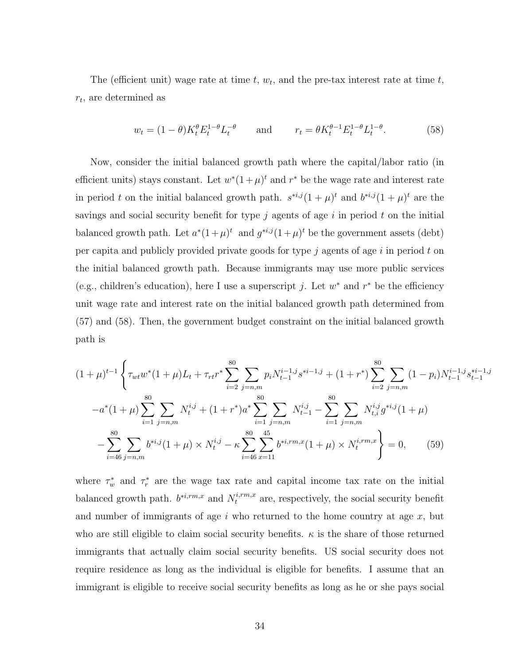The (efficient unit) wage rate at time  $t, w_t$ , and the pre-tax interest rate at time  $t$ ,  $r_t$ , are determined as

$$
w_t = (1 - \theta)K_t^{\theta} E_t^{1-\theta} L_t^{-\theta} \quad \text{and} \quad r_t = \theta K_t^{\theta-1} E_t^{1-\theta} L_t^{1-\theta}.
$$
 (58)

Now, consider the initial balanced growth path where the capital/labor ratio (in efficient units) stays constant. Let  $w^*(1+\mu)^t$  and  $r^*$  be the wage rate and interest rate in period t on the initial balanced growth path.  $s^{*i,j}(1+\mu)^t$  and  $b^{*i,j}(1+\mu)^t$  are the savings and social security benefit for type  $j$  agents of age  $i$  in period  $t$  on the initial balanced growth path. Let  $a^*(1+\mu)^t$  and  $g^{*i,j}(1+\mu)^t$  be the government assets (debt) per capita and publicly provided private goods for type  $j$  agents of age  $i$  in period  $t$  on the initial balanced growth path. Because immigrants may use more public services (e.g., children's education), here I use a superscript j. Let  $w^*$  and  $r^*$  be the efficiency unit wage rate and interest rate on the initial balanced growth path determined from (57) and (58). Then, the government budget constraint on the initial balanced growth path is

$$
(1+\mu)^{t-1} \left\{ \tau_{wt} w^*(1+\mu) L_t + \tau_{rt} r^* \sum_{i=2}^{80} \sum_{j=n,m} p_i N_{t-1}^{i-1,j} s^{*i-1,j} + (1+r^*) \sum_{i=2}^{80} \sum_{j=n,m} (1-p_i) N_{t-1}^{i-1,j} s_{t-1}^{*i-1,j} \right\}
$$

$$
-a^*(1+\mu) \sum_{i=1}^{80} \sum_{j=n,m} N_i^{i,j} + (1+r^*) a^* \sum_{i=1}^{80} \sum_{j=n,m} N_{t-1}^{i,j} - \sum_{i=1}^{80} \sum_{j=n,m} N_{t,i}^{i,j} g^{*i,j} (1+\mu)
$$

$$
- \sum_{i=46}^{80} \sum_{j=n,m} b^{*i,j} (1+\mu) \times N_t^{i,j} - \kappa \sum_{i=46}^{80} \sum_{x=11}^{45} b^{*i,rm,x} (1+\mu) \times N_t^{i,rm,x} \right\} = 0, \qquad (59)
$$

where  $\tau_w^*$  and  $\tau_r^*$  are the wage tax rate and capital income tax rate on the initial balanced growth path.  $b^{*i,rm,x}$  and  $N_t^{i,rm,x}$  are, respectively, the social security benefit and number of immigrants of age i who returned to the home country at age  $x$ , but who are still eligible to claim social security benefits.  $\kappa$  is the share of those returned immigrants that actually claim social security benefits. US social security does not require residence as long as the individual is eligible for benefits. I assume that an immigrant is eligible to receive social security benefits as long as he or she pays social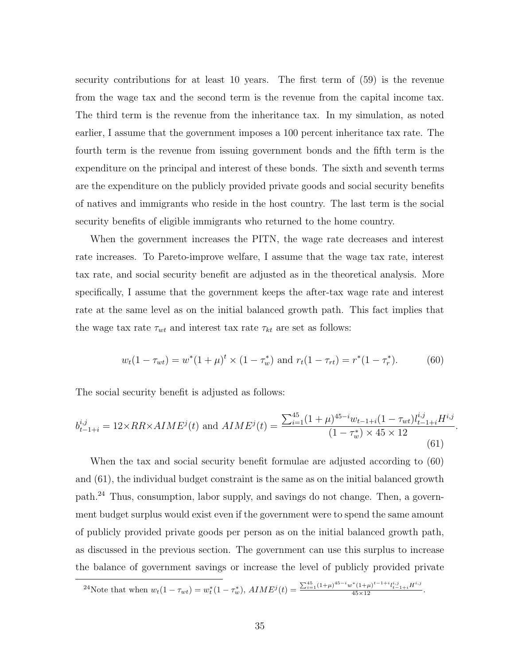security contributions for at least 10 years. The first term of (59) is the revenue from the wage tax and the second term is the revenue from the capital income tax. The third term is the revenue from the inheritance tax. In my simulation, as noted earlier, I assume that the government imposes a 100 percent inheritance tax rate. The fourth term is the revenue from issuing government bonds and the fifth term is the expenditure on the principal and interest of these bonds. The sixth and seventh terms are the expenditure on the publicly provided private goods and social security benefits of natives and immigrants who reside in the host country. The last term is the social security benefits of eligible immigrants who returned to the home country.

When the government increases the PITN, the wage rate decreases and interest rate increases. To Pareto-improve welfare, I assume that the wage tax rate, interest tax rate, and social security benefit are adjusted as in the theoretical analysis. More specifically, I assume that the government keeps the after-tax wage rate and interest rate at the same level as on the initial balanced growth path. This fact implies that the wage tax rate  $\tau_{wt}$  and interest tax rate  $\tau_{kt}$  are set as follows:

$$
w_t(1 - \tau_{wt}) = w^*(1 + \mu)^t \times (1 - \tau_w^*) \text{ and } r_t(1 - \tau_{rt}) = r^*(1 - \tau_r^*). \tag{60}
$$

.

The social security benefit is adjusted as follows:

$$
b_{t-1+i}^{i,j} = 12 \times RR \times AIME^{j}(t) \text{ and } AIME^{j}(t) = \frac{\sum_{i=1}^{45} (1+\mu)^{45-i} w_{t-1+i} (1-\tau_{wt}) l_{t-1+i}^{i,j} H^{i,j}}{(1-\tau_{w}^{*}) \times 45 \times 12}
$$
\n(61)

When the tax and social security benefit formulae are adjusted according to (60) and (61), the individual budget constraint is the same as on the initial balanced growth path.<sup>24</sup> Thus, consumption, labor supply, and savings do not change. Then, a government budget surplus would exist even if the government were to spend the same amount of publicly provided private goods per person as on the initial balanced growth path, as discussed in the previous section. The government can use this surplus to increase the balance of government savings or increase the level of publicly provided private

$$
^{24}\text{Note that when }w_t(1-\tau_{wt})=w_t^*(1-\tau_w^*),\ AME^j(t)=\frac{\sum_{i=1}^{45}(1+\mu)^{45-i}w^*(1+\mu)^{t-1+i}l_{t-1+i}^{i,j}H^{i,j}}{45\times 12}.
$$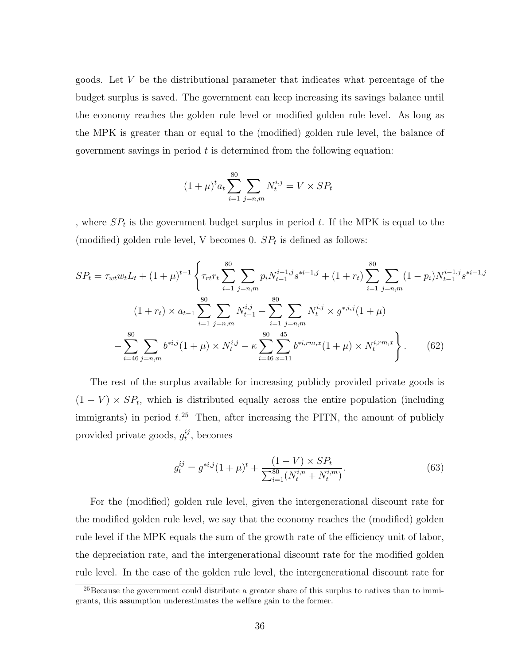goods. Let V be the distributional parameter that indicates what percentage of the budget surplus is saved. The government can keep increasing its savings balance until the economy reaches the golden rule level or modified golden rule level. As long as the MPK is greater than or equal to the (modified) golden rule level, the balance of government savings in period  $t$  is determined from the following equation:

$$
(1 + \mu)^{t} a_t \sum_{i=1}^{80} \sum_{j=n,m} N_t^{i,j} = V \times SP_t
$$

, where  $SP<sub>t</sub>$  is the government budget surplus in period t. If the MPK is equal to the (modified) golden rule level, V becomes 0.  $SP<sub>t</sub>$  is defined as follows:

$$
SP_{t} = \tau_{wt} w_{t} L_{t} + (1 + \mu)^{t-1} \left\{ \tau_{rt} r_{t} \sum_{i=1}^{80} \sum_{j=n,m} p_{i} N_{t-1}^{i-1,j} s^{*i-1,j} + (1 + r_{t}) \sum_{i=1}^{80} \sum_{j=n,m} (1 - p_{i}) N_{t-1}^{i-1,j} s^{*i-1,j} \right\}
$$

$$
(1 + r_{t}) \times a_{t-1} \sum_{i=1}^{80} \sum_{j=n,m} N_{t-1}^{i,j} - \sum_{i=1}^{80} \sum_{j=n,m} N_{t}^{i,j} \times g^{*,i,j} (1 + \mu)
$$

$$
- \sum_{i=46}^{80} \sum_{j=n,m} b^{*i,j} (1 + \mu) \times N_{t}^{i,j} - \kappa \sum_{i=46}^{80} \sum_{x=11}^{45} b^{*i,rm,x} (1 + \mu) \times N_{t}^{i,rm,x} \right\}.
$$
(62)

The rest of the surplus available for increasing publicly provided private goods is  $(1 - V) \times SP_t$ , which is distributed equally across the entire population (including immigrants) in period  $t^{25}$ . Then, after increasing the PITN, the amount of publicly provided private goods,  $g_t^{ij}$  $t^{ij}$ , becomes

$$
g_t^{ij} = g^{*i,j}(1+\mu)^t + \frac{(1-V) \times SP_t}{\sum_{i=1}^{80} (N_t^{i,n} + N_t^{i,m})}.
$$
 (63)

For the (modified) golden rule level, given the intergenerational discount rate for the modified golden rule level, we say that the economy reaches the (modified) golden rule level if the MPK equals the sum of the growth rate of the efficiency unit of labor, the depreciation rate, and the intergenerational discount rate for the modified golden rule level. In the case of the golden rule level, the intergenerational discount rate for

<sup>&</sup>lt;sup>25</sup>Because the government could distribute a greater share of this surplus to natives than to immigrants, this assumption underestimates the welfare gain to the former.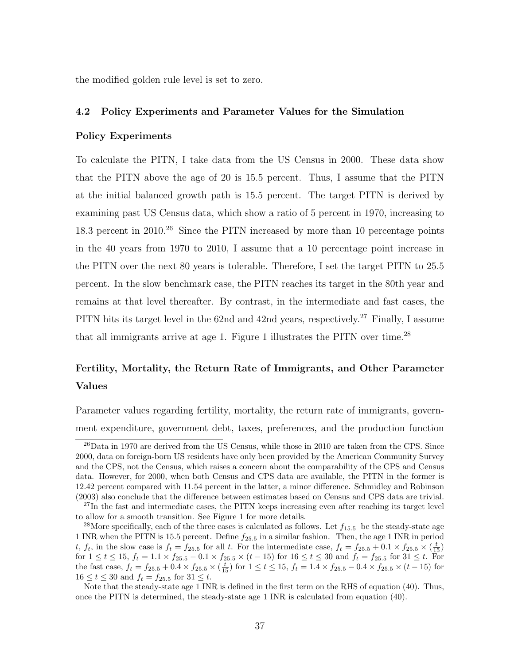the modified golden rule level is set to zero.

### 4.2 Policy Experiments and Parameter Values for the Simulation

## Policy Experiments

To calculate the PITN, I take data from the US Census in 2000. These data show that the PITN above the age of 20 is 15.5 percent. Thus, I assume that the PITN at the initial balanced growth path is 15.5 percent. The target PITN is derived by examining past US Census data, which show a ratio of 5 percent in 1970, increasing to 18.3 percent in 2010<sup>26</sup> Since the PITN increased by more than 10 percentage points in the 40 years from 1970 to 2010, I assume that a 10 percentage point increase in the PITN over the next 80 years is tolerable. Therefore, I set the target PITN to 25.5 percent. In the slow benchmark case, the PITN reaches its target in the 80th year and remains at that level thereafter. By contrast, in the intermediate and fast cases, the PITN hits its target level in the 62nd and 42nd years, respectively.<sup>27</sup> Finally, I assume that all immigrants arrive at age 1. Figure 1 illustrates the PITN over time.<sup>28</sup>

## Fertility, Mortality, the Return Rate of Immigrants, and Other Parameter Values

Parameter values regarding fertility, mortality, the return rate of immigrants, government expenditure, government debt, taxes, preferences, and the production function

 $^{26}$ Data in 1970 are derived from the US Census, while those in 2010 are taken from the CPS. Since 2000, data on foreign-born US residents have only been provided by the American Community Survey and the CPS, not the Census, which raises a concern about the comparability of the CPS and Census data. However, for 2000, when both Census and CPS data are available, the PITN in the former is 12.42 percent compared with 11.54 percent in the latter, a minor difference. Schmidley and Robinson (2003) also conclude that the difference between estimates based on Census and CPS data are trivial.

<sup>&</sup>lt;sup>27</sup>In the fast and intermediate cases, the PITN keeps increasing even after reaching its target level to allow for a smooth transition. See Figure 1 for more details.

<sup>&</sup>lt;sup>28</sup>More specifically, each of the three cases is calculated as follows. Let  $f_{15.5}$  be the steady-state age 1 INR when the PITN is 15.5 percent. Define  $f_{25.5}$  in a similar fashion. Then, the age 1 INR in period t,  $f_t$ , in the slow case is  $f_t = f_{25.5}$  for all t. For the intermediate case,  $f_t = f_{25.5} + 0.1 \times f_{25.5} \times (\frac{t}{15})$ for  $1 \le t \le 15$ ,  $f_t = 1.1 \times f_{25.5} - 0.1 \times f_{25.5} \times (t - 15)$  for  $16 \le t \le 30$  and  $f_t = f_{25.5}$  for  $31 \le t$ . For the fast case,  $f_t = f_{25.5} + 0.4 \times f_{25.5} \times \left(\frac{t}{15}\right)$  for  $1 \le t \le 15$ ,  $f_t = 1.4 \times f_{25.5} - 0.4 \times f_{25.5} \times (t - 15)$  for  $16 \le t \le 30$  and  $f_t = f_{25.5}$  for  $31 \le t$ .

Note that the steady-state age 1 INR is defined in the first term on the RHS of equation (40). Thus, once the PITN is determined, the steady-state age 1 INR is calculated from equation (40).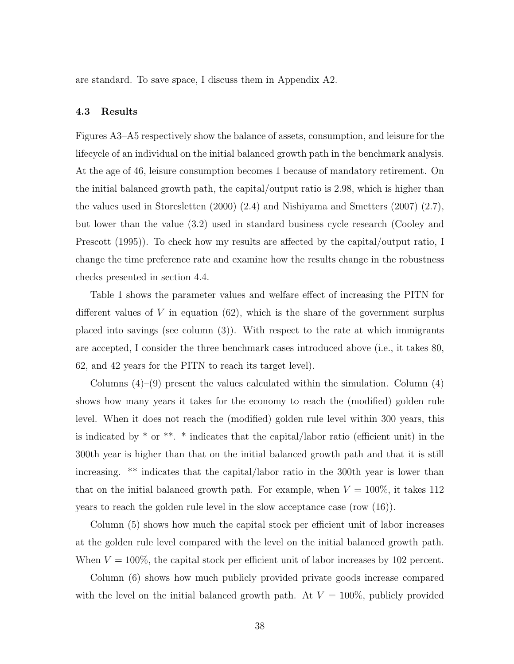are standard. To save space, I discuss them in Appendix A2.

#### 4.3 Results

Figures A3–A5 respectively show the balance of assets, consumption, and leisure for the lifecycle of an individual on the initial balanced growth path in the benchmark analysis. At the age of 46, leisure consumption becomes 1 because of mandatory retirement. On the initial balanced growth path, the capital/output ratio is 2.98, which is higher than the values used in Storesletten (2000) (2.4) and Nishiyama and Smetters (2007) (2.7), but lower than the value (3.2) used in standard business cycle research (Cooley and Prescott (1995)). To check how my results are affected by the capital/output ratio, I change the time preference rate and examine how the results change in the robustness checks presented in section 4.4.

Table 1 shows the parameter values and welfare effect of increasing the PITN for different values of  $V$  in equation (62), which is the share of the government surplus placed into savings (see column (3)). With respect to the rate at which immigrants are accepted, I consider the three benchmark cases introduced above (i.e., it takes 80, 62, and 42 years for the PITN to reach its target level).

Columns  $(4)$ – $(9)$  present the values calculated within the simulation. Column  $(4)$ shows how many years it takes for the economy to reach the (modified) golden rule level. When it does not reach the (modified) golden rule level within 300 years, this is indicated by  $*$  or  $**$ .  $*$  indicates that the capital/labor ratio (efficient unit) in the 300th year is higher than that on the initial balanced growth path and that it is still increasing. \*\* indicates that the capital/labor ratio in the 300th year is lower than that on the initial balanced growth path. For example, when  $V = 100\%$ , it takes 112 years to reach the golden rule level in the slow acceptance case (row (16)).

Column (5) shows how much the capital stock per efficient unit of labor increases at the golden rule level compared with the level on the initial balanced growth path. When  $V = 100\%$ , the capital stock per efficient unit of labor increases by 102 percent.

Column (6) shows how much publicly provided private goods increase compared with the level on the initial balanced growth path. At  $V = 100\%$ , publicly provided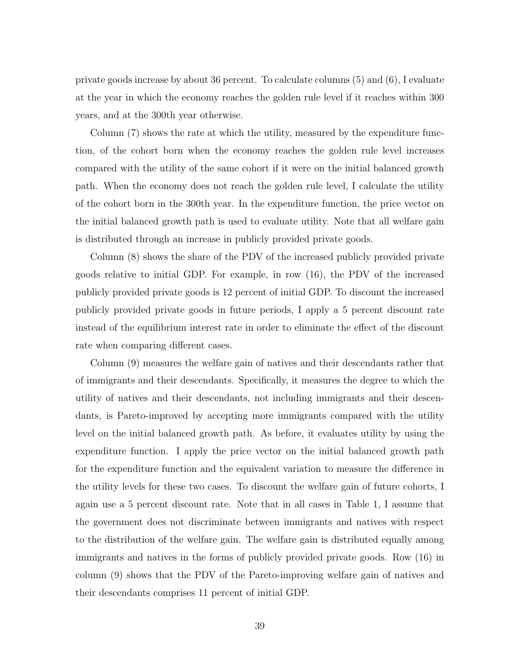private goods increase by about 36 percent. To calculate columns (5) and (6), I evaluate at the year in which the economy reaches the golden rule level if it reaches within 300 years, and at the 300th year otherwise.

Column (7) shows the rate at which the utility, measured by the expenditure function, of the cohort born when the economy reaches the golden rule level increases compared with the utility of the same cohort if it were on the initial balanced growth path. When the economy does not reach the golden rule level, I calculate the utility of the cohort born in the 300th year. In the expenditure function, the price vector on the initial balanced growth path is used to evaluate utility. Note that all welfare gain is distributed through an increase in publicly provided private goods.

Column (8) shows the share of the PDV of the increased publicly provided private goods relative to initial GDP. For example, in row (16), the PDV of the increased publicly provided private goods is 12 percent of initial GDP. To discount the increased publicly provided private goods in future periods, I apply a 5 percent discount rate instead of the equilibrium interest rate in order to eliminate the effect of the discount rate when comparing different cases.

Column (9) measures the welfare gain of natives and their descendants rather that of immigrants and their descendants. Specifically, it measures the degree to which the utility of natives and their descendants, not including immigrants and their descendants, is Pareto-improved by accepting more immigrants compared with the utility level on the initial balanced growth path. As before, it evaluates utility by using the expenditure function. I apply the price vector on the initial balanced growth path for the expenditure function and the equivalent variation to measure the difference in the utility levels for these two cases. To discount the welfare gain of future cohorts, I again use a 5 percent discount rate. Note that in all cases in Table 1, I assume that the government does not discriminate between immigrants and natives with respect to the distribution of the welfare gain. The welfare gain is distributed equally among immigrants and natives in the forms of publicly provided private goods. Row (16) in column (9) shows that the PDV of the Pareto-improving welfare gain of natives and their descendants comprises 11 percent of initial GDP.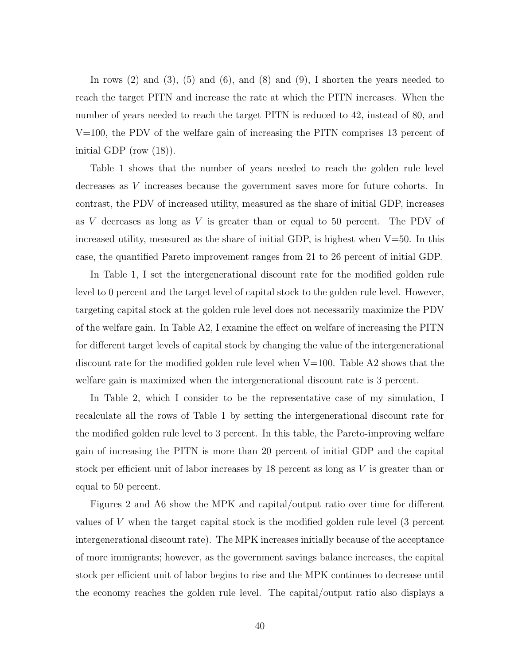In rows  $(2)$  and  $(3)$ ,  $(5)$  and  $(6)$ , and  $(8)$  and  $(9)$ , I shorten the years needed to reach the target PITN and increase the rate at which the PITN increases. When the number of years needed to reach the target PITN is reduced to 42, instead of 80, and V=100, the PDV of the welfare gain of increasing the PITN comprises 13 percent of initial GDP (row (18)).

Table 1 shows that the number of years needed to reach the golden rule level decreases as V increases because the government saves more for future cohorts. In contrast, the PDV of increased utility, measured as the share of initial GDP, increases as  $V$  decreases as long as  $V$  is greater than or equal to 50 percent. The PDV of increased utility, measured as the share of initial GDP, is highest when  $V=50$ . In this case, the quantified Pareto improvement ranges from 21 to 26 percent of initial GDP.

In Table 1, I set the intergenerational discount rate for the modified golden rule level to 0 percent and the target level of capital stock to the golden rule level. However, targeting capital stock at the golden rule level does not necessarily maximize the PDV of the welfare gain. In Table A2, I examine the effect on welfare of increasing the PITN for different target levels of capital stock by changing the value of the intergenerational discount rate for the modified golden rule level when  $V=100$ . Table A2 shows that the welfare gain is maximized when the intergenerational discount rate is 3 percent.

In Table 2, which I consider to be the representative case of my simulation, I recalculate all the rows of Table 1 by setting the intergenerational discount rate for the modified golden rule level to 3 percent. In this table, the Pareto-improving welfare gain of increasing the PITN is more than 20 percent of initial GDP and the capital stock per efficient unit of labor increases by 18 percent as long as V is greater than or equal to 50 percent.

Figures 2 and A6 show the MPK and capital/output ratio over time for different values of V when the target capital stock is the modified golden rule level (3 percent intergenerational discount rate). The MPK increases initially because of the acceptance of more immigrants; however, as the government savings balance increases, the capital stock per efficient unit of labor begins to rise and the MPK continues to decrease until the economy reaches the golden rule level. The capital/output ratio also displays a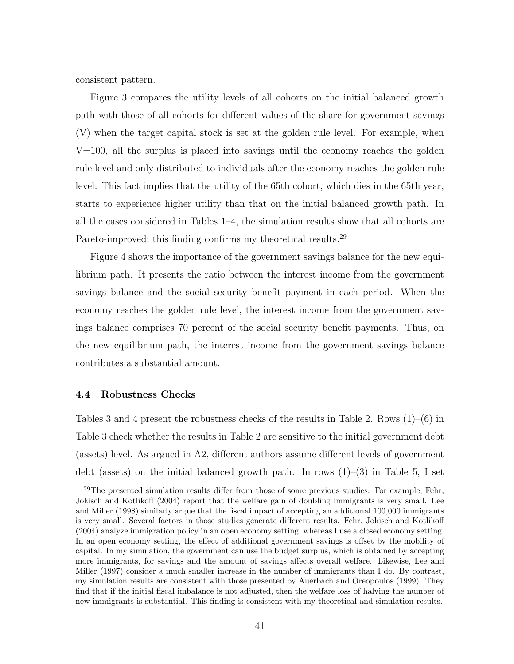consistent pattern.

Figure 3 compares the utility levels of all cohorts on the initial balanced growth path with those of all cohorts for different values of the share for government savings (V) when the target capital stock is set at the golden rule level. For example, when  $V=100$ , all the surplus is placed into savings until the economy reaches the golden rule level and only distributed to individuals after the economy reaches the golden rule level. This fact implies that the utility of the 65th cohort, which dies in the 65th year, starts to experience higher utility than that on the initial balanced growth path. In all the cases considered in Tables 1–4, the simulation results show that all cohorts are Pareto-improved; this finding confirms my theoretical results.<sup>29</sup>

Figure 4 shows the importance of the government savings balance for the new equilibrium path. It presents the ratio between the interest income from the government savings balance and the social security benefit payment in each period. When the economy reaches the golden rule level, the interest income from the government savings balance comprises 70 percent of the social security benefit payments. Thus, on the new equilibrium path, the interest income from the government savings balance contributes a substantial amount.

## 4.4 Robustness Checks

Tables 3 and 4 present the robustness checks of the results in Table 2. Rows  $(1)-(6)$  in Table 3 check whether the results in Table 2 are sensitive to the initial government debt (assets) level. As argued in A2, different authors assume different levels of government debt (assets) on the initial balanced growth path. In rows  $(1)-(3)$  in Table 5, I set

<sup>&</sup>lt;sup>29</sup>The presented simulation results differ from those of some previous studies. For example, Fehr, Jokisch and Kotlikoff (2004) report that the welfare gain of doubling immigrants is very small. Lee and Miller (1998) similarly argue that the fiscal impact of accepting an additional 100,000 immigrants is very small. Several factors in those studies generate different results. Fehr, Jokisch and Kotlikoff (2004) analyze immigration policy in an open economy setting, whereas I use a closed economy setting. In an open economy setting, the effect of additional government savings is offset by the mobility of capital. In my simulation, the government can use the budget surplus, which is obtained by accepting more immigrants, for savings and the amount of savings affects overall welfare. Likewise, Lee and Miller (1997) consider a much smaller increase in the number of immigrants than I do. By contrast, my simulation results are consistent with those presented by Auerbach and Oreopoulos (1999). They find that if the initial fiscal imbalance is not adjusted, then the welfare loss of halving the number of new immigrants is substantial. This finding is consistent with my theoretical and simulation results.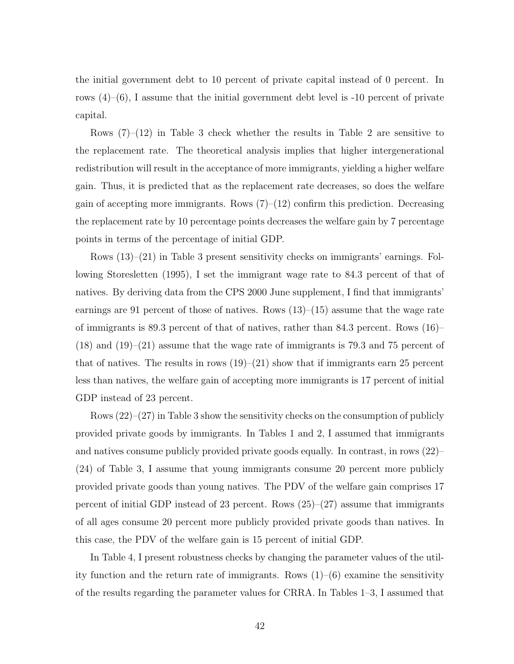the initial government debt to 10 percent of private capital instead of 0 percent. In rows  $(4)$ – $(6)$ , I assume that the initial government debt level is -10 percent of private capital.

Rows  $(7)-(12)$  in Table 3 check whether the results in Table 2 are sensitive to the replacement rate. The theoretical analysis implies that higher intergenerational redistribution will result in the acceptance of more immigrants, yielding a higher welfare gain. Thus, it is predicted that as the replacement rate decreases, so does the welfare gain of accepting more immigrants. Rows  $(7)-(12)$  confirm this prediction. Decreasing the replacement rate by 10 percentage points decreases the welfare gain by 7 percentage points in terms of the percentage of initial GDP.

Rows (13)–(21) in Table 3 present sensitivity checks on immigrants' earnings. Following Storesletten (1995), I set the immigrant wage rate to 84.3 percent of that of natives. By deriving data from the CPS 2000 June supplement, I find that immigrants' earnings are 91 percent of those of natives. Rows (13)–(15) assume that the wage rate of immigrants is 89.3 percent of that of natives, rather than 84.3 percent. Rows (16)–  $(18)$  and  $(19)-(21)$  assume that the wage rate of immigrants is 79.3 and 75 percent of that of natives. The results in rows  $(19)-(21)$  show that if immigrants earn 25 percent less than natives, the welfare gain of accepting more immigrants is 17 percent of initial GDP instead of 23 percent.

Rows (22)–(27) in Table 3 show the sensitivity checks on the consumption of publicly provided private goods by immigrants. In Tables 1 and 2, I assumed that immigrants and natives consume publicly provided private goods equally. In contrast, in rows (22)– (24) of Table 3, I assume that young immigrants consume 20 percent more publicly provided private goods than young natives. The PDV of the welfare gain comprises 17 percent of initial GDP instead of 23 percent. Rows  $(25)-(27)$  assume that immigrants of all ages consume 20 percent more publicly provided private goods than natives. In this case, the PDV of the welfare gain is 15 percent of initial GDP.

In Table 4, I present robustness checks by changing the parameter values of the utility function and the return rate of immigrants. Rows (1)–(6) examine the sensitivity of the results regarding the parameter values for CRRA. In Tables 1–3, I assumed that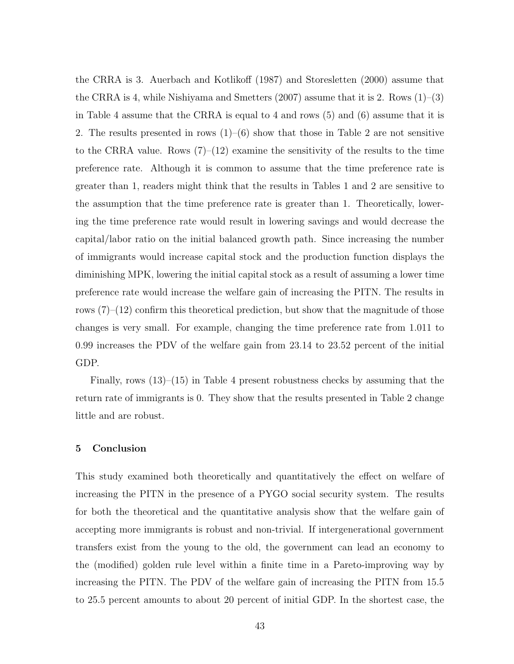the CRRA is 3. Auerbach and Kotlikoff (1987) and Storesletten (2000) assume that the CRRA is 4, while Nishiyama and Smetters  $(2007)$  assume that it is 2. Rows  $(1)$ – $(3)$ in Table 4 assume that the CRRA is equal to 4 and rows (5) and (6) assume that it is 2. The results presented in rows  $(1)$ – $(6)$  show that those in Table 2 are not sensitive to the CRRA value. Rows  $(7)-(12)$  examine the sensitivity of the results to the time preference rate. Although it is common to assume that the time preference rate is greater than 1, readers might think that the results in Tables 1 and 2 are sensitive to the assumption that the time preference rate is greater than 1. Theoretically, lowering the time preference rate would result in lowering savings and would decrease the capital/labor ratio on the initial balanced growth path. Since increasing the number of immigrants would increase capital stock and the production function displays the diminishing MPK, lowering the initial capital stock as a result of assuming a lower time preference rate would increase the welfare gain of increasing the PITN. The results in rows  $(7)-(12)$  confirm this theoretical prediction, but show that the magnitude of those changes is very small. For example, changing the time preference rate from 1.011 to 0.99 increases the PDV of the welfare gain from 23.14 to 23.52 percent of the initial GDP.

Finally, rows  $(13)$ – $(15)$  in Table 4 present robustness checks by assuming that the return rate of immigrants is 0. They show that the results presented in Table 2 change little and are robust.

#### 5 Conclusion

This study examined both theoretically and quantitatively the effect on welfare of increasing the PITN in the presence of a PYGO social security system. The results for both the theoretical and the quantitative analysis show that the welfare gain of accepting more immigrants is robust and non-trivial. If intergenerational government transfers exist from the young to the old, the government can lead an economy to the (modified) golden rule level within a finite time in a Pareto-improving way by increasing the PITN. The PDV of the welfare gain of increasing the PITN from 15.5 to 25.5 percent amounts to about 20 percent of initial GDP. In the shortest case, the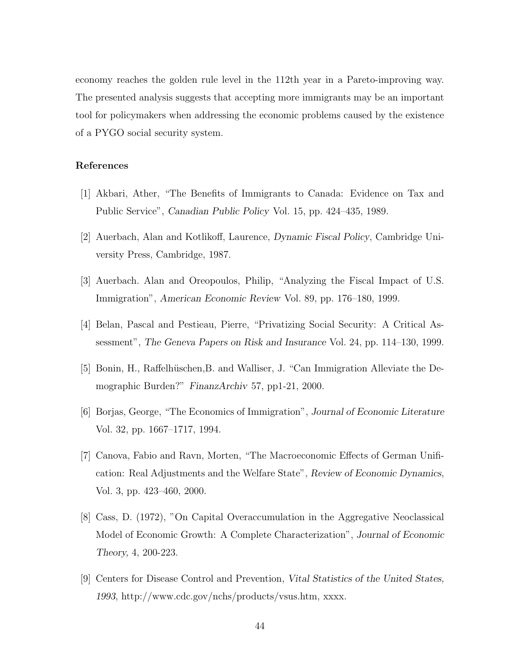economy reaches the golden rule level in the 112th year in a Pareto-improving way. The presented analysis suggests that accepting more immigrants may be an important tool for policymakers when addressing the economic problems caused by the existence of a PYGO social security system.

## References

- [1] Akbari, Ather, "The Benefits of Immigrants to Canada: Evidence on Tax and Public Service", Canadian Public Policy Vol. 15, pp. 424–435, 1989.
- [2] Auerbach, Alan and Kotlikoff, Laurence, Dynamic Fiscal Policy, Cambridge University Press, Cambridge, 1987.
- [3] Auerbach. Alan and Oreopoulos, Philip, "Analyzing the Fiscal Impact of U.S. Immigration", American Economic Review Vol. 89, pp. 176–180, 1999.
- [4] Belan, Pascal and Pestieau, Pierre, "Privatizing Social Security: A Critical Assessment", The Geneva Papers on Risk and Insurance Vol. 24, pp. 114–130, 1999.
- [5] Bonin, H., Raffelhüschen, B. and Walliser, J. "Can Immigration Alleviate the Demographic Burden?" FinanzArchiv 57, pp1-21, 2000.
- [6] Borjas, George, "The Economics of Immigration", Journal of Economic Literature Vol. 32, pp. 1667–1717, 1994.
- [7] Canova, Fabio and Ravn, Morten, "The Macroeconomic Effects of German Unification: Real Adjustments and the Welfare State", Review of Economic Dynamics, Vol. 3, pp. 423–460, 2000.
- [8] Cass, D. (1972), "On Capital Overaccumulation in the Aggregative Neoclassical Model of Economic Growth: A Complete Characterization", Journal of Economic Theory, 4, 200-223.
- [9] Centers for Disease Control and Prevention, Vital Statistics of the United States, 1993, http://www.cdc.gov/nchs/products/vsus.htm, xxxx.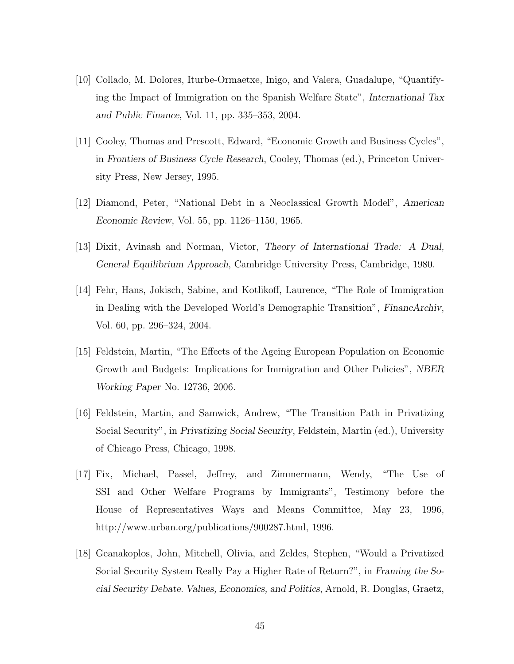- [10] Collado, M. Dolores, Iturbe-Ormaetxe, Inigo, and Valera, Guadalupe, "Quantifying the Impact of Immigration on the Spanish Welfare State", International Tax and Public Finance, Vol. 11, pp. 335–353, 2004.
- [11] Cooley, Thomas and Prescott, Edward, "Economic Growth and Business Cycles", in Frontiers of Business Cycle Research, Cooley, Thomas (ed.), Princeton University Press, New Jersey, 1995.
- [12] Diamond, Peter, "National Debt in a Neoclassical Growth Model", American Economic Review, Vol. 55, pp. 1126–1150, 1965.
- [13] Dixit, Avinash and Norman, Victor, Theory of International Trade: A Dual, General Equilibrium Approach, Cambridge University Press, Cambridge, 1980.
- [14] Fehr, Hans, Jokisch, Sabine, and Kotlikoff, Laurence, "The Role of Immigration in Dealing with the Developed World's Demographic Transition", FinancArchiv, Vol. 60, pp. 296–324, 2004.
- [15] Feldstein, Martin, "The Effects of the Ageing European Population on Economic Growth and Budgets: Implications for Immigration and Other Policies", NBER Working Paper No. 12736, 2006.
- [16] Feldstein, Martin, and Samwick, Andrew, "The Transition Path in Privatizing Social Security", in Privatizing Social Security, Feldstein, Martin (ed.), University of Chicago Press, Chicago, 1998.
- [17] Fix, Michael, Passel, Jeffrey, and Zimmermann, Wendy, "The Use of SSI and Other Welfare Programs by Immigrants", Testimony before the House of Representatives Ways and Means Committee, May 23, 1996, http://www.urban.org/publications/900287.html, 1996.
- [18] Geanakoplos, John, Mitchell, Olivia, and Zeldes, Stephen, "Would a Privatized Social Security System Really Pay a Higher Rate of Return?", in Framing the Social Security Debate. Values, Economics, and Politics, Arnold, R. Douglas, Graetz,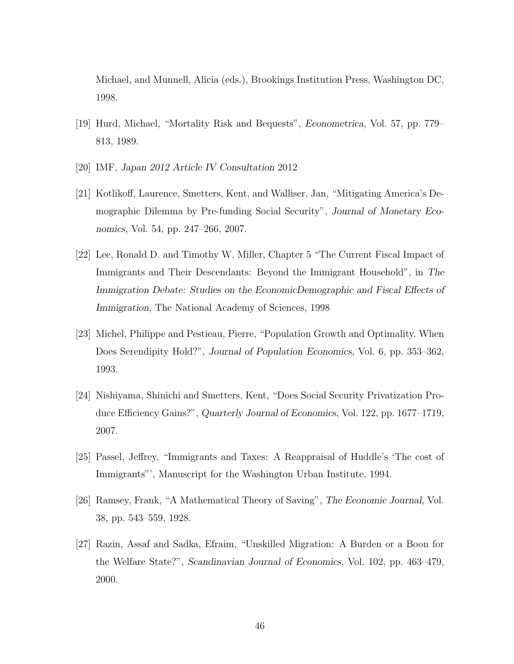Michael, and Munnell, Alicia (eds.), Brookings Institution Press, Washington DC, 1998.

- [19] Hurd, Michael, "Mortality Risk and Bequests", Econometrica, Vol. 57, pp. 779– 813, 1989.
- [20] IMF, Japan 2012 Article IV Consultation 2012
- [21] Kotlikoff, Laurence, Smetters, Kent, and Walliser, Jan, "Mitigating America's Demographic Dilemma by Pre-funding Social Security", Journal of Monetary Economics, Vol. 54, pp. 247–266, 2007.
- [22] Lee, Ronald D. and Timothy W. Miller, Chapter 5 "The Current Fiscal Impact of Immigrants and Their Descendants: Beyond the Immigrant Household", in The Immigration Debate: Studies on the EconomicDemographic and Fiscal Effects of Immigration, The National Academy of Sciences, 1998
- [23] Michel, Philippe and Pestieau, Pierre, "Population Growth and Optimality. When Does Serendipity Hold?", Journal of Population Economics, Vol. 6, pp. 353–362, 1993.
- [24] Nishiyama, Shinichi and Smetters, Kent, "Does Social Security Privatization Produce Efficiency Gains?", Quarterly Journal of Economics, Vol. 122, pp. 1677–1719, 2007.
- [25] Passel, Jeffrey, "Immigrants and Taxes: A Reappraisal of Huddle's 'The cost of Immigrants"', Manuscript for the Washington Urban Institute, 1994.
- [26] Ramsey, Frank, "A Mathematical Theory of Saving", The Economic Journal, Vol. 38, pp. 543–559, 1928.
- [27] Razin, Assaf and Sadka, Efraim, "Unskilled Migration: A Burden or a Boon for the Welfare State?", Scandinavian Journal of Economics, Vol. 102, pp. 463–479, 2000.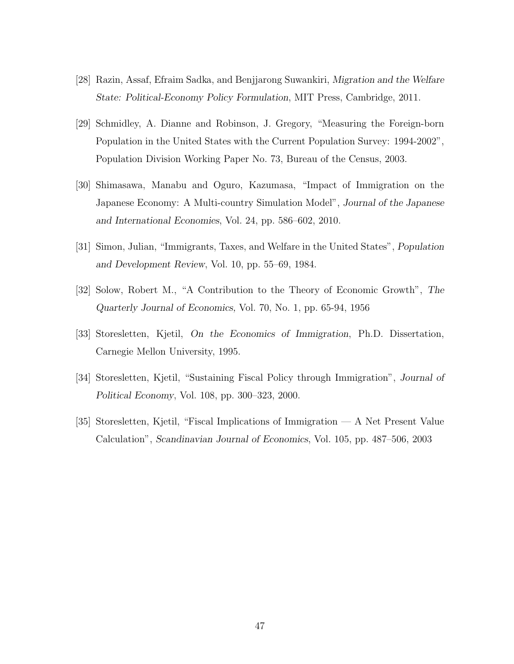- [28] Razin, Assaf, Efraim Sadka, and Benjjarong Suwankiri, Migration and the Welfare State: Political-Economy Policy Formulation, MIT Press, Cambridge, 2011.
- [29] Schmidley, A. Dianne and Robinson, J. Gregory, "Measuring the Foreign-born Population in the United States with the Current Population Survey: 1994-2002", Population Division Working Paper No. 73, Bureau of the Census, 2003.
- [30] Shimasawa, Manabu and Oguro, Kazumasa, "Impact of Immigration on the Japanese Economy: A Multi-country Simulation Model", Journal of the Japanese and International Economies, Vol. 24, pp. 586–602, 2010.
- [31] Simon, Julian, "Immigrants, Taxes, and Welfare in the United States", Population and Development Review, Vol. 10, pp. 55–69, 1984.
- [32] Solow, Robert M., "A Contribution to the Theory of Economic Growth", The Quarterly Journal of Economics, Vol. 70, No. 1, pp. 65-94, 1956
- [33] Storesletten, Kjetil, On the Economics of Immigration, Ph.D. Dissertation, Carnegie Mellon University, 1995.
- [34] Storesletten, Kjetil, "Sustaining Fiscal Policy through Immigration", Journal of Political Economy, Vol. 108, pp. 300–323, 2000.
- [35] Storesletten, Kjetil, "Fiscal Implications of Immigration A Net Present Value Calculation", Scandinavian Journal of Economics, Vol. 105, pp. 487–506, 2003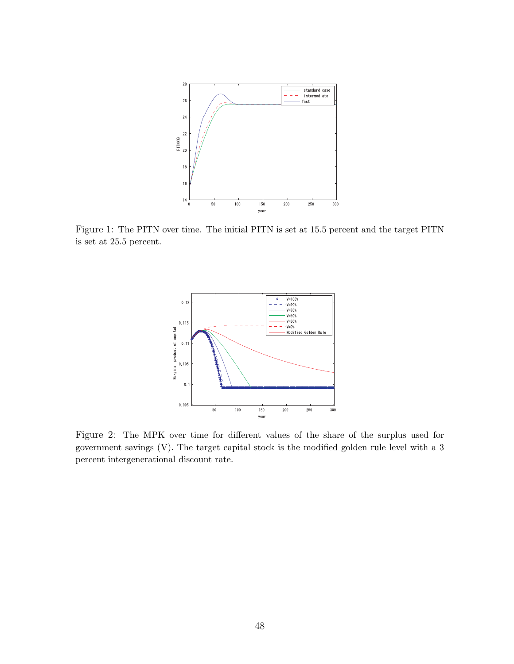

Figure 1: The PITN over time. The initial PITN is set at 15.5 percent and the target PITN is set at 25.5 percent.



Figure 2: The MPK over time for different values of the share of the surplus used for government savings (V). The target capital stock is the modified golden rule level with a 3 percent intergenerational discount rate.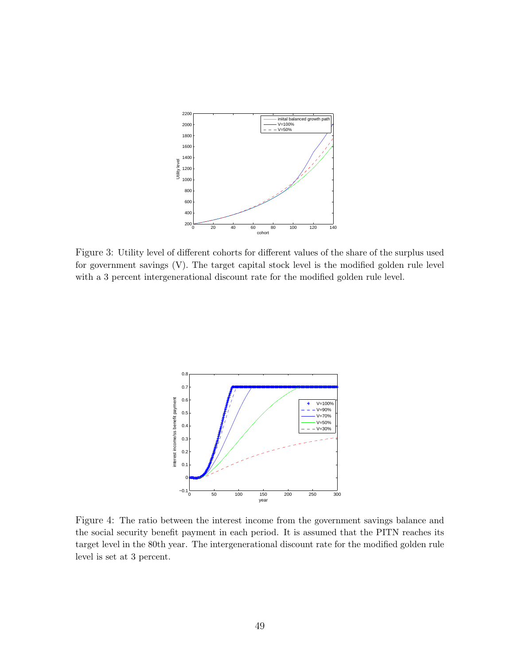

Figure 3: Utility level of different cohorts for different values of the share of the surplus used for government savings (V). The target capital stock level is the modified golden rule level with a 3 percent intergenerational discount rate for the modified golden rule level.



Figure 4: The ratio between the interest income from the government savings balance and the social security benefit payment in each period. It is assumed that the PITN reaches its target level in the 80th year. The intergenerational discount rate for the modified golden rule level is set at 3 percent.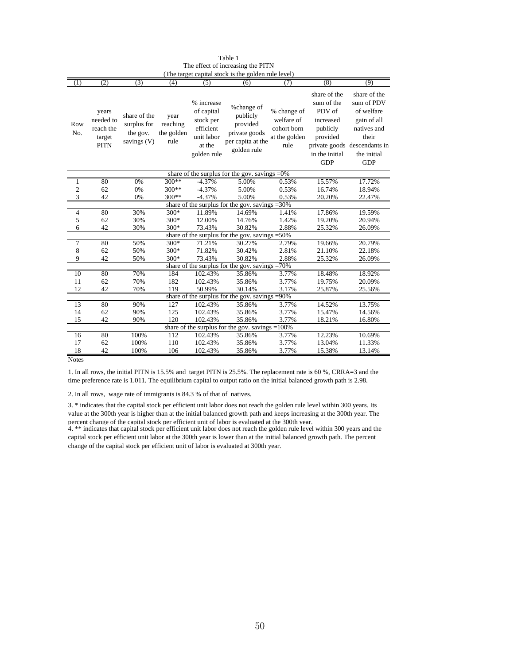| (1)               | (2)                                                     | (3)          | (4)        | (5)         | (The target capital stock is the golden rule level)<br>(6) | (7)           | (8)            | (9)                          |  |
|-------------------|---------------------------------------------------------|--------------|------------|-------------|------------------------------------------------------------|---------------|----------------|------------------------------|--|
|                   |                                                         |              |            |             |                                                            |               |                |                              |  |
|                   |                                                         |              |            |             |                                                            |               | share of the   | share of the                 |  |
|                   |                                                         |              |            | % increase  | %change of                                                 |               | sum of the     | sum of PDV                   |  |
|                   | years                                                   | share of the | year       | of capital  | publicly                                                   | % change of   | PDV of         | of welfare                   |  |
| Row               | needed to                                               | surplus for  | reaching   | stock per   | provided                                                   | welfare of    | increased      | gain of all                  |  |
| No.               | reach the                                               | the gov.     | the golden | efficient   | private goods                                              | cohort born   | publicly       | natives and                  |  |
|                   | target                                                  |              |            | unit labor  |                                                            | at the golden | provided       | their                        |  |
|                   | <b>PITN</b>                                             | savings (V)  | rule       | at the      | per capita at the                                          | rule          |                | private goods descendants in |  |
|                   |                                                         |              |            | golden rule | golden rule                                                |               | in the initial | the initial                  |  |
|                   |                                                         |              |            |             |                                                            |               | <b>GDP</b>     | <b>GDP</b>                   |  |
|                   |                                                         |              |            |             |                                                            |               |                |                              |  |
|                   | 80                                                      | 0%           | $300**$    | $-4.37%$    | share of the surplus for the gov. savings $=0\%$<br>5.00%  | 0.53%         | 15.57%         | 17.72%                       |  |
| 1<br>$\mathbf{2}$ | 62                                                      | 0%           | 300**      | $-4.37%$    | 5.00%                                                      | 0.53%         | 16.74%         | 18.94%                       |  |
| 3                 | 42                                                      |              | 300**      | $-4.37%$    | 5.00%                                                      | 0.53%         | 20.20%         | 22.47%                       |  |
|                   | 0%<br>share of the surplus for the gov. savings $=30\%$ |              |            |             |                                                            |               |                |                              |  |
| $\overline{4}$    | 80                                                      | 30%          | 300*       | 11.89%      | 14.69%                                                     | 1.41%         | 17.86%         | 19.59%                       |  |
| 5                 | 62                                                      | 30%          | 300*       | 12.00%      | 14.76%                                                     | 1.42%         | 19.20%         | 20.94%                       |  |
| 6                 | 42                                                      | 30%          | 300*       | 73.43%      | 30.82%                                                     | 2.88%         | 25.32%         | 26.09%                       |  |
|                   |                                                         |              |            |             | share of the surplus for the gov. savings                  | $= 50%$       |                |                              |  |
| $\overline{7}$    | 80                                                      | 50%          | 300*       | 71.21%      | 30.27%                                                     | 2.79%         | 19.66%         | 20.79%                       |  |
| 8                 | 62                                                      | 50%          | 300*       | 71.82%      | 30.42%                                                     | 2.81%         | 21.10%         | 22.18%                       |  |
| 9                 | 42                                                      | 50%          | 300*       | 73.43%      | 30.82%                                                     | 2.88%         | 25.32%         | 26.09%                       |  |
|                   |                                                         |              |            |             | share of the surplus for the gov. savings                  | $=70%$        |                |                              |  |
| 10                | 80                                                      | 70%          | 184        | 102.43%     | 35.86%                                                     | 3.77%         | 18.48%         | 18.92%                       |  |
| 11                | 62                                                      | 70%          | 182        | 102.43%     | 35.86%                                                     | 3.77%         | 19.75%         | 20.09%                       |  |
| 12                | 42                                                      | 70%          | 119        | 50.99%      | 30.14%                                                     | 3.17%         | 25.87%         | 25.56%                       |  |
|                   |                                                         |              |            |             | share of the surplus for the gov. savings                  | $= 90%$       |                |                              |  |
| 13                | 80                                                      | 90%          | 127        | 102.43%     | 35.86%                                                     | 3.77%         | 14.52%         | 13.75%                       |  |
| 14                | 62                                                      | 90%          | 125        | 102.43%     | 35.86%                                                     | 3.77%         | 15.47%         | 14.56%                       |  |
| 15                | 42                                                      | 90%          | 120        | 102.43%     | 35.86%                                                     | 3.77%         | 18.21%         | 16.80%                       |  |
|                   |                                                         |              |            |             | share of the surplus for the gov. savings $=100\%$         |               |                |                              |  |
| 16                | 80                                                      | 100%         | 112        | 102.43%     | 35.86%                                                     | 3.77%         | 12.23%         | 10.69%                       |  |
| 17                | 62                                                      | 100%         | 110        | 102.43%     | 35.86%                                                     | 3.77%         | 13.04%         | 11.33%                       |  |
| 18                | 42                                                      | 100%         | 106        | 102.43%     | 35.86%                                                     | 3.77%         | 15.38%         | 13.14%                       |  |

Table 1 The effect of increasing the PITN<br>rect conital stock is the golden rule le (The target capital stock is the golden rule level)

**Notes** 

1. In all rows, the initial PITN is 15.5% and target PITN is 25.5%. The replacement rate is 60 %, CRRA=3 and the time preference rate is 1.011. The equilibrium capital to output ratio on the initial balanced growth path is 2.98.

2. In all rows, wage rate of immigrants is 84.3 % of that of natives.

percent change of the capital stock per efficient unit of labor is evaluated at the 300th vear.<br>4. \*\* indicates that capital stock per efficient unit labor does not reach the golden rule level within 300 years and the 3. \* indicates that the capital stock per efficient unit labor does not reach the golden rule level within 300 years. Its value at the 300th year is higher than at the initial balanced growth path and keeps increasing at the 300th year. The

capital stock per efficient unit labor at the 300th year is lower than at the initial balanced growth path. The percent change of the capital stock per efficient unit of labor is evaluated at 300th year.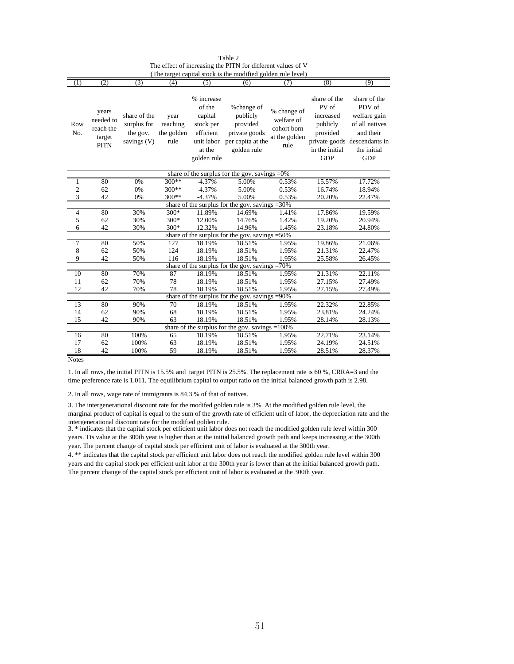| (1)                                             | (2)                                                      | (3)                                                    | (4)                                    | (5)                                                                                              | (6)                                                                                     | (7)                                                               | (8)                                                                                        | (9)                                                                                                                                |  |
|-------------------------------------------------|----------------------------------------------------------|--------------------------------------------------------|----------------------------------------|--------------------------------------------------------------------------------------------------|-----------------------------------------------------------------------------------------|-------------------------------------------------------------------|--------------------------------------------------------------------------------------------|------------------------------------------------------------------------------------------------------------------------------------|--|
| Row<br>No.                                      | years<br>needed to<br>reach the<br>target<br><b>PITN</b> | share of the<br>surplus for<br>the gov.<br>savings (V) | year<br>reaching<br>the golden<br>rule | % increase<br>of the<br>capital<br>stock per<br>efficient<br>unit labor<br>at the<br>golden rule | %change of<br>publicly<br>provided<br>private goods<br>per capita at the<br>golden rule | % change of<br>welfare of<br>cohort born<br>at the golden<br>rule | share of the<br>PV of<br>increased<br>publicly<br>provided<br>in the initial<br><b>GDP</b> | share of the<br>PDV of<br>welfare gain<br>of all natives<br>and their<br>private goods descendants in<br>the initial<br><b>GDP</b> |  |
|                                                 |                                                          |                                                        |                                        |                                                                                                  | share of the surplus for the gov. savings $=0\%$                                        |                                                                   |                                                                                            |                                                                                                                                    |  |
| $\mathbf{1}$                                    | 80                                                       | 0%                                                     | $300**$                                | $-4.37%$                                                                                         | 5.00%                                                                                   | 0.53%                                                             | 15.57%                                                                                     | 17.72%                                                                                                                             |  |
| $\overline{\mathbf{c}}$                         | 62                                                       | 0%                                                     | 300**                                  | $-4.37%$                                                                                         | 5.00%                                                                                   | 0.53%                                                             | 16.74%                                                                                     | 18.94%                                                                                                                             |  |
| 3                                               | 42                                                       | 0%                                                     | $300**$                                | $-4.37%$                                                                                         | 5.00%                                                                                   | 0.53%                                                             | 20.20%                                                                                     | 22.47%                                                                                                                             |  |
|                                                 | share of the surplus for the gov. savings = 30%          |                                                        |                                        |                                                                                                  |                                                                                         |                                                                   |                                                                                            |                                                                                                                                    |  |
| $\overline{4}$                                  | 80                                                       | 30%                                                    | 300*                                   | 11.89%                                                                                           | 14.69%                                                                                  | 1.41%                                                             | 17.86%                                                                                     | 19.59%                                                                                                                             |  |
| 5                                               | 62                                                       | 30%                                                    | 300*                                   | 12.00%                                                                                           | 14.76%                                                                                  | 1.42%                                                             | 19.20%                                                                                     | 20.94%                                                                                                                             |  |
| 6                                               | 42                                                       | 30%                                                    | 300*                                   | 12.32%                                                                                           | 14.96%                                                                                  | 1.45%                                                             | 23.18%                                                                                     | 24.80%                                                                                                                             |  |
| share of the surplus for the gov. savings = 50% |                                                          |                                                        |                                        |                                                                                                  |                                                                                         |                                                                   |                                                                                            |                                                                                                                                    |  |
| $\overline{7}$                                  | 80                                                       | 50%                                                    | 127                                    | 18.19%                                                                                           | 18.51%                                                                                  | 1.95%                                                             | 19.86%                                                                                     | 21.06%                                                                                                                             |  |
| 8                                               | 62                                                       | 50%                                                    | 124                                    | 18.19%                                                                                           | 18.51%                                                                                  | 1.95%                                                             | 21.31%                                                                                     | 22.47%                                                                                                                             |  |
| 9                                               | 42                                                       | 50%                                                    | 116                                    | 18.19%                                                                                           | 18.51%                                                                                  | 1.95%                                                             | 25.58%                                                                                     | 26.45%                                                                                                                             |  |
|                                                 |                                                          |                                                        |                                        |                                                                                                  | share of the surplus for the gov. savings $=70\%$                                       |                                                                   |                                                                                            |                                                                                                                                    |  |
| 10                                              | 80                                                       | 70%                                                    | 87                                     | 18.19%                                                                                           | 18.51%                                                                                  | 1.95%                                                             | 21.31%                                                                                     | 22.11%                                                                                                                             |  |
| 11                                              | 62                                                       | 70%                                                    | 78                                     | 18.19%                                                                                           | 18.51%                                                                                  | 1.95%                                                             | 27.15%                                                                                     | 27.49%                                                                                                                             |  |
| 12                                              | 42                                                       | 70%                                                    | 78                                     | 18.19%                                                                                           | 18.51%                                                                                  | 1.95%                                                             | 27.15%                                                                                     | 27.49%                                                                                                                             |  |
|                                                 |                                                          |                                                        |                                        |                                                                                                  | share of the surplus for the gov. savings =90%                                          |                                                                   |                                                                                            |                                                                                                                                    |  |
| 13                                              | 80                                                       | 90%                                                    | 70                                     | 18.19%                                                                                           | 18.51%                                                                                  | 1.95%                                                             | 22.32%                                                                                     | 22.85%                                                                                                                             |  |
| 14                                              | 62                                                       | 90%                                                    | 68                                     | 18.19%                                                                                           | 18.51%                                                                                  | 1.95%                                                             | 23.81%                                                                                     | 24.24%                                                                                                                             |  |
| 15                                              | 42                                                       | 90%                                                    | 63                                     | 18.19%                                                                                           | 18.51%                                                                                  | 1.95%                                                             | 28.14%                                                                                     | 28.13%                                                                                                                             |  |
|                                                 |                                                          |                                                        |                                        |                                                                                                  | share of the surplus for the gov. savings $=100\%$                                      |                                                                   |                                                                                            |                                                                                                                                    |  |
| 16                                              | 80                                                       | 100%                                                   | 65                                     | 18.19%                                                                                           | 18.51%                                                                                  | 1.95%                                                             | 22.71%                                                                                     | 23.14%                                                                                                                             |  |
| 17                                              | 62                                                       | 100%                                                   | 63                                     | 18.19%                                                                                           | 18.51%                                                                                  | 1.95%                                                             | 24.19%                                                                                     | 24.51%                                                                                                                             |  |
| 18                                              | 42                                                       | 100%                                                   | 59                                     | 18.19%                                                                                           | 18.51%                                                                                  | 1.95%                                                             | 28.51%                                                                                     | 28.37%                                                                                                                             |  |

Table 2 The effect of increasing the PITN for different values of V (The target capital stock is the modified golden rule level)

Notes

1. In all rows, the initial PITN is 15.5% and target PITN is 25.5%. The replacement rate is 60 %, CRRA=3 and the time preference rate is 1.011. The equilibrium capital to output ratio on the initial balanced growth path is 2.98.

2. In all rows, wage rate of immigrants is 84.3 % of that of natives.

3. The intergenerational discount rate for the modifed golden rule is 3%. At the modified golden rule level, the marginal product of capital is equal to the sum of the growth rate of efficient unit of labor, the depreciation rate and the intergenerational discount rate for the modified golden rule.

3. \* indicates that the capital stock per efficient unit labor does not reach the modified golden rule level within 300 years. Tts value at the 300th year is higher than at the initial balanced growth path and keeps increasing at the 300th year. The percent change of capital stock per efficient unit of labor is evaluated at the 300th year.

4. \*\* indicates that the capital stock per efficient unit labor does not reach the modified golden rule level within 300 years and the capital stock per efficient unit labor at the 300th year is lower than at the initial balanced growth path. The percent change of the capital stock per efficient unit of labor is evaluated at the 300th year.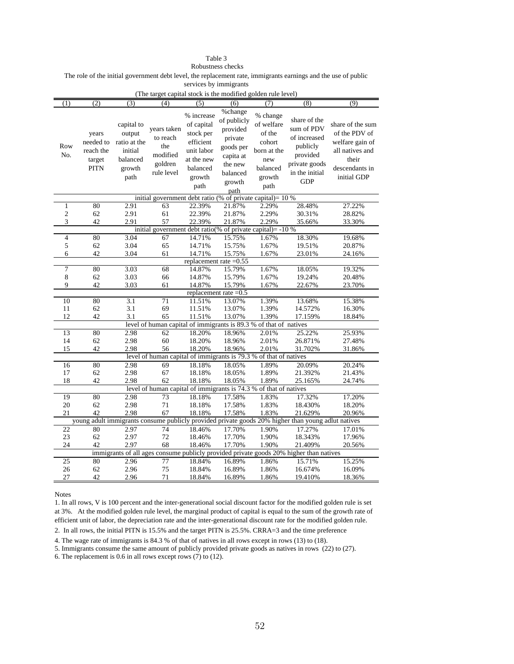## Table 3

Robustness checks

The role of the initial government debt level, the replacement rate, immigrants earnings and the use of public

services by immigrants

| (The target capital stock is the modified golden rule level) |             |              |                                                                   |                          |                         |             |                                                                                                    |                  |
|--------------------------------------------------------------|-------------|--------------|-------------------------------------------------------------------|--------------------------|-------------------------|-------------|----------------------------------------------------------------------------------------------------|------------------|
| (1)                                                          | (2)         | (3)          | (4)                                                               | (5)                      | $\overline{(6)}$        | (7)         | (8)                                                                                                | (9)              |
|                                                              |             |              |                                                                   |                          | %change                 |             |                                                                                                    |                  |
|                                                              |             |              |                                                                   | % increase               | of publicly             | % change    | share of the                                                                                       |                  |
|                                                              |             | capital to   | years taken                                                       | of capital               | provided                | of welfare  | sum of PDV                                                                                         | share of the sum |
|                                                              | years       | output       | to reach                                                          | stock per                | private                 | of the      | of increased                                                                                       | of the PDV of    |
| Row                                                          | needed to   | ratio at the | the                                                               | efficient                |                         | cohort      | publicly                                                                                           | welfare gain of  |
|                                                              | reach the   | initial      |                                                                   | unit labor               | goods per               | born at the |                                                                                                    | all natives and  |
| No.                                                          | target      | balanced     | modified                                                          | at the new               | capita at               | new         | provided                                                                                           | their            |
|                                                              | <b>PITN</b> | growth       | goldren                                                           | balanced                 | the new                 | balanced    | private goods                                                                                      | descendants in   |
|                                                              |             | path         | rule level                                                        | growth                   | balanced                | growth      | in the initial                                                                                     | initial GDP      |
|                                                              |             |              |                                                                   |                          | growth                  |             | <b>GDP</b>                                                                                         |                  |
|                                                              |             |              |                                                                   | path                     | path                    | path        |                                                                                                    |                  |
|                                                              |             |              | initial government debt ratio (% of private capital)= 10 %        |                          |                         |             |                                                                                                    |                  |
| 1                                                            | 80          | 2.91         | 63                                                                | 22.39%                   | 21.87%                  | 2.29%       | 28.48%                                                                                             | 27.22%           |
| $\overline{c}$                                               | 62          | 2.91         | 61                                                                | 22.39%                   | 21.87%                  | 2.29%       | 30.31%                                                                                             | 28.82%           |
| 3                                                            | 42          | 2.91         | 57                                                                | 22.39%                   | 21.87%                  | 2.29%       | 35.66%                                                                                             | 33.30%           |
|                                                              |             |              | initial government debt ratio(% of private capital)= -10 %        |                          |                         |             |                                                                                                    |                  |
| 4                                                            | 80          | 3.04         | 67                                                                | 14.71%                   | 15.75%                  | 1.67%       | 18.30%                                                                                             | 19.68%           |
| 5                                                            | 62          | 3.04         | 65                                                                | 14.71%                   | 15.75%                  | 1.67%       | 19.51%                                                                                             | 20.87%           |
| 6                                                            | 42          | 3.04         | 61                                                                | 14.71%                   | 15.75%                  | 1.67%       | 23.01%                                                                                             | 24.16%           |
|                                                              |             |              |                                                                   | replacement rate $=0.55$ |                         |             |                                                                                                    |                  |
| $\overline{7}$                                               | 80          | 3.03         | 68                                                                | 14.87%                   | 15.79%                  | 1.67%       | 18.05%                                                                                             | 19.32%           |
| 8                                                            | 62          | 3.03         | 66                                                                | 14.87%                   | 15.79%                  | 1.67%       | 19.24%                                                                                             | 20.48%           |
| 9                                                            | 42          | 3.03         | 61                                                                | 14.87%                   | 15.79%                  | 1.67%       | 22.67%                                                                                             | 23.70%           |
|                                                              |             |              |                                                                   |                          | replacement rate $=0.5$ |             |                                                                                                    |                  |
| 10                                                           | 80          | 3.1          | 71                                                                | 11.51%                   | 13.07%                  | 1.39%       | 13.68%                                                                                             | 15.38%           |
| 11                                                           | 62          | 3.1          | 69                                                                | 11.51%                   | 13.07%                  | 1.39%       | 14.572%                                                                                            | 16.30%           |
| 12                                                           | 42          | 3.1          | 65                                                                | 11.51%                   | 13.07%                  | 1.39%       | 17.159%                                                                                            | 18.84%           |
|                                                              |             |              | level of human capital of immigrants is 89.3 % of that of natives |                          |                         |             |                                                                                                    |                  |
| 13                                                           | 80          | 2.98         | 62                                                                | 18.20%                   | 18.96%                  | 2.01%       | 25.22%                                                                                             | 25.93%           |
| 14                                                           | 62          | 2.98         | 60                                                                | 18.20%                   | 18.96%                  | 2.01%       | 26.871%                                                                                            | 27.48%           |
| 15                                                           | 42          | 2.98         | 56                                                                | 18.20%                   | 18.96%                  | 2.01%       | 31.702%                                                                                            | 31.86%           |
|                                                              |             |              | level of human capital of immigrants is 79.3 % of that of natives |                          |                         |             |                                                                                                    |                  |
| 16                                                           | 80          | 2.98         | 69                                                                | 18.18%                   | 18.05%                  | 1.89%       | 20.09%                                                                                             | 20.24%           |
| 17                                                           | 62          | 2.98         | 67                                                                | 18.18%                   | 18.05%                  | 1.89%       | 21.392%                                                                                            | 21.43%           |
| 18                                                           | 42          | 2.98         | 62                                                                | 18.18%                   | 18.05%                  | 1.89%       | 25.165%                                                                                            | 24.74%           |
|                                                              |             |              | level of human capital of immigrants is 74.3 % of that of natives |                          |                         |             |                                                                                                    |                  |
| 19                                                           | 80          | 2.98         | 73                                                                | 18.18%                   | 17.58%                  | 1.83%       | 17.32%                                                                                             | 17.20%           |
| 20                                                           | 62          | 2.98         | 71                                                                | 18.18%                   | 17.58%                  | 1.83%       | 18.430%                                                                                            | 18.20%           |
| 21                                                           | 42          | 2.98         | 67                                                                | 18.18%                   | 17.58%                  | 1.83%       | 21.629%                                                                                            | 20.96%           |
|                                                              |             |              |                                                                   |                          |                         |             | young adult immigrants consume publicly provided private goods 20% higher than young adlut natives |                  |
| 22                                                           | 80          | 2.97         | $\overline{74}$                                                   | 18.46%                   | 17.70%                  | 1.90%       | 17.27%                                                                                             | 17.01%           |
| 23                                                           | 62          | 2.97         | 72                                                                | 18.46%                   | 17.70%                  | 1.90%       | 18.343%                                                                                            | 17.96%           |
| 24                                                           | 42          | 2.97         | 68                                                                | 18.46%                   | 17.70%                  | 1.90%       | 21.409%                                                                                            | 20.56%           |
|                                                              |             |              |                                                                   |                          |                         |             | immigrants of all ages consume publicly provided private goods 20% higher than natives             |                  |
| 25                                                           | 80          | 2.96         | 77                                                                | 18.84%                   | 16.89%                  | 1.86%       | 15.71%                                                                                             | 15.25%           |
| 26                                                           | 62          | 2.96         | 75                                                                | 18.84%                   | 16.89%                  | 1.86%       | 16.674%                                                                                            | 16.09%           |
| 27                                                           | 42          | 2.96         | 71                                                                | 18.84%                   | 16.89%                  | 1.86%       | 19.410%                                                                                            | 18.36%           |

Notes

1. In all rows, V is 100 percent and the inter-generational social discount factor for the modified golden rule is set at 3%. At the modified golden rule level, the marginal product of capital is equal to the sum of the growth rate of efficient unit of labor, the depreciation rate and the inter-generational discount rate for the modified golden rule.

2. In all rows, the initial PITN is 15.5% and the target PITN is 25.5%. CRRA=3 and the time preference

4. The wage rate of immigrants is 84.3 % of that of natives in all rows except in rows (13) to (18).

5. Immigrants consume the same amount of publicly provided private goods as natives in rows (22) to (27).

6. The replacement is 0.6 in all rows except rows (7) to (12).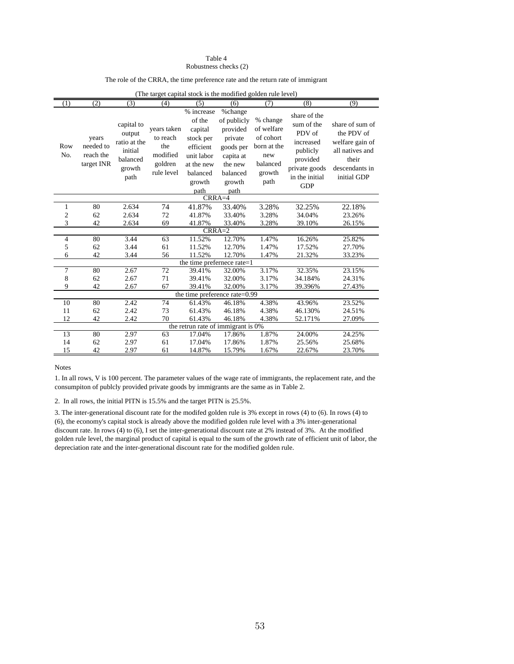#### Robustness checks (2) Table 4

#### The role of the CRRA, the time preference rate and the return rate of immigrant

| (The target capital stock is the modified golden rule level) |                                               |                                                                               |                                                                     |                                                                                                                     |                                                                                                                  |                                                                                         |                                                                                                                            |                                                                                                               |  |
|--------------------------------------------------------------|-----------------------------------------------|-------------------------------------------------------------------------------|---------------------------------------------------------------------|---------------------------------------------------------------------------------------------------------------------|------------------------------------------------------------------------------------------------------------------|-----------------------------------------------------------------------------------------|----------------------------------------------------------------------------------------------------------------------------|---------------------------------------------------------------------------------------------------------------|--|
| (1)                                                          | (2)                                           | (3)                                                                           | (4)                                                                 | (5)                                                                                                                 | (6)                                                                                                              | (7)                                                                                     | (8)                                                                                                                        | (9)                                                                                                           |  |
| Row<br>No.                                                   | years<br>needed to<br>reach the<br>target INR | capital to<br>output<br>ratio at the<br>initial<br>balanced<br>growth<br>path | years taken<br>to reach<br>the<br>modified<br>goldren<br>rule level | % increase<br>of the<br>capital<br>stock per<br>efficient<br>unit labor<br>at the new<br>balanced<br>growth<br>path | %change<br>of publicly<br>provided<br>private<br>goods per<br>capita at<br>the new<br>balanced<br>growth<br>path | % change<br>of welfare<br>of cohort<br>born at the<br>new<br>balanced<br>growth<br>path | share of the<br>sum of the<br>PDV of<br>increased<br>publicly<br>provided<br>private goods<br>in the initial<br><b>GDP</b> | share of sum of<br>the PDV of<br>welfare gain of<br>all natives and<br>their<br>descendants in<br>initial GDP |  |
|                                                              | $CRRA=4$                                      |                                                                               |                                                                     |                                                                                                                     |                                                                                                                  |                                                                                         |                                                                                                                            |                                                                                                               |  |
| 1                                                            | 80                                            | 2.634                                                                         | 74                                                                  | 41.87%                                                                                                              | 33.40%                                                                                                           | 3.28%                                                                                   | 32.25%                                                                                                                     | 22.18%                                                                                                        |  |
| $\overline{c}$                                               | 62                                            | 2.634                                                                         | 72                                                                  | 41.87%                                                                                                              | 33.40%                                                                                                           | 3.28%                                                                                   | 34.04%                                                                                                                     | 23.26%                                                                                                        |  |
| 3                                                            | 42                                            | 2.634                                                                         | 69                                                                  | 41.87%                                                                                                              | 33.40%                                                                                                           | 3.28%                                                                                   | 39.10%                                                                                                                     | 26.15%                                                                                                        |  |
|                                                              |                                               |                                                                               |                                                                     | $CRRA=2$                                                                                                            |                                                                                                                  |                                                                                         |                                                                                                                            |                                                                                                               |  |
| $\overline{4}$                                               | 80                                            | 3.44                                                                          | 63                                                                  | 11.52%                                                                                                              | 12.70%                                                                                                           | 1.47%                                                                                   | 16.26%                                                                                                                     | 25.82%                                                                                                        |  |
| 5                                                            | 62                                            | 3.44                                                                          | 61                                                                  | 11.52%                                                                                                              | 12.70%                                                                                                           | 1.47%                                                                                   | 17.52%                                                                                                                     | 27.70%                                                                                                        |  |
| 6                                                            | 42                                            | 3.44                                                                          | 56                                                                  | 11.52%                                                                                                              | 12.70%                                                                                                           | 1.47%                                                                                   | 21.32%                                                                                                                     | 33.23%                                                                                                        |  |
|                                                              |                                               |                                                                               |                                                                     |                                                                                                                     | the time prefernece rate=1                                                                                       |                                                                                         |                                                                                                                            |                                                                                                               |  |
| $\overline{7}$                                               | 80                                            | 2.67                                                                          | 72                                                                  | 39.41%                                                                                                              | 32.00%                                                                                                           | 3.17%                                                                                   | 32.35%                                                                                                                     | 23.15%                                                                                                        |  |
| 8                                                            | 62                                            | 2.67                                                                          | 71                                                                  | 39.41%                                                                                                              | 32.00%                                                                                                           | 3.17%                                                                                   | 34.184%                                                                                                                    | 24.31%                                                                                                        |  |
| 9                                                            | 42                                            | 2.67                                                                          | 67                                                                  | 39.41%                                                                                                              | 32.00%                                                                                                           | 3.17%                                                                                   | 39.396%                                                                                                                    | 27.43%                                                                                                        |  |
|                                                              |                                               |                                                                               |                                                                     |                                                                                                                     | the time preference rate=0.99                                                                                    |                                                                                         |                                                                                                                            |                                                                                                               |  |
| 10                                                           | 80                                            | 2.42                                                                          | 74                                                                  | 61.43%                                                                                                              | 46.18%                                                                                                           | 4.38%                                                                                   | 43.96%                                                                                                                     | 23.52%                                                                                                        |  |
| 11                                                           | 62                                            | 2.42                                                                          | 73                                                                  | 61.43%                                                                                                              | 46.18%                                                                                                           | 4.38%                                                                                   | 46.130%                                                                                                                    | 24.51%                                                                                                        |  |
| 12                                                           | 42                                            | 2.42                                                                          | 70                                                                  | 61.43%                                                                                                              | 46.18%                                                                                                           | 4.38%                                                                                   | 52.171%                                                                                                                    | 27.09%                                                                                                        |  |
|                                                              |                                               |                                                                               |                                                                     |                                                                                                                     | the retrun rate of immigrant is 0%                                                                               |                                                                                         |                                                                                                                            |                                                                                                               |  |
| 13                                                           | 80                                            | 2.97                                                                          | 63                                                                  | 17.04%                                                                                                              | 17.86%                                                                                                           | 1.87%                                                                                   | 24.00%                                                                                                                     | 24.25%                                                                                                        |  |
| 14                                                           | 62                                            | 2.97                                                                          | 61                                                                  | 17.04%                                                                                                              | 17.86%                                                                                                           | 1.87%                                                                                   | 25.56%                                                                                                                     | 25.68%                                                                                                        |  |
| 15                                                           | 42                                            | 2.97                                                                          | 61                                                                  | 14.87%                                                                                                              | 15.79%                                                                                                           | 1.67%                                                                                   | 22.67%                                                                                                                     | 23.70%                                                                                                        |  |

Notes

1. In all rows, V is 100 percent. The parameter values of the wage rate of immigrants, the replacement rate, and the consumpiton of publcly provided private goods by immigrants are the same as in Table 2.

2. In all rows, the initial PITN is 15.5% and the target PITN is 25.5%.

3. The inter-generational discount rate for the modifed golden rule is 3% except in rows (4) to (6). In rows (4) to (6), the economy's capital stock is already above the modified golden rule level with a 3% inter-generational discount rate. In rows (4) to (6), I set the inter-generational discount rate at 2% instead of 3%. At the modified golden rule level, the marginal product of capital is equal to the sum of the growth rate of efficient unit of labor, the depreciation rate and the inter-generational discount rate for the modified golden rule.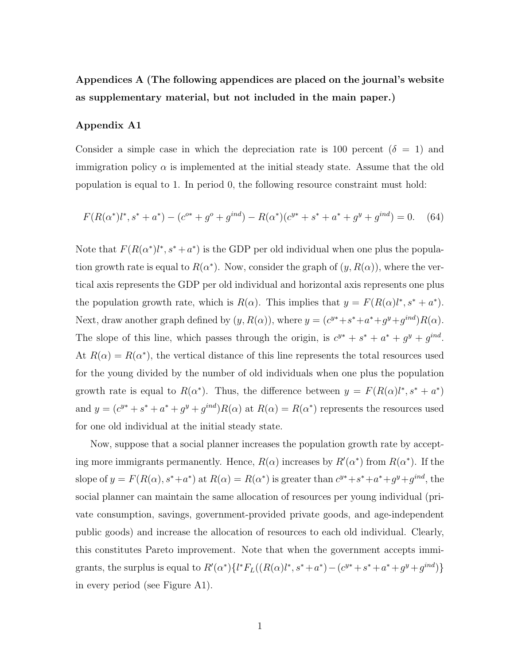Appendices A (The following appendices are placed on the journal's website as supplementary material, but not included in the main paper.)

## Appendix A1

Consider a simple case in which the depreciation rate is 100 percent ( $\delta = 1$ ) and immigration policy  $\alpha$  is implemented at the initial steady state. Assume that the old population is equal to 1. In period 0, the following resource constraint must hold:

$$
F(R(\alpha^*)l^*, s^* + a^*) - (c^{o*} + g^o + g^{ind}) - R(\alpha^*)(c^{y*} + s^* + a^* + g^y + g^{ind}) = 0. \tag{64}
$$

Note that  $F(R(\alpha^*)l^*, s^* + a^*)$  is the GDP per old individual when one plus the population growth rate is equal to  $R(\alpha^*)$ . Now, consider the graph of  $(y, R(\alpha))$ , where the vertical axis represents the GDP per old individual and horizontal axis represents one plus the population growth rate, which is  $R(\alpha)$ . This implies that  $y = F(R(\alpha)l^*, s^* + a^*)$ . Next, draw another graph defined by  $(y, R(\alpha))$ , where  $y = (c^{y*} + s^* + a^* + g^{y} + g^{ind})R(\alpha)$ . The slope of this line, which passes through the origin, is  $c^{y*} + s^* + a^* + g^{y} + g^{ind}$ . At  $R(\alpha) = R(\alpha^*)$ , the vertical distance of this line represents the total resources used for the young divided by the number of old individuals when one plus the population growth rate is equal to  $R(\alpha^*)$ . Thus, the difference between  $y = F(R(\alpha)l^*, s^* + a^*)$ and  $y = (c^{y*} + s^* + a^* + g^{y} + g^{ind})R(\alpha)$  at  $R(\alpha) = R(\alpha^*)$  represents the resources used for one old individual at the initial steady state.

Now, suppose that a social planner increases the population growth rate by accepting more immigrants permanently. Hence,  $R(\alpha)$  increases by  $R'(\alpha^*)$  from  $R(\alpha^*)$ . If the slope of  $y = F(R(\alpha), s^* + a^*)$  at  $R(\alpha) = R(\alpha^*)$  is greater than  $c^{y*} + s^* + a^* + g^y + g^{ind}$ , the social planner can maintain the same allocation of resources per young individual (private consumption, savings, government-provided private goods, and age-independent public goods) and increase the allocation of resources to each old individual. Clearly, this constitutes Pareto improvement. Note that when the government accepts immigrants, the surplus is equal to  $R'(\alpha^*)\{l^*F_L((R(\alpha)l^*, s^* + a^*) - (c^{y*} + s^* + a^* + g^{y} + g^{ind})\}\$ in every period (see Figure A1).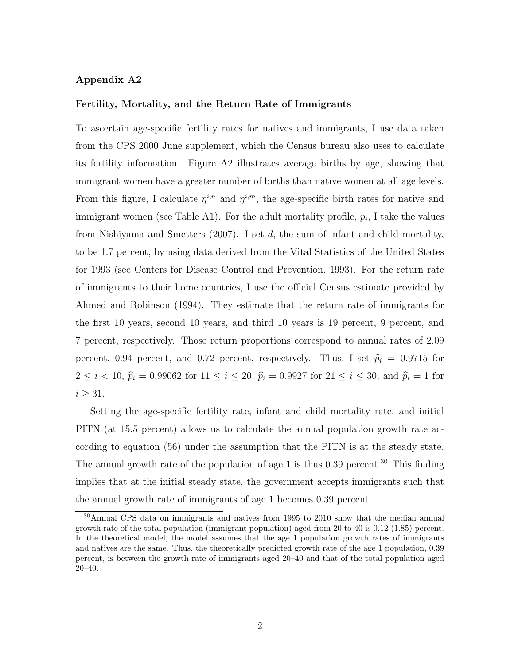## Appendix A2

## Fertility, Mortality, and the Return Rate of Immigrants

To ascertain age-specific fertility rates for natives and immigrants, I use data taken from the CPS 2000 June supplement, which the Census bureau also uses to calculate its fertility information. Figure A2 illustrates average births by age, showing that immigrant women have a greater number of births than native women at all age levels. From this figure, I calculate  $\eta^{i,n}$  and  $\eta^{i,m}$ , the age-specific birth rates for native and immigrant women (see Table A1). For the adult mortality profile,  $p_i$ , I take the values from Nishiyama and Smetters (2007). I set d, the sum of infant and child mortality, to be 1.7 percent, by using data derived from the Vital Statistics of the United States for 1993 (see Centers for Disease Control and Prevention, 1993). For the return rate of immigrants to their home countries, I use the official Census estimate provided by Ahmed and Robinson (1994). They estimate that the return rate of immigrants for the first 10 years, second 10 years, and third 10 years is 19 percent, 9 percent, and 7 percent, respectively. Those return proportions correspond to annual rates of 2.09 percent, 0.94 percent, and 0.72 percent, respectively. Thus, I set  $\hat{p}_i = 0.9715$  for  $2 \le i < 10$ ,  $\hat{p}_i = 0.99062$  for  $11 \le i \le 20$ ,  $\hat{p}_i = 0.9927$  for  $21 \le i \le 30$ , and  $\hat{p}_i = 1$  for  $i \geq 31$ .

Setting the age-specific fertility rate, infant and child mortality rate, and initial PITN (at 15.5 percent) allows us to calculate the annual population growth rate according to equation (56) under the assumption that the PITN is at the steady state. The annual growth rate of the population of age 1 is thus 0.39 percent.<sup>30</sup> This finding implies that at the initial steady state, the government accepts immigrants such that the annual growth rate of immigrants of age 1 becomes 0.39 percent.

<sup>30</sup>Annual CPS data on immigrants and natives from 1995 to 2010 show that the median annual growth rate of the total population (immigrant population) aged from 20 to 40 is 0.12 (1.85) percent. In the theoretical model, the model assumes that the age 1 population growth rates of immigrants and natives are the same. Thus, the theoretically predicted growth rate of the age 1 population, 0.39 percent, is between the growth rate of immigrants aged 20–40 and that of the total population aged 20–40.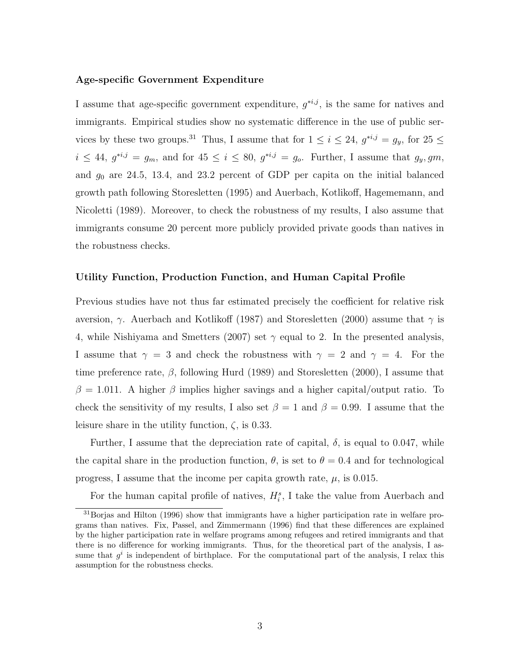## Age-specific Government Expenditure

I assume that age-specific government expenditure,  $g^{*,j}$ , is the same for natives and immigrants. Empirical studies show no systematic difference in the use of public services by these two groups.<sup>31</sup> Thus, I assume that for  $1 \le i \le 24$ ,  $g^{*i,j} = g_y$ , for  $25 \le$  $i \leq 44$ ,  $g^{*i,j} = g_m$ , and for  $45 \leq i \leq 80$ ,  $g^{*i,j} = g_o$ . Further, I assume that  $g_y, gm$ , and  $g_0$  are 24.5, 13.4, and 23.2 percent of GDP per capita on the initial balanced growth path following Storesletten (1995) and Auerbach, Kotlikoff, Hagememann, and Nicoletti (1989). Moreover, to check the robustness of my results, I also assume that immigrants consume 20 percent more publicly provided private goods than natives in the robustness checks.

### Utility Function, Production Function, and Human Capital Profile

Previous studies have not thus far estimated precisely the coefficient for relative risk aversion,  $\gamma$ . Auerbach and Kotlikoff (1987) and Storesletten (2000) assume that  $\gamma$  is 4, while Nishiyama and Smetters (2007) set  $\gamma$  equal to 2. In the presented analysis, I assume that  $\gamma = 3$  and check the robustness with  $\gamma = 2$  and  $\gamma = 4$ . For the time preference rate,  $\beta$ , following Hurd (1989) and Storesletten (2000), I assume that  $\beta = 1.011$ . A higher  $\beta$  implies higher savings and a higher capital/output ratio. To check the sensitivity of my results, I also set  $\beta = 1$  and  $\beta = 0.99$ . I assume that the leisure share in the utility function,  $\zeta$ , is 0.33.

Further, I assume that the depreciation rate of capital,  $\delta$ , is equal to 0.047, while the capital share in the production function,  $\theta$ , is set to  $\theta = 0.4$  and for technological progress, I assume that the income per capita growth rate,  $\mu$ , is 0.015.

For the human capital profile of natives,  $H_i^s$ , I take the value from Auerbach and

<sup>31</sup>Borjas and Hilton (1996) show that immigrants have a higher participation rate in welfare programs than natives. Fix, Passel, and Zimmermann (1996) find that these differences are explained by the higher participation rate in welfare programs among refugees and retired immigrants and that there is no difference for working immigrants. Thus, for the theoretical part of the analysis, I assume that  $g^i$  is independent of birthplace. For the computational part of the analysis, I relax this assumption for the robustness checks.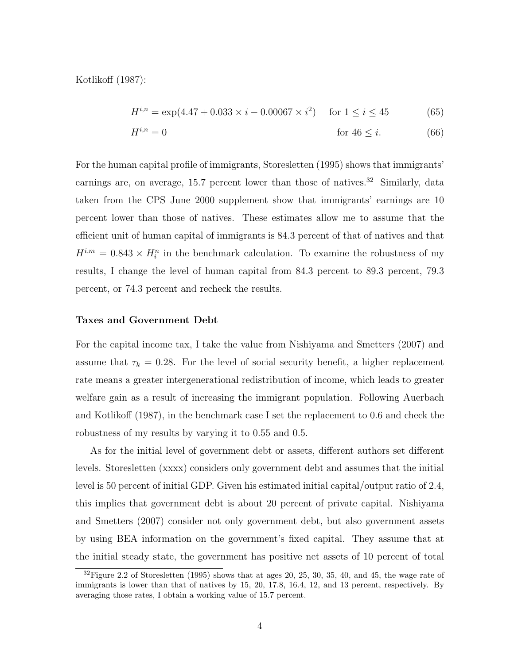Kotlikoff (1987):

$$
H^{i,n} = \exp(4.47 + 0.033 \times i - 0.00067 \times i^2) \quad \text{for } 1 \le i \le 45 \tag{65}
$$

$$
H^{i,n} = 0 \qquad \text{for } 46 \le i. \tag{66}
$$

For the human capital profile of immigrants, Storesletten (1995) shows that immigrants' earnings are, on average, 15.7 percent lower than those of natives.<sup>32</sup> Similarly, data taken from the CPS June 2000 supplement show that immigrants' earnings are 10 percent lower than those of natives. These estimates allow me to assume that the efficient unit of human capital of immigrants is 84.3 percent of that of natives and that  $H^{i,m} = 0.843 \times H_i^n$  in the benchmark calculation. To examine the robustness of my results, I change the level of human capital from 84.3 percent to 89.3 percent, 79.3 percent, or 74.3 percent and recheck the results.

## Taxes and Government Debt

For the capital income tax, I take the value from Nishiyama and Smetters (2007) and assume that  $\tau_k = 0.28$ . For the level of social security benefit, a higher replacement rate means a greater intergenerational redistribution of income, which leads to greater welfare gain as a result of increasing the immigrant population. Following Auerbach and Kotlikoff (1987), in the benchmark case I set the replacement to 0.6 and check the robustness of my results by varying it to 0.55 and 0.5.

As for the initial level of government debt or assets, different authors set different levels. Storesletten (xxxx) considers only government debt and assumes that the initial level is 50 percent of initial GDP. Given his estimated initial capital/output ratio of 2.4, this implies that government debt is about 20 percent of private capital. Nishiyama and Smetters (2007) consider not only government debt, but also government assets by using BEA information on the government's fixed capital. They assume that at the initial steady state, the government has positive net assets of 10 percent of total

 $32$  Figure 2.2 of Storesletten (1995) shows that at ages 20, 25, 30, 35, 40, and 45, the wage rate of immigrants is lower than that of natives by 15, 20, 17.8, 16.4, 12, and 13 percent, respectively. By averaging those rates, I obtain a working value of 15.7 percent.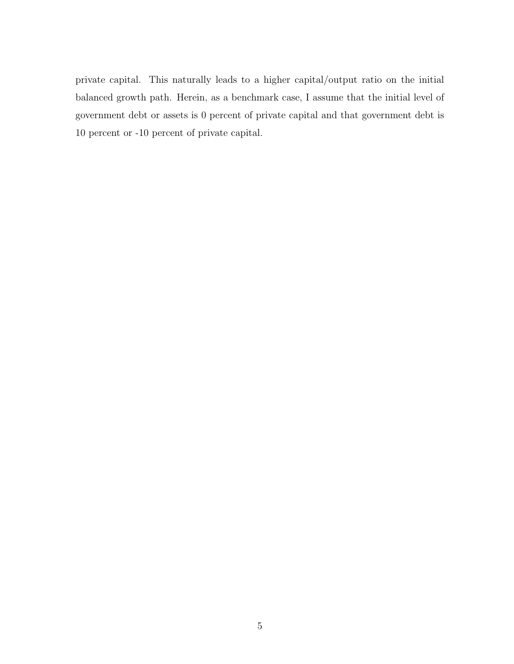private capital. This naturally leads to a higher capital/output ratio on the initial balanced growth path. Herein, as a benchmark case, I assume that the initial level of government debt or assets is 0 percent of private capital and that government debt is 10 percent or -10 percent of private capital.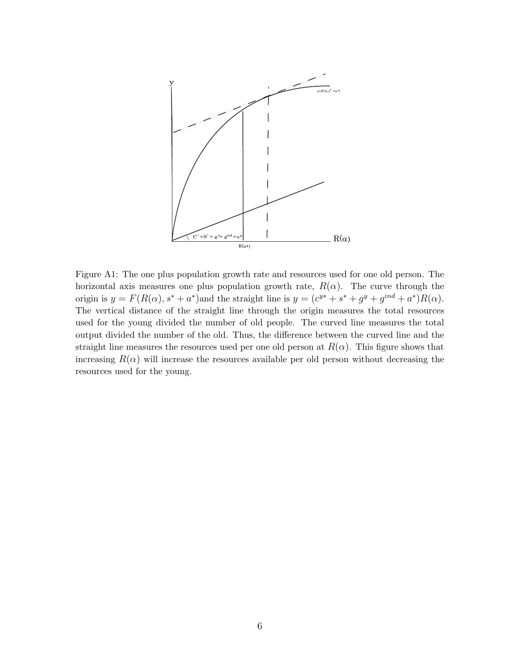

Figure A1: The one plus population growth rate and resources used for one old person. The horizontal axis measures one plus population growth rate,  $R(\alpha)$ . The curve through the origin is  $y = F(R(\alpha), s^* + a^*)$  and the straight line is  $y = (c^{y*} + s^* + g^y + g^{ind} + a^*)R(\alpha)$ . The vertical distance of the straight line through the origin measures the total resources used for the young divided the number of old people. The curved line measures the total output divided the number of the old. Thus, the difference between the curved line and the straight line measures the resources used per one old person at  $R(\alpha)$ . This figure shows that increasing  $R(\alpha)$  will increase the resources available per old person without decreasing the resources used for the young.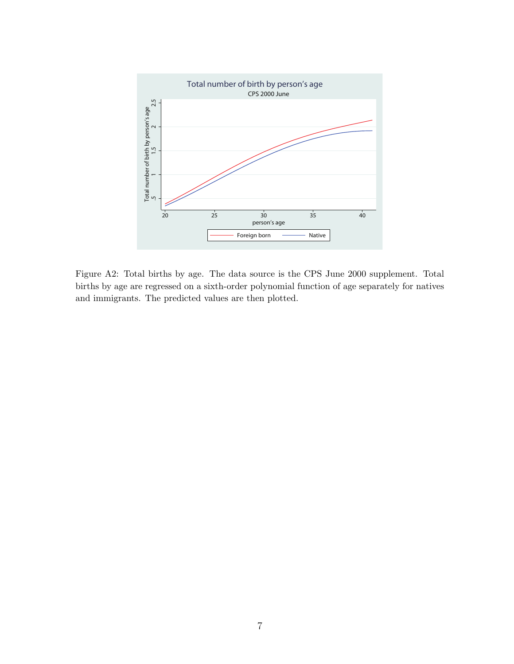

Figure A2: Total births by age. The data source is the CPS June 2000 supplement. Total births by age are regressed on a sixth-order polynomial function of age separately for natives and immigrants. The predicted values are then plotted.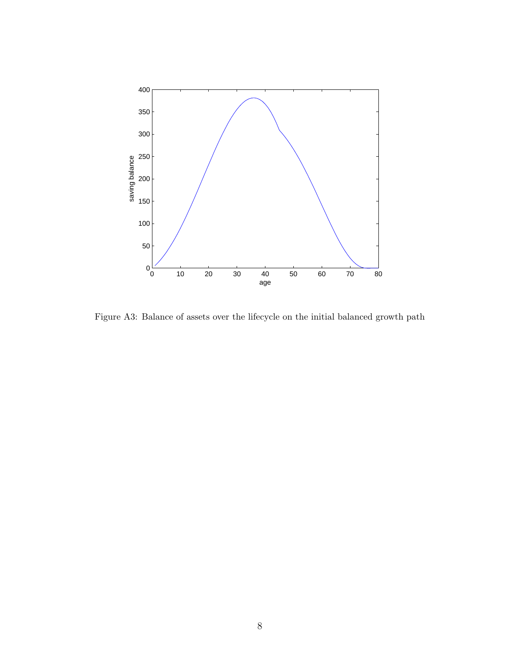

Figure A3: Balance of assets over the lifecycle on the initial balanced growth path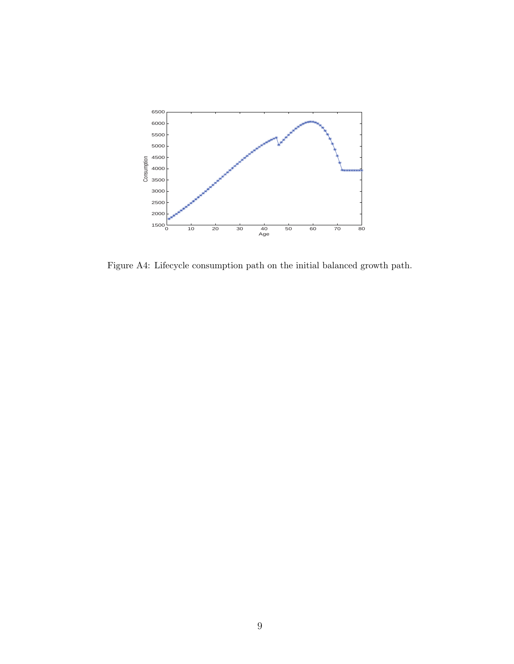

Figure A4: Lifecycle consumption path on the initial balanced growth path.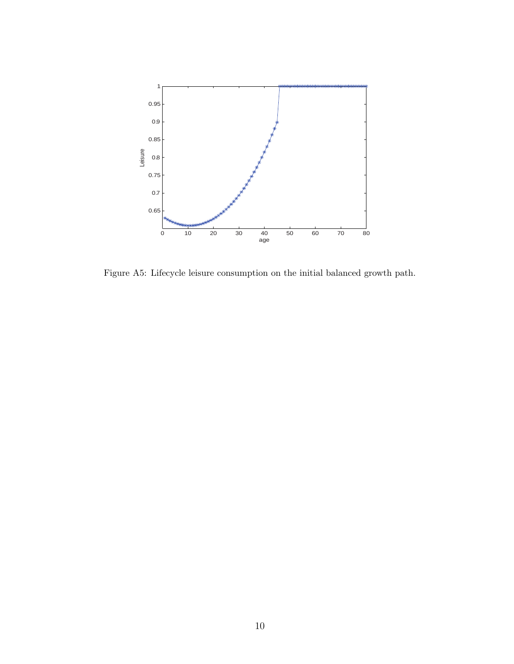

Figure A5: Lifecycle leisure consumption on the initial balanced growth path.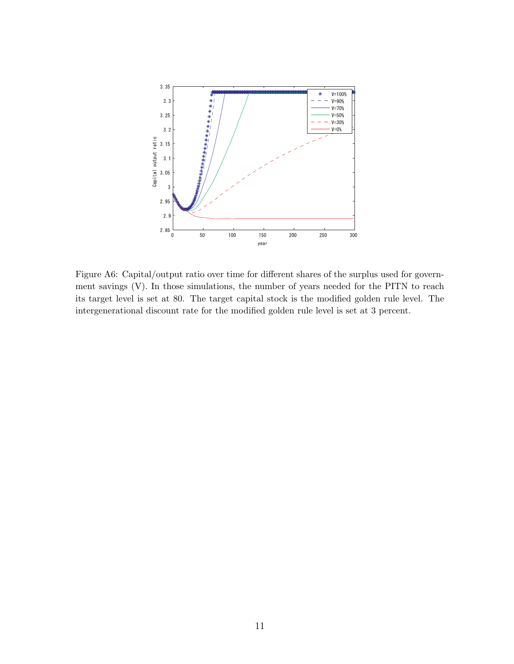

Figure A6: Capital/output ratio over time for different shares of the surplus used for government savings (V). In those simulations, the number of years needed for the PITN to reach its target level is set at 80. The target capital stock is the modified golden rule level. The intergenerational discount rate for the modified golden rule level is set at 3 percent.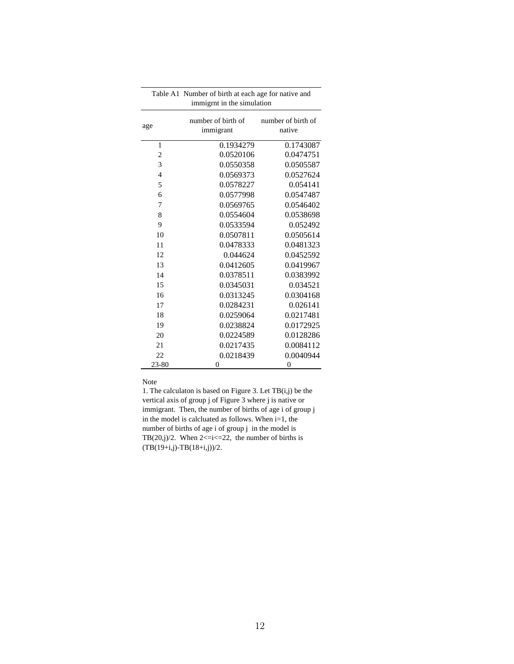| Table A1 Number of birth at each age for native and<br>immigrnt in the simulation |                                 |                              |  |  |  |  |  |
|-----------------------------------------------------------------------------------|---------------------------------|------------------------------|--|--|--|--|--|
| age                                                                               | number of birth of<br>immigrant | number of birth of<br>native |  |  |  |  |  |
| 1                                                                                 | 0.1934279                       | 0.1743087                    |  |  |  |  |  |
| $\overline{2}$                                                                    | 0.0520106                       | 0.0474751                    |  |  |  |  |  |
| 3                                                                                 | 0.0550358                       | 0.0505587                    |  |  |  |  |  |
| $\overline{4}$                                                                    | 0.0569373                       | 0.0527624                    |  |  |  |  |  |
| 5                                                                                 | 0.0578227                       | 0.054141                     |  |  |  |  |  |
| 6                                                                                 | 0.0577998                       | 0.0547487                    |  |  |  |  |  |
| 7                                                                                 | 0.0569765                       | 0.0546402                    |  |  |  |  |  |
| 8                                                                                 | 0.0554604                       | 0.0538698                    |  |  |  |  |  |
| 9                                                                                 | 0.0533594                       | 0.052492                     |  |  |  |  |  |
| 10                                                                                | 0.0507811                       | 0.0505614                    |  |  |  |  |  |
| 11                                                                                | 0.0478333                       | 0.0481323                    |  |  |  |  |  |
| 12                                                                                | 0.044624                        | 0.0452592                    |  |  |  |  |  |
| 13                                                                                | 0.0412605                       | 0.0419967                    |  |  |  |  |  |
| 14                                                                                | 0.0378511                       | 0.0383992                    |  |  |  |  |  |
| 15                                                                                | 0.0345031                       | 0.034521                     |  |  |  |  |  |
| 16                                                                                | 0.0313245                       | 0.0304168                    |  |  |  |  |  |
| 17                                                                                | 0.0284231                       | 0.026141                     |  |  |  |  |  |
| 18                                                                                | 0.0259064                       | 0.0217481                    |  |  |  |  |  |
| 19                                                                                | 0.0238824                       | 0.0172925                    |  |  |  |  |  |
| 20                                                                                | 0.0224589                       | 0.0128286                    |  |  |  |  |  |
| 21                                                                                | 0.0217435                       | 0.0084112                    |  |  |  |  |  |
| 22                                                                                | 0.0218439                       | 0.0040944                    |  |  |  |  |  |
| 23-80                                                                             | 0                               | $\overline{0}$               |  |  |  |  |  |

Note

1. The calculaton is based on Figure 3. Let TB(i,j) be the vertical axis of group j of Figure 3 where j is native or immigrant. Then, the number of births of age i of group j in the model is calcluated as follows. When i=1, the number of births of age i of group j in the model is TB $(20,j)/2$ . When  $2 \le i \le 22$ , the number of births is (TB(19+i,j)-TB(18+i,j))/2.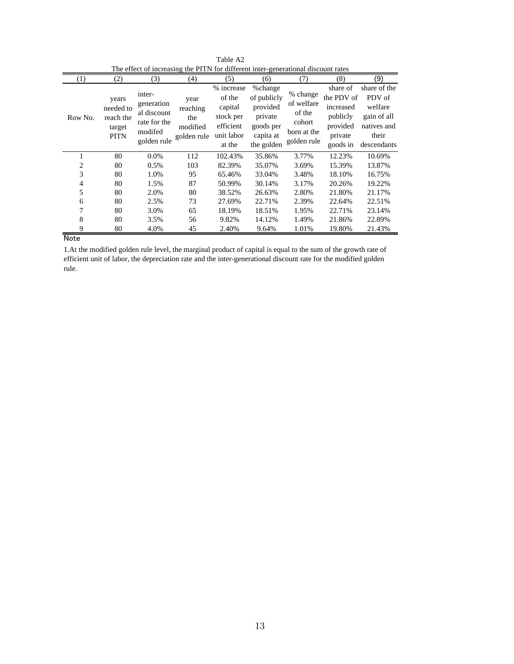| $\scriptstyle{(1)}$ | (2)                                                      | (3)                                                                           | (4)                                                | (5)                                                                               | (6)                                                                                   | (7)                                                                      | (8)                                                                                | (9)                                                                                     |
|---------------------|----------------------------------------------------------|-------------------------------------------------------------------------------|----------------------------------------------------|-----------------------------------------------------------------------------------|---------------------------------------------------------------------------------------|--------------------------------------------------------------------------|------------------------------------------------------------------------------------|-----------------------------------------------------------------------------------------|
| Row No.             | years<br>needed to<br>reach the<br>target<br><b>PITN</b> | inter-<br>generation<br>al discount<br>rate for the<br>modifed<br>golden rule | year<br>reaching<br>the<br>modified<br>golden rule | % increase<br>of the<br>capital<br>stock per<br>efficient<br>unit labor<br>at the | %change<br>of publicly<br>provided<br>private<br>goods per<br>capita at<br>the golden | % change<br>of welfare<br>of the<br>cohort<br>born at the<br>golden rule | share of<br>the PDV of<br>increased<br>publicly<br>provided<br>private<br>goods in | share of the<br>PDV of<br>welfare<br>gain of all<br>natives and<br>their<br>descendants |
|                     | 80                                                       | 0.0%                                                                          | 112                                                | 102.43%                                                                           | 35.86%                                                                                | 3.77%                                                                    | 12.23%                                                                             | 10.69%                                                                                  |
| 2                   | 80                                                       | 0.5%                                                                          | 103                                                | 82.39%                                                                            | 35.07%                                                                                | 3.69%                                                                    | 15.39%                                                                             | 13.87%                                                                                  |
| 3                   | 80                                                       | 1.0%                                                                          | 95                                                 | 65.46%                                                                            | 33.04%                                                                                | 3.48%                                                                    | 18.10%                                                                             | 16.75%                                                                                  |
| 4                   | 80                                                       | 1.5%                                                                          | 87                                                 | 50.99%                                                                            | 30.14%                                                                                | 3.17%                                                                    | 20.26%                                                                             | 19.22%                                                                                  |
| 5                   | 80                                                       | 2.0%                                                                          | 80                                                 | 38.52%                                                                            | 26.63%                                                                                | 2.80%                                                                    | 21.80%                                                                             | 21.17%                                                                                  |
| 6                   | 80                                                       | 2.5%                                                                          | 73                                                 | 27.69%                                                                            | 22.71%                                                                                | 2.39%                                                                    | 22.64%                                                                             | 22.51%                                                                                  |
| 7                   | 80                                                       | 3.0%                                                                          | 65                                                 | 18.19%                                                                            | 18.51%                                                                                | 1.95%                                                                    | 22.71%                                                                             | 23.14%                                                                                  |
| 8                   | 80                                                       | 3.5%                                                                          | 56                                                 | 9.82%                                                                             | 14.12%                                                                                | 1.49%                                                                    | 21.86%                                                                             | 22.89%                                                                                  |
| 9                   | 80                                                       | 4.0%                                                                          | 45                                                 | 2.40%                                                                             | 9.64%                                                                                 | 1.01%                                                                    | 19.80%                                                                             | 21.43%                                                                                  |

Table A2 The effect of increasing the PITN for different inter-generational discount rates

Note

1.At the modified golden rule level, the marginal product of capital is equal to the sum of the growth rate of efficient unit of labor, the depreciation rate and the inter-generational discount rate for the modified golden rule.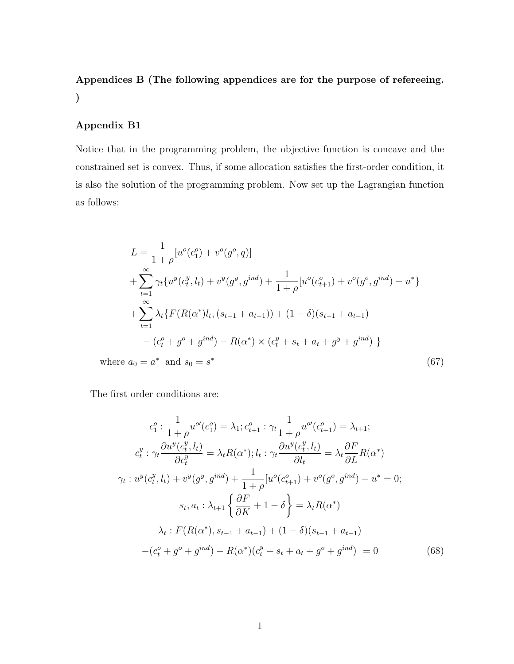# Appendices B (The following appendices are for the purpose of refereeing. )

## Appendix B1

Notice that in the programming problem, the objective function is concave and the constrained set is convex. Thus, if some allocation satisfies the first-order condition, it is also the solution of the programming problem. Now set up the Lagrangian function as follows:

$$
L = \frac{1}{1+\rho} [u^o(c_1^o) + v^o(g^o, q)]
$$
  
+ 
$$
\sum_{t=1}^{\infty} \gamma_t \{ u^y(c_t^y, l_t) + v^y(g^y, g^{ind}) + \frac{1}{1+\rho} [u^o(c_{t+1}^o) + v^o(g^o, g^{ind}) - u^* \}
$$
  
+ 
$$
\sum_{t=1}^{\infty} \lambda_t \{ F(R(\alpha^*)l_t, (s_{t-1} + a_{t-1})) + (1 - \delta)(s_{t-1} + a_{t-1})
$$
  
- 
$$
(c_t^o + g^o + g^{ind}) - R(\alpha^*) \times (c_t^y + s_t + a_t + g^y + g^{ind}) \}
$$
  
where  $a_0 = a^*$  and  $s_0 = s^*$  (67)

The first order conditions are:

$$
c_1^o: \frac{1}{1+\rho}u^{o'}(c_1^o) = \lambda_1; c_{t+1}^o: \gamma_t \frac{1}{1+\rho}u^{o'}(c_{t+1}^o) = \lambda_{t+1};
$$
  
\n
$$
c_t^y: \gamma_t \frac{\partial u^y(c_t^y, l_t)}{\partial c_t^y} = \lambda_t R(\alpha^*); l_t: \gamma_t \frac{\partial u^y(c_t^y, l_t)}{\partial l_t} = \lambda_t \frac{\partial F}{\partial L}R(\alpha^*)
$$
  
\n
$$
\gamma_t: u^y(c_t^y, l_t) + v^y(g^y, g^{ind}) + \frac{1}{1+\rho}[u^o(c_{t+1}^o) + v^o(g^o, g^{ind}) - u^* = 0;
$$
  
\n
$$
s_t, a_t: \lambda_{t+1} \left\{\frac{\partial F}{\partial K} + 1 - \delta\right\} = \lambda_t R(\alpha^*)
$$
  
\n
$$
\lambda_t: F(R(\alpha^*), s_{t-1} + a_{t-1}) + (1 - \delta)(s_{t-1} + a_{t-1})
$$
  
\n
$$
-(c_t^o + g^o + g^{ind}) - R(\alpha^*)(c_t^g + s_t + a_t + g^o + g^{ind}) = 0
$$
 (68)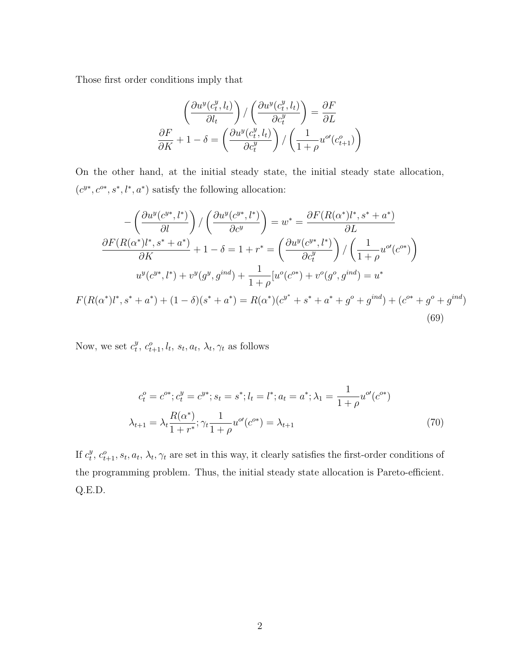Those first order conditions imply that

$$
\left(\frac{\partial u^y(c_t^y, l_t)}{\partial l_t}\right) / \left(\frac{\partial u^y(c_t^y, l_t)}{\partial c_t^y}\right) = \frac{\partial F}{\partial L}
$$

$$
\frac{\partial F}{\partial K} + 1 - \delta = \left(\frac{\partial u^y(c_t^y, l_t)}{\partial c_t^y}\right) / \left(\frac{1}{1 + \rho} u^{o\prime}(c_{t+1}^o)\right)
$$

On the other hand, at the initial steady state, the initial steady state allocation,  $(c^{y*}, c^{o*}, s^*, l^*, a^*)$  satisfy the following allocation:

$$
-\left(\frac{\partial u^{y}(c^{y*},l^{*})}{\partial l}\right) / \left(\frac{\partial u^{y}(c^{y*},l^{*})}{\partial c^{y}}\right) = w^{*} = \frac{\partial F(R(\alpha^{*})l^{*},s^{*}+a^{*})}{\partial L}
$$

$$
\frac{\partial F(R(\alpha^{*})l^{*},s^{*}+a^{*})}{\partial K} + 1 - \delta = 1 + r^{*} = \left(\frac{\partial u^{y}(c^{y*},l^{*})}{\partial c_{t}^{y}}\right) / \left(\frac{1}{1+\rho}u^{o\prime}(c^{o*})\right)
$$

$$
u^{y}(c^{y*},l^{*}) + v^{y}(g^{y},g^{ind}) + \frac{1}{1+\rho}[u^{o}(c^{o*}) + v^{o}(g^{o},g^{ind}) = u^{*}
$$

$$
F(R(\alpha^{*})l^{*},s^{*}+a^{*}) + (1-\delta)(s^{*}+a^{*}) = R(\alpha^{*})(c^{y^{*}}+s^{*}+a^{*}+g^{o}+g^{ind}) + (c^{o*}+g^{o}+g^{ind})
$$
(69)

Now, we set  $c_t^y$  $t^y$ ,  $c^o_{t+1}, l_t, s_t, a_t, \lambda_t, \gamma_t$  as follows

$$
c_t^o = c^{o*}; c_t^y = c^{y*}; s_t = s^*; l_t = l^*; a_t = a^*; \lambda_1 = \frac{1}{1+\rho} u^{o'}(c^{o*})
$$

$$
\lambda_{t+1} = \lambda_t \frac{R(\alpha^*)}{1+r^*}; \gamma_t \frac{1}{1+\rho} u^{o'}(c^{o*}) = \lambda_{t+1}
$$
(70)

If  $c_t^y$  $t, c<sub>t+1</sub>, s<sub>t</sub>, a<sub>t</sub>, \lambda<sub>t</sub>, \gamma<sub>t</sub>$  are set in this way, it clearly satisfies the first-order conditions of the programming problem. Thus, the initial steady state allocation is Pareto-efficient. Q.E.D.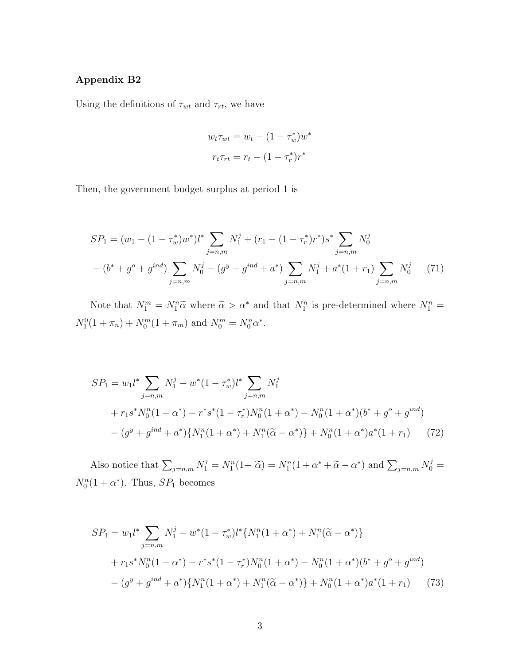## Appendix B2

Using the definitions of  $\tau_{wt}$  and  $\tau_{rt}$ , we have

$$
w_t \tau_{wt} = w_t - (1 - \tau_w^*) w^*
$$

$$
r_t \tau_{rt} = r_t - (1 - \tau_r^*) r^*
$$

Then, the government budget surplus at period 1 is

$$
SP_1 = (w_1 - (1 - \tau_w^*)w^*)l^* \sum_{j=n,m} N_1^j + (r_1 - (1 - \tau_r^*)r^*)s^* \sum_{j=n,m} N_0^j
$$

$$
- (b^* + g^o + g^{ind}) \sum_{j=n,m} N_0^j - (g^y + g^{ind} + a^*) \sum_{j=n,m} N_1^j + a^*(1 + r_1) \sum_{j=n,m} N_0^j \tag{71}
$$

Note that  $N_1^m = N_1^n \tilde{\alpha}$  where  $\tilde{\alpha} > \alpha^*$  and that  $N_1^n$  is pre-determined where  $N_1^n =$  $N_1^0(1 + \pi_n) + N_0^m(1 + \pi_m)$  and  $N_0^m = N_0^n \alpha^*$ .

$$
SP_1 = w_1 l^* \sum_{j=n,m} N_1^j - w^* (1 - \tau_w^*) l^* \sum_{j=n,m} N_1^j
$$
  
+  $r_1 s^* N_0^n (1 + \alpha^*) - r^* s^* (1 - \tau_r^*) N_0^n (1 + \alpha^*) - N_0^n (1 + \alpha^*) (b^* + g^o + g^{ind})$   
-  $(g^y + g^{ind} + a^*) \{ N_1^n (1 + \alpha^*) + N_1^n (\tilde{\alpha} - \alpha^*) \} + N_0^n (1 + \alpha^*) a^* (1 + r_1)$  (72)

Also notice that  $\sum_{j=n,m} N_1^j = N_1^n(1+\tilde{\alpha}) = N_1^n(1+\alpha^*+\tilde{\alpha}-\alpha^*)$  and  $\sum_{j=n,m} N_0^j =$  $N_0^n(1+\alpha^*)$ . Thus,  $SP_1$  becomes

$$
SP_1 = w_1 l^* \sum_{j=n,m} N_1^j - w^* (1 - \tau_w^*) l^* \{ N_1^n (1 + \alpha^*) + N_1^n (\tilde{\alpha} - \alpha^*) \}
$$
  
+  $r_1 s^* N_0^n (1 + \alpha^*) - r^* s^* (1 - \tau_r^*) N_0^n (1 + \alpha^*) - N_0^n (1 + \alpha^*) (b^* + g^0 + g^{ind})$   
-  $(g^y + g^{ind} + a^*) \{ N_1^n (1 + \alpha^*) + N_1^n (\tilde{\alpha} - \alpha^*) \} + N_0^n (1 + \alpha^*) a^* (1 + r_1)$  (73)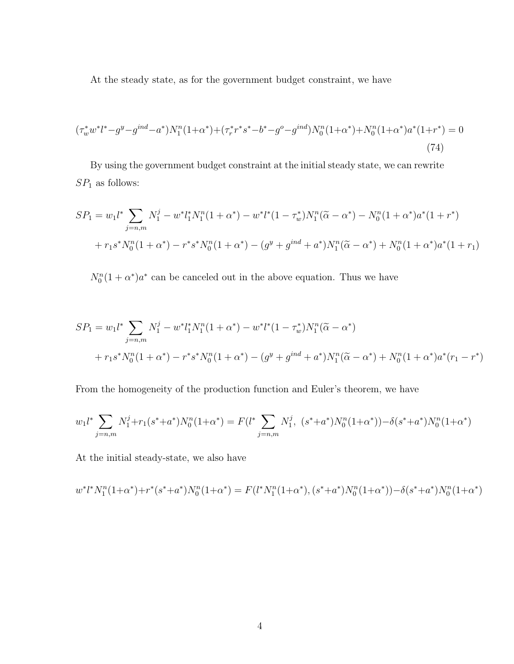At the steady state, as for the government budget constraint, we have

$$
(\tau_w^* w^* l^* - g^y - g^{ind} - a^*) N_1^n (1 + \alpha^*) + (\tau_r^* r^* s^* - b^* - g^0 - g^{ind}) N_0^n (1 + \alpha^*) + N_0^n (1 + \alpha^*) a^* (1 + r^*) = 0
$$
\n(74)

By using the government budget constraint at the initial steady state, we can rewrite  ${\cal SP}_1$  as follows:

$$
SP_1 = w_1 l^* \sum_{j=n,m} N_1^j - w^* l_1^* N_1^n (1 + \alpha^*) - w^* l^* (1 - \tau_w^*) N_1^n (\tilde{\alpha} - \alpha^*) - N_0^n (1 + \alpha^*) a^* (1 + r^*)
$$
  
+ 
$$
r_1 s^* N_0^n (1 + \alpha^*) - r^* s^* N_0^n (1 + \alpha^*) - (g^y + g^{ind} + a^*) N_1^n (\tilde{\alpha} - \alpha^*) + N_0^n (1 + \alpha^*) a^* (1 + r_1)
$$

 $N_0^n(1+\alpha^*)a^*$  can be canceled out in the above equation. Thus we have

$$
SP_1 = w_1 l^* \sum_{j=n,m} N_1^j - w^* l_1^* N_1^n (1 + \alpha^*) - w^* l^* (1 - \tau_w^*) N_1^n (\tilde{\alpha} - \alpha^*)
$$
  
+  $r_1 s^* N_0^n (1 + \alpha^*) - r^* s^* N_0^n (1 + \alpha^*) - (g^y + g^{ind} + a^*) N_1^n (\tilde{\alpha} - \alpha^*) + N_0^n (1 + \alpha^*) a^* (r_1 - r^*)$ 

From the homogeneity of the production function and Euler's theorem, we have

$$
w_1 l^* \sum_{j=n,m} N_1^j + r_1 (s^* + a^*) N_0^n (1 + \alpha^*) = F(l^* \sum_{j=n,m} N_1^j, (s^* + a^*) N_0^n (1 + \alpha^*) - \delta (s^* + a^*) N_0^n (1 + \alpha^*)
$$

At the initial steady-state, we also have

$$
w^*l^*N_1^n(1+\alpha^*) + r^*(s^*+a^*)N_0^n(1+\alpha^*) = F(l^*N_1^n(1+\alpha^*), (s^*+a^*)N_0^n(1+\alpha^*)) - \delta(s^*+a^*)N_0^n(1+\alpha^*)
$$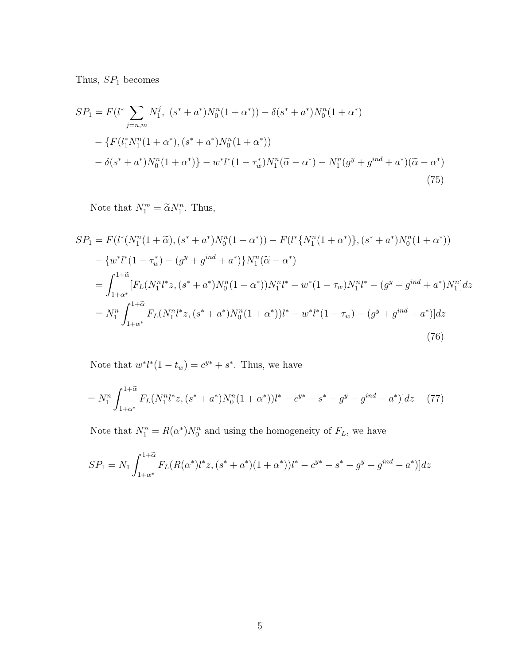Thus,  $SP<sub>1</sub>$  becomes

$$
SP_1 = F(l^* \sum_{j=n,m} N_1^j, (s^* + a^*)N_0^n(1 + \alpha^*)) - \delta(s^* + a^*)N_0^n(1 + \alpha^*)
$$
  
 
$$
- \{F(l_1^*N_1^n(1 + \alpha^*), (s^* + a^*)N_0^n(1 + \alpha^*))
$$
  
 
$$
- \delta(s^* + a^*)N_0^n(1 + \alpha^*)\} - w^*l^*(1 - \tau_w^*)N_1^n(\tilde{\alpha} - \alpha^*) - N_1^n(g^y + g^{ind} + a^*)(\tilde{\alpha} - \alpha^*)
$$
  
(75)

Note that  $N_1^m = \tilde{\alpha} N_1^n$ . Thus,

$$
SP_{1} = F(l^{*}(N_{1}^{n}(1+\tilde{\alpha}),(s^{*}+a^{*})N_{0}^{n}(1+\alpha^{*})) - F(l^{*}\{N_{1}^{n}(1+\alpha^{*})\},(s^{*}+a^{*})N_{0}^{n}(1+\alpha^{*}))
$$
  
\n
$$
- \{w^{*}l^{*}(1-\tau_{w}^{*}) - (g^{y}+g^{ind}+a^{*})\}N_{1}^{n}(\tilde{\alpha}-\alpha^{*})
$$
  
\n
$$
= \int_{1+\alpha^{*}}^{1+\tilde{\alpha}} [F_{L}(N_{1}^{n}l^{*}z,(s^{*}+a^{*})N_{0}^{n}(1+\alpha^{*}))N_{1}^{n}l^{*} - w^{*}(1-\tau_{w})N_{1}^{n}l^{*} - (g^{y}+g^{ind}+a^{*})N_{1}^{n}]dz
$$
  
\n
$$
= N_{1}^{n} \int_{1+\alpha^{*}}^{1+\tilde{\alpha}} F_{L}(N_{1}^{n}l^{*}z,(s^{*}+a^{*})N_{0}^{n}(1+\alpha^{*}))l^{*} - w^{*}l^{*}(1-\tau_{w}) - (g^{y}+g^{ind}+a^{*})]dz
$$
  
\n(76)

Note that  $w^*l^*(1-t_w) = c^{y*} + s^*$ . Thus, we have

$$
=N_1^n \int_{1+\alpha^*}^{1+\tilde{\alpha}} F_L(N_1^n l^* z, (s^* + a^*) N_0^n (1+\alpha^*)) l^* - c^{y*} - s^* - g^y - g^{ind} - a^*)]dz \quad (77)
$$

Note that  $N_1^n = R(\alpha^*)N_0^n$  and using the homogeneity of  $F_L$ , we have

$$
SP_1 = N_1 \int_{1+\alpha^*}^{1+\tilde{\alpha}} F_L(R(\alpha^*)l^*z, (s^* + a^*)(1+\alpha^*))l^* - c^{y*} - s^* - g^y - g^{ind} - a^*)]dz
$$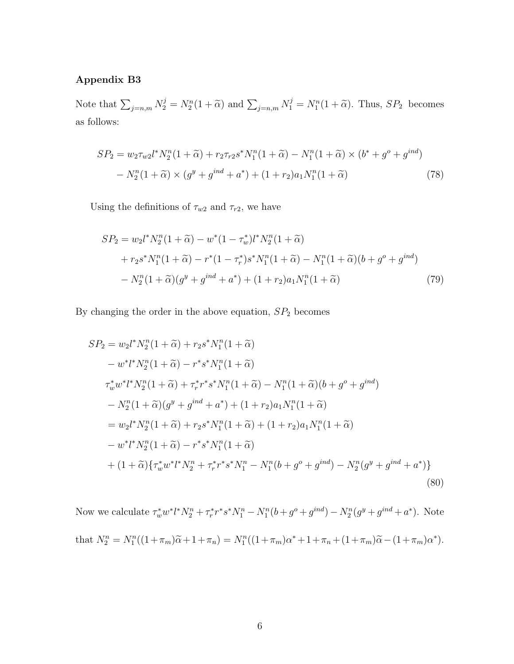## Appendix B3

Note that  $\sum_{j=n,m} N_2^j = N_2^n(1+\tilde{\alpha})$  and  $\sum_{j=n,m} N_1^j = N_1^n(1+\tilde{\alpha})$ . Thus,  $SP_2$  becomes as follows:

$$
SP_2 = w_2 \tau_{w2} l^* N_2^n (1 + \tilde{\alpha}) + r_2 \tau_{r2} s^* N_1^n (1 + \tilde{\alpha}) - N_1^n (1 + \tilde{\alpha}) \times (b^* + g^o + g^{ind})
$$
  
- 
$$
N_2^n (1 + \tilde{\alpha}) \times (g^y + g^{ind} + a^*) + (1 + r_2) a_1 N_1^n (1 + \tilde{\alpha})
$$
 (78)

Using the definitions of  $\tau_{w2}$  and  $\tau_{r2}$ , we have

$$
SP_2 = w_2 l^* N_2^n (1 + \tilde{\alpha}) - w^* (1 - \tau_w^*) l^* N_2^n (1 + \tilde{\alpha})
$$
  
+  $r_2 s^* N_1^n (1 + \tilde{\alpha}) - r^* (1 - \tau_r^*) s^* N_1^n (1 + \tilde{\alpha}) - N_1^n (1 + \tilde{\alpha}) (b + g^o + g^{ind})$   
-  $N_2^n (1 + \tilde{\alpha}) (g^y + g^{ind} + a^*) + (1 + r_2) a_1 N_1^n (1 + \tilde{\alpha})$  (79)

By changing the order in the above equation,  $SP<sub>2</sub>$  becomes

$$
SP_2 = w_2 l^* N_2^n (1 + \tilde{\alpha}) + r_2 s^* N_1^n (1 + \tilde{\alpha})
$$
  
\n
$$
- w^* l^* N_2^n (1 + \tilde{\alpha}) - r^* s^* N_1^n (1 + \tilde{\alpha})
$$
  
\n
$$
\tau_w^* w^* l^* N_2^n (1 + \tilde{\alpha}) + \tau_r^* r^* s^* N_1^n (1 + \tilde{\alpha}) - N_1^n (1 + \tilde{\alpha}) (b + g^o + g^{ind})
$$
  
\n
$$
- N_2^n (1 + \tilde{\alpha}) (g^y + g^{ind} + a^*) + (1 + r_2) a_1 N_1^n (1 + \tilde{\alpha})
$$
  
\n
$$
= w_2 l^* N_2^n (1 + \tilde{\alpha}) + r_2 s^* N_1^n (1 + \tilde{\alpha}) + (1 + r_2) a_1 N_1^n (1 + \tilde{\alpha})
$$
  
\n
$$
- w^* l^* N_2^n (1 + \tilde{\alpha}) - r^* s^* N_1^n (1 + \tilde{\alpha})
$$
  
\n
$$
+ (1 + \tilde{\alpha}) \{ \tau_w^* w^* l^* N_2^n + \tau_r^* r^* s^* N_1^n - N_1^n (b + g^o + g^{ind}) - N_2^n (g^y + g^{ind} + a^*) \}
$$
  
\n(80)

Now we calculate  $\tau_w^* w^* l^* N_2^n + \tau_r^* r^* s^* N_1^n - N_1^n (b + g^o + g^{ind}) - N_2^n (g^y + g^{ind} + a^*)$ . Note that  $N_2^n = N_1^n((1 + \pi_m)\tilde{\alpha} + 1 + \pi_n) = N_1^n((1 + \pi_m)\alpha^* + 1 + \pi_n + (1 + \pi_m)\tilde{\alpha} - (1 + \pi_m)\alpha^*).$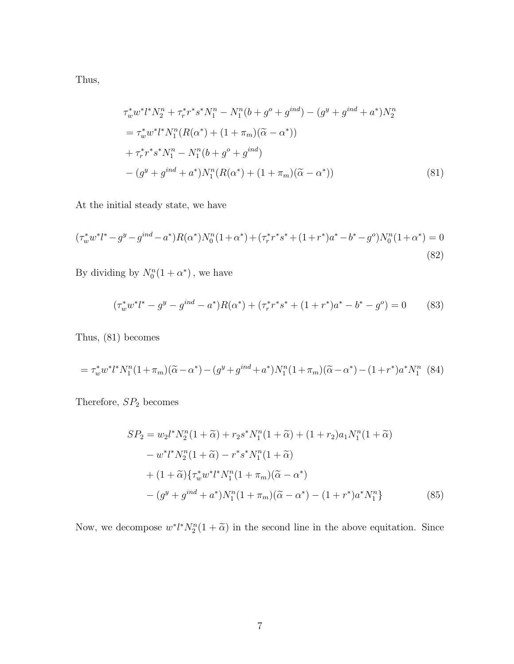Thus,

$$
\tau_w^* w^* l^* N_2^n + \tau_r^* r^* s^* N_1^n - N_1^n (b + g^o + g^{ind}) - (g^y + g^{ind} + a^*) N_2^n
$$
  
\n
$$
= \tau_w^* w^* l^* N_1^n (R(\alpha^*) + (1 + \pi_m)(\tilde{\alpha} - \alpha^*))
$$
  
\n
$$
+ \tau_r^* r^* s^* N_1^n - N_1^n (b + g^o + g^{ind})
$$
  
\n
$$
- (g^y + g^{ind} + a^*) N_1^n (R(\alpha^*) + (1 + \pi_m)(\tilde{\alpha} - \alpha^*))
$$
\n(81)

At the initial steady state, we have

$$
(\tau_w^* w^* l^* - g^y - g^{ind} - a^*) R(\alpha^*) N_0^n (1 + \alpha^*) + (\tau_r^* r^* s^* + (1 + r^*) a^* - b^* - g^o) N_0^n (1 + \alpha^*) = 0
$$
\n(82)

By dividing by  $N_0^n(1+\alpha^*)$ , we have

$$
(\tau_w^* w^* l^* - g^y - g^{ind} - a^*) R(\alpha^*) + (\tau_r^* r^* s^* + (1 + r^*) a^* - b^* - g^o) = 0 \tag{83}
$$

Thus, (81) becomes

$$
= \tau_w^* w^* l^* N_1^n (1 + \pi_m)(\widetilde{\alpha} - \alpha^*) - (g^y + g^{ind} + a^*) N_1^n (1 + \pi_m)(\widetilde{\alpha} - \alpha^*) - (1 + r^*) a^* N_1^n
$$
 (84)

Therefore,  ${\cal SP}_2$  becomes

$$
SP_2 = w_2 l^* N_2^n (1 + \tilde{\alpha}) + r_2 s^* N_1^n (1 + \tilde{\alpha}) + (1 + r_2) a_1 N_1^n (1 + \tilde{\alpha})
$$
  
\n
$$
- w^* l^* N_2^n (1 + \tilde{\alpha}) - r^* s^* N_1^n (1 + \tilde{\alpha})
$$
  
\n
$$
+ (1 + \tilde{\alpha}) \{ \tau_w^* w^* l^* N_1^n (1 + \pi_m) (\tilde{\alpha} - \alpha^*)
$$
  
\n
$$
- (g^y + g^{ind} + a^*) N_1^n (1 + \pi_m) (\tilde{\alpha} - \alpha^*) - (1 + r^*) a^* N_1^n \}
$$
 (85)

Now, we decompose  $w^*l^*N_2^n(1+\tilde{\alpha})$  in the second line in the above equitation. Since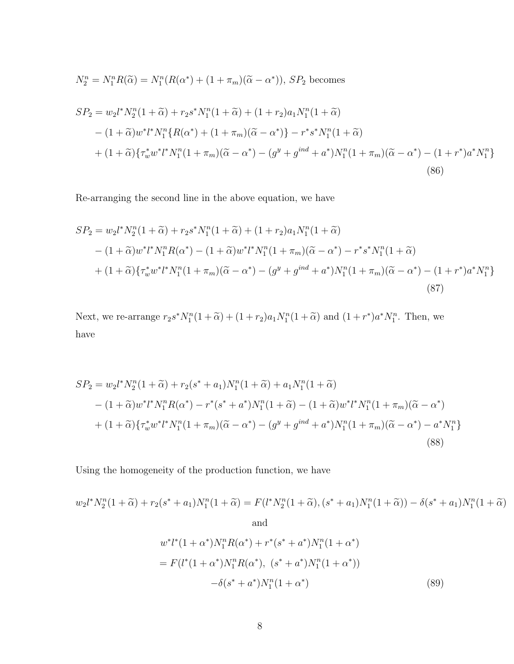$$
N_2^n = N_1^n R(\tilde{\alpha}) = N_1^n (R(\alpha^*) + (1 + \pi_m)(\tilde{\alpha} - \alpha^*)), SP_2
$$
 becomes

$$
SP_2 = w_2 l^* N_2^n (1 + \tilde{\alpha}) + r_2 s^* N_1^n (1 + \tilde{\alpha}) + (1 + r_2) a_1 N_1^n (1 + \tilde{\alpha})
$$
  
 
$$
- (1 + \tilde{\alpha}) w^* l^* N_1^n \{R(\alpha^*) + (1 + \pi_m)(\tilde{\alpha} - \alpha^*)\} - r^* s^* N_1^n (1 + \tilde{\alpha})
$$
  
 
$$
+ (1 + \tilde{\alpha}) \{ \tau_w^* w^* l^* N_1^n (1 + \pi_m)(\tilde{\alpha} - \alpha^*) - (g^y + g^{ind} + a^*) N_1^n (1 + \pi_m)(\tilde{\alpha} - \alpha^*) - (1 + r^*) a^* N_1^n \}
$$
  
(86)

Re-arranging the second line in the above equation, we have

$$
SP_2 = w_2 l^* N_2^n (1 + \tilde{\alpha}) + r_2 s^* N_1^n (1 + \tilde{\alpha}) + (1 + r_2) a_1 N_1^n (1 + \tilde{\alpha})
$$
  
-(1+ $\tilde{\alpha}$ )w<sup>\*</sup> l<sup>\*</sup> N\_1^n R(\alpha^\*) - (1 + \tilde{\alpha}) w^\* l^\* N\_1^n (1 + \pi\_m) (\tilde{\alpha} - \alpha^\*) - r^\* s^\* N\_1^n (1 + \tilde{\alpha})  
+(1+ $\tilde{\alpha}$ ) { $\tau_w^* w^* l^* N_1^n (1 + \pi_m) (\tilde{\alpha} - \alpha^*) - (g^y + g^{ind} + a^*) N_1^n (1 + \pi_m) (\tilde{\alpha} - \alpha^*) - (1 + r^*) a^* N_1^n$ } (87)

Next, we re-arrange  $r_2s^*N_1^n(1+\tilde{\alpha}) + (1+r_2)a_1N_1^n(1+\tilde{\alpha})$  and  $(1+r^*)a^*N_1^n$ . Then, we have

$$
SP_2 = w_2 l^* N_2^n (1 + \tilde{\alpha}) + r_2 (s^* + a_1) N_1^n (1 + \tilde{\alpha}) + a_1 N_1^n (1 + \tilde{\alpha})
$$
  
-(1+ $\tilde{\alpha}$ )w<sup>\*</sup> l<sup>\*</sup>N\_1^n R(\alpha^\*) - r^\* (s^\* + a^\*) N\_1^n (1 + \tilde{\alpha}) - (1 + \tilde{\alpha}) w^\* l^\* N\_1^n (1 + \pi\_m) (\tilde{\alpha} - \alpha^\*)  
+(1+ $\tilde{\alpha}$ ) { $\tau_w^* w^* l^* N_1^n (1 + \pi_m) (\tilde{\alpha} - \alpha^*) - (g^y + g^{ind} + a^*) N_1^n (1 + \pi_m) (\tilde{\alpha} - \alpha^*) - a^* N_1^n$ } (88)

Using the homogeneity of the production function, we have

$$
w_2 l^* N_2^n (1 + \widetilde{\alpha}) + r_2 (s^* + a_1) N_1^n (1 + \widetilde{\alpha}) = F(l^* N_2^n (1 + \widetilde{\alpha}), (s^* + a_1) N_1^n (1 + \widetilde{\alpha})) - \delta(s^* + a_1) N_1^n (1 + \widetilde{\alpha})
$$
  
and  

$$
w^* l^* (1 + \alpha^*) N_1^n R(\alpha^*) + r^* (s^* + a^*) N_1^n (1 + \alpha^*)
$$

$$
= F(l^* (1 + \alpha^*) N_1^n R(\alpha^*), (s^* + a^*) N_1^n (1 + \alpha^*))
$$

$$
-\delta(s^* + a^*) N_1^n (1 + \alpha^*)
$$
(89)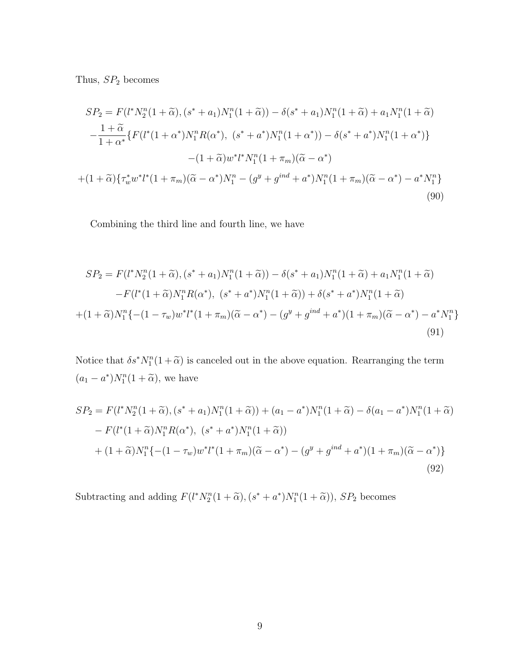Thus,  $SP<sub>2</sub>$  becomes

$$
SP_2 = F(l^*N_2^n(1+\tilde{\alpha}), (s^*+a_1)N_1^n(1+\tilde{\alpha})) - \delta(s^*+a_1)N_1^n(1+\tilde{\alpha}) + a_1N_1^n(1+\tilde{\alpha})
$$
  

$$
-\frac{1+\tilde{\alpha}}{1+\alpha^*} \{F(l^*(1+\alpha^*)N_1^nR(\alpha^*), (s^*+\alpha^*)N_1^n(1+\alpha^*)) - \delta(s^*+\alpha^*)N_1^n(1+\alpha^*)\}
$$
  

$$
-(1+\tilde{\alpha})w^*l^*N_1^n(1+\pi_m)(\tilde{\alpha}-\alpha^*)
$$
  

$$
+(1+\tilde{\alpha})\{\tau_w^*w^*l^*(1+\pi_m)(\tilde{\alpha}-\alpha^*)N_1^n - (g^y+g^{ind}+\alpha^*)N_1^n(1+\pi_m)(\tilde{\alpha}-\alpha^*) - a^*N_1^n\}
$$
  
(90)

Combining the third line and fourth line, we have

$$
SP_2 = F(l^*N_2^n(1+\tilde{\alpha}), (s^*+a_1)N_1^n(1+\tilde{\alpha})) - \delta(s^*+a_1)N_1^n(1+\tilde{\alpha}) + a_1N_1^n(1+\tilde{\alpha})
$$
  

$$
-F(l^*(1+\tilde{\alpha})N_1^nR(\alpha^*), (s^*+a^*)N_1^n(1+\tilde{\alpha})) + \delta(s^*+a^*)N_1^n(1+\tilde{\alpha})
$$
  

$$
+(1+\tilde{\alpha})N_1^n\{-(1-\tau_w)w^*l^*(1+\pi_m)(\tilde{\alpha}-\alpha^*) - (g^y+g^{ind}+a^*)(1+\pi_m)(\tilde{\alpha}-\alpha^*) - a^*N_1^n\}
$$
  
(91)

Notice that  $\delta s^* N_1^n(1+\tilde{\alpha})$  is canceled out in the above equation. Rearranging the term  $(a_1 - a^*)N_1^n(1 + \widetilde{\alpha})$ , we have

$$
SP_2 = F(l^*N_2^n(1+\tilde{\alpha}), (s^*+a_1)N_1^n(1+\tilde{\alpha}) + (a_1 - a^*)N_1^n(1+\tilde{\alpha}) - \delta(a_1 - a^*)N_1^n(1+\tilde{\alpha})
$$
  
- 
$$
F(l^*(1+\tilde{\alpha})N_1^nR(\alpha^*), (s^*+a^*)N_1^n(1+\tilde{\alpha}))
$$
  
+ 
$$
(1+\tilde{\alpha})N_1^n\{-(1-\tau_w)w^*l^*(1+\pi_m)(\tilde{\alpha}-\alpha^*) - (g^y + g^{ind} + a^*)(1+\pi_m)(\tilde{\alpha}-\alpha^*)\}
$$
  
(92)

Subtracting and adding  $F(l^*N_2^n(1+\tilde{\alpha}), (s^*+a^*)N_1^n(1+\tilde{\alpha})), SP_2$  becomes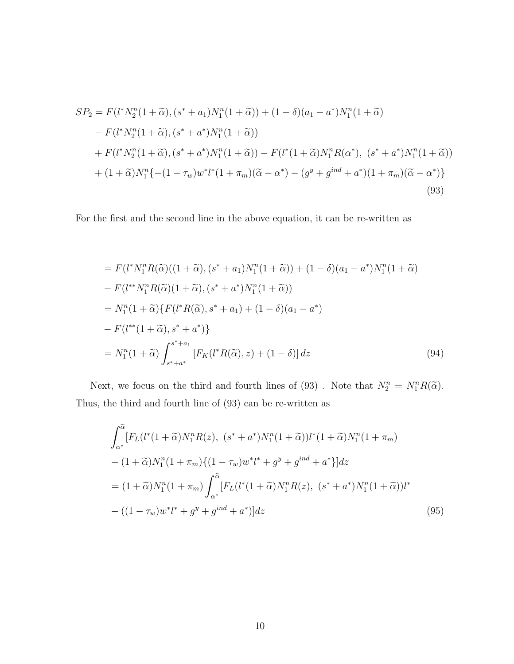$$
SP_2 = F(l^*N_2^n(1+\tilde{\alpha}), (s^*+a_1)N_1^n(1+\tilde{\alpha})) + (1-\delta)(a_1 - a^*)N_1^n(1+\tilde{\alpha})
$$
  
\n
$$
-F(l^*N_2^n(1+\tilde{\alpha}), (s^*+a^*)N_1^n(1+\tilde{\alpha}))
$$
  
\n
$$
+F(l^*N_2^n(1+\tilde{\alpha}), (s^*+a^*)N_1^n(1+\tilde{\alpha})) - F(l^*(1+\tilde{\alpha})N_1^nR(\alpha^*), (s^*+a^*)N_1^n(1+\tilde{\alpha}))
$$
  
\n
$$
+ (1+\tilde{\alpha})N_1^n\{-(1-\tau_w)w^*l^*(1+\pi_m)(\tilde{\alpha}-\alpha^*) - (g^y+g^{ind}+a^*)(1+\pi_m)(\tilde{\alpha}-\alpha^*)\}
$$
  
\n(93)

For the first and the second line in the above equation, it can be re-written as

$$
= F(l^*N_1^n R(\tilde{\alpha})((1+\tilde{\alpha}), (s^* + a_1)N_1^n(1+\tilde{\alpha})) + (1 - \delta)(a_1 - a^*)N_1^n(1+\tilde{\alpha})
$$
  
\n
$$
- F(l^{**}N_1^n R(\tilde{\alpha})(1+\tilde{\alpha}), (s^* + a^*)N_1^n(1+\tilde{\alpha}))
$$
  
\n
$$
= N_1^n(1+\tilde{\alpha})\{F(l^*R(\tilde{\alpha}), s^* + a_1) + (1-\delta)(a_1 - a^*)
$$
  
\n
$$
- F(l^{**}(1+\tilde{\alpha}), s^* + a^*)\}
$$
  
\n
$$
= N_1^n(1+\tilde{\alpha})\int_{s^* + a^*}^{s^* + a_1} [F_K(l^*R(\tilde{\alpha}), z) + (1 - \delta)] dz
$$
 (94)

Next, we focus on the third and fourth lines of (93). Note that  $N_2^n = N_1^n R(\tilde{\alpha})$ . Thus, the third and fourth line of (93) can be re-written as

$$
\int_{\alpha^*}^{\tilde{\alpha}} [F_L(l^*(1+\tilde{\alpha})N_1^nR(z), (s^*+a^*)N_1^n(1+\tilde{\alpha}))l^*(1+\tilde{\alpha})N_1^n(1+\pi_m) \n- (1+\tilde{\alpha})N_1^n(1+\pi_m)\{(1-\tau_w)w^*l^*+g^y+g^{ind}+a^* \}]dz \n= (1+\tilde{\alpha})N_1^n(1+\pi_m) \int_{\alpha^*}^{\tilde{\alpha}} [F_L(l^*(1+\tilde{\alpha})N_1^nR(z), (s^*+a^*)N_1^n(1+\tilde{\alpha}))l^* \n- ((1-\tau_w)w^*l^*+g^y+g^{ind}+a^*)]dz
$$
\n(95)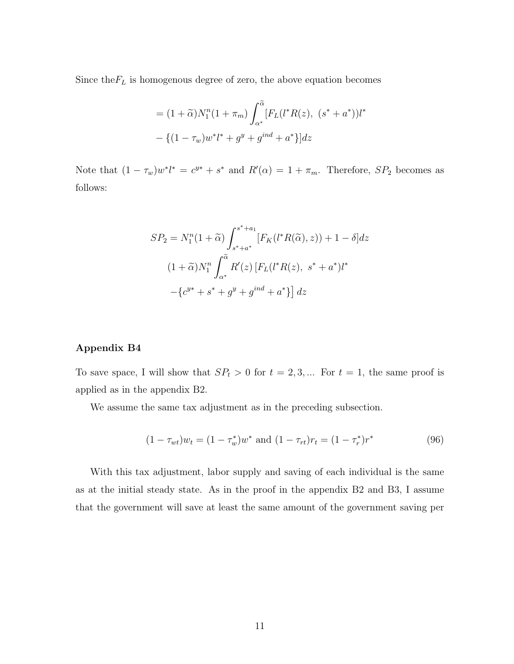Since the  $F_L$  is homogenous degree of zero, the above equation becomes

$$
= (1 + \widetilde{\alpha})N_1^n(1 + \pi_m) \int_{\alpha^*}^{\widetilde{\alpha}} [F_L(l^*R(z), (s^* + a^*))l^*
$$

$$
- \{ (1 - \tau_w)w^*l^* + g^y + g^{ind} + a^* \} ]dz
$$

Note that  $(1 - \tau_w)w^*l^* = c^{y*} + s^*$  and  $R'(\alpha) = 1 + \pi_m$ . Therefore,  $SP_2$  becomes as follows:

$$
SP_2 = N_1^n(1+\tilde{\alpha}) \int_{s^*+a^*}^{s^*+a_1} [F_K(l^*R(\tilde{\alpha}), z)) + 1 - \delta] dz
$$
  

$$
(1+\tilde{\alpha})N_1^n \int_{\alpha^*}^{\tilde{\alpha}} R'(z) [F_L(l^*R(z), s^* + a^*)l^* - \{c^{y^*} + s^* + g^y + g^{ind} + a^* \}] dz
$$

## Appendix B4

To save space, I will show that  $SP_t > 0$  for  $t = 2, 3, ...$  For  $t = 1$ , the same proof is applied as in the appendix B2.

We assume the same tax adjustment as in the preceding subsection.

$$
(1 - \tau_{wt})w_t = (1 - \tau_w^*)w^* \text{ and } (1 - \tau_{rt})r_t = (1 - \tau_r^*)r^* \tag{96}
$$

With this tax adjustment, labor supply and saving of each individual is the same as at the initial steady state. As in the proof in the appendix B2 and B3, I assume that the government will save at least the same amount of the government saving per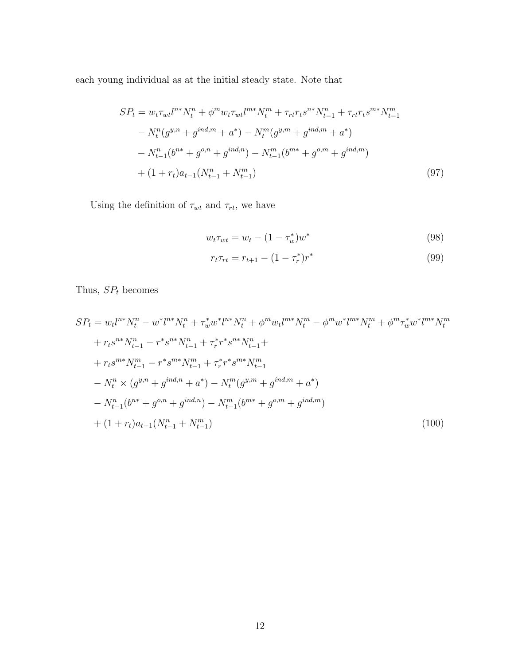each young individual as at the initial steady state. Note that

$$
SP_{t} = w_{t} \tau_{wt} l^{n*} N_{t}^{n} + \phi^{m} w_{t} \tau_{wt} l^{m*} N_{t}^{m} + \tau_{rt} r_{t} s^{n*} N_{t-1}^{n} + \tau_{rt} r_{t} s^{m*} N_{t-1}^{m}
$$

$$
- N_{t}^{n} (g^{y,n} + g^{ind,m} + a^{*}) - N_{t}^{m} (g^{y,m} + g^{ind,m} + a^{*})
$$

$$
- N_{t-1}^{n} (b^{n*} + g^{o,n} + g^{ind,n}) - N_{t-1}^{m} (b^{m*} + g^{o,m} + g^{ind,m})
$$

$$
+ (1 + r_{t}) a_{t-1} (N_{t-1}^{n} + N_{t-1}^{m})
$$
(97)

Using the definition of  $\tau_{wt}$  and  $\tau_{rt}$ , we have

$$
w_t \tau_{wt} = w_t - (1 - \tau_w^*) w^* \tag{98}
$$

$$
r_t \tau_{rt} = r_{t+1} - (1 - \tau_r^*) r^* \tag{99}
$$

Thus,  ${\cal SP}_t$  becomes

$$
SP_{t} = w_{t}l^{n*}N_{t}^{n} - w^{*}l^{n*}N_{t}^{n} + \tau_{w}^{*}w^{*}l^{n*}N_{t}^{n} + \phi^{m}w_{t}l^{m*}N_{t}^{m} - \phi^{m}w^{*}l^{m*}N_{t}^{m} + \phi^{m}\tau_{w}^{*}w^{*}l^{m*}N_{t}^{m}
$$
  
+  $r_{t}s^{n*}N_{t-1}^{n} - r^{*}s^{n*}N_{t-1}^{n} + \tau_{r}^{*}r^{*}s^{n*}N_{t-1}^{n} +$   
+  $r_{t}s^{m*}N_{t-1}^{m} - r^{*}s^{m*}N_{t-1}^{m} + \tau_{r}^{*}r^{*}s^{m*}N_{t-1}^{m}$   
-  $N_{t}^{n} \times (g^{y,n} + g^{ind,n} + a^{*}) - N_{t}^{m}(g^{y,m} + g^{ind,m} + a^{*})$   
-  $N_{t-1}^{n}(b^{n*} + g^{o,n} + g^{ind,n}) - N_{t-1}^{m}(b^{m*} + g^{o,m} + g^{ind,m})$   
+  $(1 + r_{t})a_{t-1}(N_{t-1}^{n} + N_{t-1}^{m})$  (100)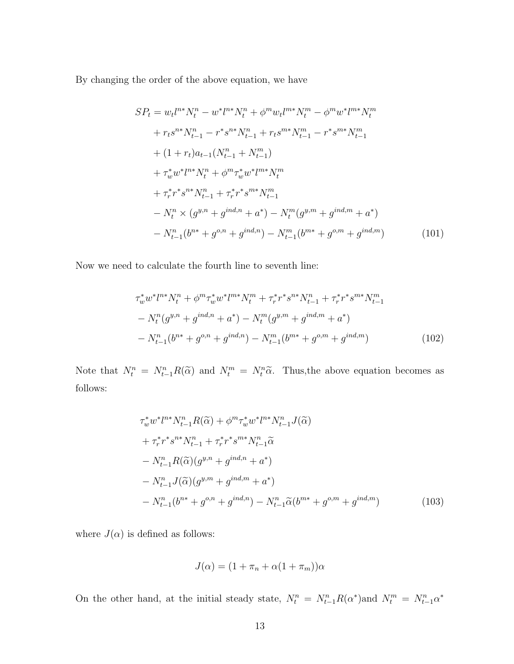By changing the order of the above equation, we have

$$
SP_{t} = w_{t}l^{n*}N_{t}^{n} - w^{*}l^{n*}N_{t}^{n} + \phi^{m}w_{t}l^{m*}N_{t}^{m} - \phi^{m}w^{*}l^{m*}N_{t}^{m}
$$
  
+  $r_{t}s^{n*}N_{t-1}^{n} - r^{*}s^{n*}N_{t-1}^{n} + r_{t}s^{m*}N_{t-1}^{m} - r^{*}s^{m*}N_{t-1}^{m}$   
+  $(1 + r_{t})a_{t-1}(N_{t-1}^{n} + N_{t-1}^{m})$   
+  $\tau_{w}^{*}w^{*}l^{n*}N_{t}^{n} + \phi^{m}\tau_{w}^{*}w^{*}l^{m*}N_{t}^{m}$   
+  $\tau_{r}^{*}r^{*}s^{n*}N_{t-1}^{n} + \tau_{r}^{*}r^{*}s^{m*}N_{t-1}^{m}$   
-  $N_{t}^{n} \times (g^{y,n} + g^{ind,n} + a^{*}) - N_{t}^{m}(g^{y,m} + g^{ind,m} + a^{*})$   
-  $N_{t-1}^{n}(b^{n*} + g^{o,n} + g^{ind,n}) - N_{t-1}^{m}(b^{m*} + g^{o,m} + g^{ind,m})$  (101)

Now we need to calculate the fourth line to seventh line:

$$
\tau_w^* w^* l^{n*} N_t^n + \phi^m \tau_w^* w^* l^{m*} N_t^m + \tau_r^* r^* s^{n*} N_{t-1}^n + \tau_r^* r^* s^{m*} N_{t-1}^m
$$
  
- 
$$
N_t^n (g^{y,n} + g^{ind,n} + a^*) - N_t^m (g^{y,m} + g^{ind,m} + a^*)
$$
  
- 
$$
N_{t-1}^n (b^{n*} + g^{o,n} + g^{ind,n}) - N_{t-1}^m (b^{m*} + g^{o,m} + g^{ind,m})
$$
 (102)

Note that  $N_t^n = N_{t-1}^n R(\tilde{\alpha})$  and  $N_t^m = N_t^n \tilde{\alpha}$ . Thus, the above equation becomes as follows:

$$
\tau_w^* w^* l^{n*} N_{t-1}^n R(\tilde{\alpha}) + \phi^m \tau_w^* w^* l^{n*} N_{t-1}^n J(\tilde{\alpha}) \n+ \tau_r^* r^* s^{n*} N_{t-1}^n + \tau_r^* r^* s^{m*} N_{t-1}^n \tilde{\alpha} \n- N_{t-1}^n R(\tilde{\alpha}) (g^{y,n} + g^{ind,n} + a^*) \n- N_{t-1}^n J(\tilde{\alpha}) (g^{y,m} + g^{ind,m} + a^*) \n- N_{t-1}^n (b^{n*} + g^{o,n} + g^{ind,n}) - N_{t-1}^n \tilde{\alpha} (b^{m*} + g^{o,m} + g^{ind,m})
$$
\n(103)

where  $J(\alpha)$  is defined as follows:

$$
J(\alpha) = (1 + \pi_n + \alpha(1 + \pi_m))\alpha
$$

On the other hand, at the initial steady state,  $N_t^n = N_{t-1}^n R(\alpha^*)$  and  $N_t^m = N_{t-1}^n \alpha^*$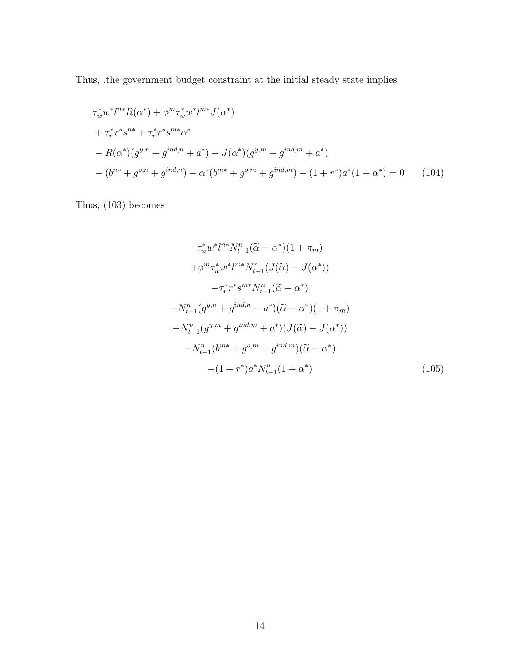Thus, .the government budget constraint at the initial steady state implies

$$
\tau_w^* w^* l^{n*} R(\alpha^*) + \phi^m \tau_w^* w^* l^{m*} J(\alpha^*)
$$
  
+ 
$$
\tau_r^* r^* s^{n*} + \tau_r^* r^* s^{m*} \alpha^*
$$
  
- 
$$
R(\alpha^*)(g^{y,n} + g^{ind,n} + a^*) - J(\alpha^*)(g^{y,m} + g^{ind,m} + a^*)
$$
  
- 
$$
(b^{n*} + g^{o,n} + g^{ind,n}) - \alpha^*(b^{m*} + g^{o,m} + g^{ind,m}) + (1 + r^*) a^*(1 + \alpha^*) = 0
$$
 (104)

Thus, (103) becomes

$$
\tau_w^* w^* l^{n*} N_{t-1}^n (\tilde{\alpha} - \alpha^*) (1 + \pi_m)
$$
  
+  $\phi^m \tau_w^* w^* l^{m*} N_{t-1}^n (J(\tilde{\alpha}) - J(\alpha^*))$   
+  $\tau_r^* r^* s^{m*} N_{t-1}^n (\tilde{\alpha} - \alpha^*)$   
-  $N_{t-1}^n (g^{y,n} + g^{ind,n} + a^*) (\tilde{\alpha} - \alpha^*) (1 + \pi_m)$   
-  $N_{t-1}^n (g^{y,m} + g^{ind,m} + a^*) (J(\tilde{\alpha}) - J(\alpha^*))$   
-  $N_{t-1}^n (b^{m*} + g^{o,m} + g^{ind,m}) (\tilde{\alpha} - \alpha^*)$   
-  $(1 + r^*) a^* N_{t-1}^n (1 + \alpha^*)$  (105)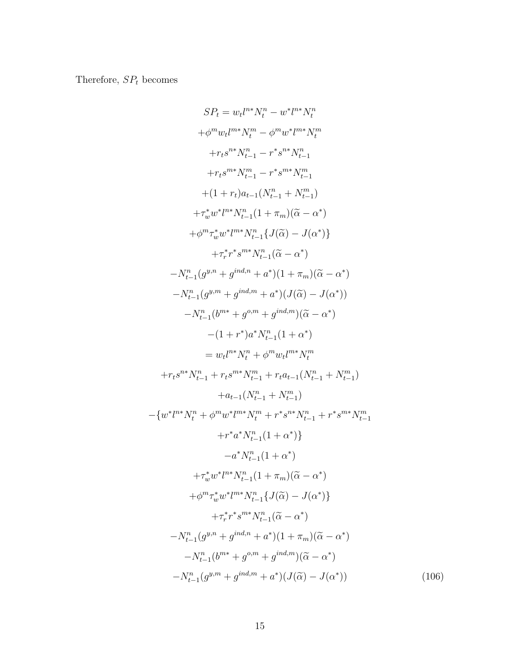Therefore,  ${\cal SP}_t$  becomes

$$
S P_t = w_t l^{n*} N_t^n - w^* l^{n*} N_t^n
$$
  
+ $\phi^m w_t l^{m*} N_t^m - \phi^m w^* l^{m*} N_t^n$   
+ $r_t s^{m*} N_{t-1}^n - r^* s^{n*} N_{t-1}^n$   
+ $r_t s^{m*} N_{t-1}^m - r^* s^{m*} N_{t-1}^m$   
+ $(1 + r_t)a_{t-1}(N_{t-1}^n + N_{t-1}^m)$   
+ $r_w^* w^* l^{m*} N_{t-1}^n (1 + \pi_m)(\tilde{\alpha} - \alpha^*)$   
+ $\phi^m r_w^* w^* l^{m*} N_{t-1}^n \{J(\tilde{\alpha}) - J(\alpha^*)\}$   
+ $r_r^* r^* s^{m*} N_{t-1}^n \{\tilde{\alpha} - \alpha^* \}$   
- $N_{t-1}^n (g^{y,n} + g^{ind,n} + a^*)(1 + \pi_m)(\tilde{\alpha} - \alpha^*)$   
- $N_{t-1}^n (g^{y,m} + g^{ind,m} + a^*)(J(\tilde{\alpha}) - J(\alpha^*))$   
- $N_{t-1}^n (b^{m*} + g^{\alpha,m} + g^{ind,m})(\tilde{\alpha} - \alpha^*)$   
- $(1 + r^*) a^* N_{t-1}^n (1 + \alpha^*)$   
=  $w_t l^{n*} N_t^n + \phi^m w_t l^{m*} N_t^m$   
+ $r_t s^{n*} N_{t-1}^n + r_t s^{m*} N_{t-1}^m + r_t a_{t-1} (N_{t-1}^n + N_{t-1}^m)$   
+ $a_{t-1} (N_{t-1}^n + N_{t-1}^m)$   
- $\{w^* l^{n*} N_t^n + \phi^m w^* l^{m*} N_t^m + r^* s^{n*} N_{t-1}^n + r^* s^{m*} N_{t-1}^m$   
+ $r^* a^* N_{t-1}^n (1 + \alpha^*)$   
+ $r^* w^* l^{m*} N_{t-1}^n (1 + \alpha^*)$   
+ $\phi^m r_w^* w^* l^{m$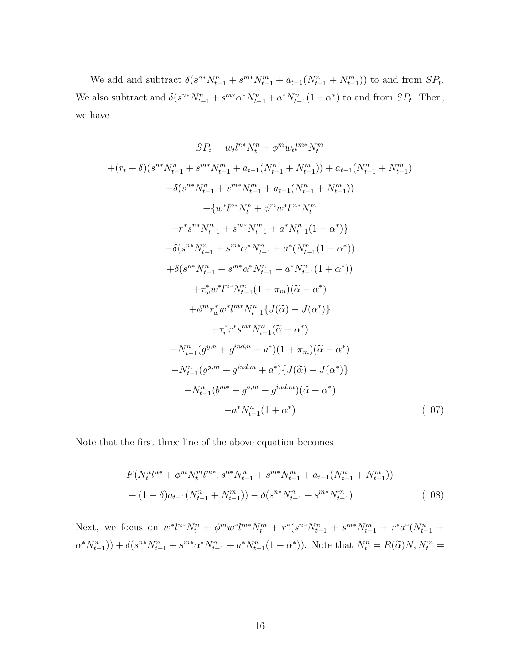We add and subtract  $\delta(s^{n*}N_{t-1}^n + s^{m*}N_{t-1}^m + a_{t-1}(N_{t-1}^n + N_{t-1}^m))$  to and from  $SP_t$ . We also subtract and  $\delta(s^{n*}N_{t-1}^n + s^{m*}\alpha^*N_{t-1}^n + a^*N_{t-1}^n(1+\alpha^*)$  to and from  $SP_t$ . Then, we have

$$
SP_{t} = w_{t}l^{n*}N_{t}^{n} + \phi^{m}w_{t}l^{m*}N_{t}^{m}
$$
  
+
$$
(r_{t} + \delta)(s^{n*}N_{t-1}^{n} + s^{m*}N_{t-1}^{m} + a_{t-1}(N_{t-1}^{n} + N_{t-1}^{m})) + a_{t-1}(N_{t-1}^{n} + N_{t-1}^{m})
$$

$$
- \delta(s^{n*}N_{t-1}^{n} + s^{m*}N_{t-1}^{m} + a_{t-1}(N_{t-1}^{n} + N_{t-1}^{m}))
$$

$$
- \{w^{*}l^{n*}N_{t}^{n} + \phi^{m}w^{*}l^{m*}N_{t}^{m}
$$

$$
+ r^{*}s^{n*}N_{t-1}^{n} + s^{m*}N_{t-1}^{m} + a^{*}N_{t-1}^{n}(1 + \alpha^{*})\}
$$

$$
- \delta(s^{n*}N_{t-1}^{n} + s^{m*} \alpha^{*}N_{t-1}^{n} + a^{*}(N_{t-1}^{n}(1 + \alpha^{*}))
$$

$$
+ \delta(s^{n*}N_{t-1}^{n} + s^{m*} \alpha^{*}N_{t-1}^{n} + a^{*}N_{t-1}^{n}(1 + \alpha^{*}))
$$

$$
+ \tau_{w}^{*}w^{*}l^{n*}N_{t-1}^{n}(1 + \tau_{m})(\widetilde{\alpha} - \alpha^{*})
$$

$$
+ \phi^{m} \tau_{w}^{*}w^{*}l^{m*}N_{t-1}^{n}\{\widetilde{J}(\widetilde{\alpha}) - J(\alpha^{*})\}
$$

$$
+ \tau_{r}^{*}r^{*}s^{m*}N_{t-1}^{n}(\widetilde{\alpha} - \alpha^{*})
$$

$$
- N_{t-1}^{n}(g^{y,n} + g^{ind,n} + a^{*})(1 + \tau_{m})(\widetilde{\alpha} - \alpha^{*})
$$

$$
- N_{t-1}^{n}(g^{y,m} + g^{ind,n} + a^{*})(\widetilde{\alpha}) - J(\alpha^{*})\}
$$

$$
- N_{t-1}^{n}(b^{m*} + g^{o,m} + g^{ind,n})(\widetilde
$$

Note that the first three line of the above equation becomes

$$
F(N_t^n l^{n*} + \phi^m N_t^m l^{m*}, s^{n*} N_{t-1}^n + s^{m*} N_{t-1}^m + a_{t-1} (N_{t-1}^n + N_{t-1}^m))
$$
  
+ 
$$
(1 - \delta) a_{t-1} (N_{t-1}^n + N_{t-1}^m) - \delta (s^{n*} N_{t-1}^n + s^{m*} N_{t-1}^m)
$$
 (108)

Next, we focus on  $w^*l^{n*}N_t^n + \phi^mw^*l^{m*}N_t^m + r^*(s^{n*}N_{t-1}^n + s^{m*}N_{t-1}^m + r^*a^*(N_{t-1}^n +$  $(\alpha^* N_{t-1}^n)) + \delta(s^{n*} N_{t-1}^n + s^{m*} \alpha^* N_{t-1}^n + a^* N_{t-1}^n (1 + \alpha^*)).$  Note that  $N_t^n = R(\tilde{\alpha}) N, N_t^m =$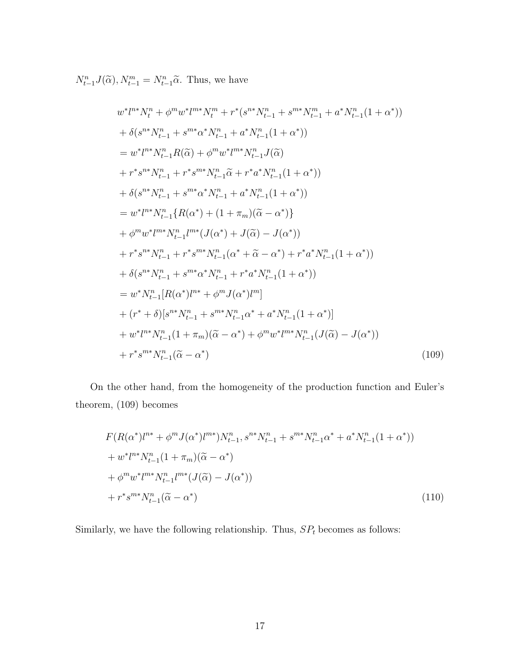$N_{t-1}^n J(\tilde{\alpha}), N_{t-1}^m = N_{t-1}^n \tilde{\alpha}$ . Thus, we have

$$
w^{*}l^{n*}N_{t}^{n} + \phi^{m}w^{*}l^{m*}N_{t}^{m} + r^{*}(s^{n*}N_{t-1}^{n} + s^{m*}N_{t-1}^{m} + a^{*}N_{t-1}^{n}(1+\alpha^{*}))
$$
  
+  $\delta(s^{n*}N_{t-1}^{n} + s^{m*}\alpha^{*}N_{t-1}^{n} + a^{*}N_{t-1}^{n}(1+\alpha^{*}))$   
=  $w^{*}l^{n*}N_{t-1}^{n}R(\tilde{\alpha}) + \phi^{m}w^{*}l^{m*}N_{t-1}^{n}J(\tilde{\alpha})$   
+  $r^{*}s^{n*}N_{t-1}^{n} + r^{*}s^{m*}N_{t-1}^{n}\tilde{\alpha} + r^{*}a^{*}N_{t-1}^{n}(1+\alpha^{*}))$   
+  $\delta(s^{n*}N_{t-1}^{n} + s^{m*}\alpha^{*}N_{t-1}^{n} + a^{*}N_{t-1}^{n}(1+\alpha^{*}))$   
=  $w^{*}l^{n*}N_{t-1}^{n}\{R(\alpha^{*}) + (1 + \pi_{m})(\tilde{\alpha} - \alpha^{*})\}$   
+  $\phi^{m}w^{*}l^{m*}N_{t-1}^{n}l^{m*}(J(\alpha^{*}) + J(\tilde{\alpha}) - J(\alpha^{*}))$   
+  $r^{*}s^{n*}N_{t-1}^{n} + r^{*}s^{m*}N_{t-1}^{n}(\alpha^{*} + \tilde{\alpha} - \alpha^{*}) + r^{*}a^{*}N_{t-1}^{n}(1+\alpha^{*}))$   
+  $\delta(s^{n*}N_{t-1}^{n} + s^{m*}\alpha^{*}N_{t-1}^{n} + r^{*}a^{*}N_{t-1}^{n}(1+\alpha^{*}))$   
=  $w^{*}N_{t-1}^{n}[R(\alpha^{*})l^{n*} + \phi^{m}J(\alpha^{*})l^{m}]$   
+  $(r^{*} + \delta)[s^{n*}N_{t-1}^{n} + s^{m*}N_{t-1}^{n}\alpha^{*} + a^{*}N_{t-1}^{n}(1+\alpha^{*})]$   
+  $w^{*}l^{n*}N_{t-1}^{n}(1 + \pi$ 

On the other hand, from the homogeneity of the production function and Euler's theorem, (109) becomes

$$
F(R(\alpha^*)l^{n*} + \phi^m J(\alpha^*)l^{m*})N_{t-1}^n, s^{n*}N_{t-1}^n + s^{m*}N_{t-1}^n\alpha^* + a^*N_{t-1}^n(1+\alpha^*))
$$
  
+ 
$$
w^*l^{n*}N_{t-1}^n(1+\pi_m)(\tilde{\alpha}-\alpha^*)
$$
  
+ 
$$
\phi^m w^*l^{m*}N_{t-1}^n l^{m*}(J(\tilde{\alpha})-J(\alpha^*))
$$
  
+ 
$$
r^*s^{m*}N_{t-1}^n(\tilde{\alpha}-\alpha^*)
$$
 (110)

Similarly, we have the following relationship. Thus,  $SP<sub>t</sub>$  becomes as follows: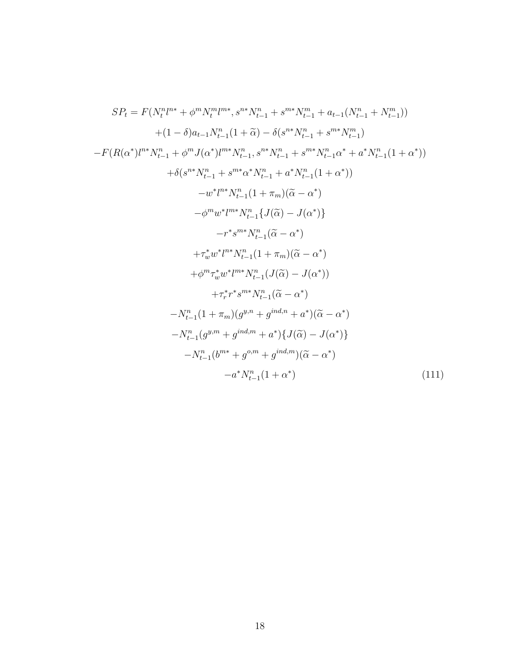$$
SP_{t} = F(N_{t}^{n}l^{n*} + \phi^{m}N_{t}^{m}l^{m*}, s^{n*}N_{t-1}^{n} + s^{m*}N_{t-1}^{m} + a_{t-1}(N_{t-1}^{n} + N_{t-1}^{m}))
$$
  
+ (1 - \delta)a\_{t-1}N\_{t-1}^{n}(1 + \tilde{\alpha}) - \delta(s^{n\*}N\_{t-1}^{n} + s^{m\*}N\_{t-1}^{m})  
-F(R(\alpha^{\*})l^{n\*}N\_{t-1}^{n} + \phi^{m}J(\alpha^{\*})l^{m\*}N\_{t-1}^{n}, s^{n\*}N\_{t-1}^{n} + s^{m\*}N\_{t-1}^{n}\alpha^{\*} + a^{\*}N\_{t-1}^{n}(1 + \alpha^{\*}))  
+ \delta(s^{n\*}N\_{t-1}^{n} + s^{m\*}\alpha^{\*}N\_{t-1}^{n} + a^{\*}N\_{t-1}^{n}(1 + \alpha^{\*}))  
- w^{\*}l^{n\*}N\_{t-1}^{n}(1 + \pi\_{m})(\tilde{\alpha} - \alpha^{\*})  
- \phi^{m}w^{\*}l^{m\*}N\_{t-1}^{n}\{J(\tilde{\alpha}) - J(\alpha^{\*})\}  
- r^{\*}s^{m\*}N\_{t-1}^{n}(\tilde{\alpha} - \alpha^{\*})  
+ \tau\_{w}^{\*}w^{\*}l^{n\*}N\_{t-1}^{n}(1 + \pi\_{m})(\tilde{\alpha} - \alpha^{\*})  
+ \phi^{m} \tau\_{w}^{\*}w^{\*}l^{m\*}N\_{t-1}^{n}(J(\tilde{\alpha}) - J(\alpha^{\*}))  
+ \tau\_{r}^{\*}r^{\*}s^{m\*}N\_{t-1}^{n}(\tilde{\alpha} - \alpha^{\*})  
- N\_{t-1}^{n}(1 + \pi\_{m})(g^{n,n} + g^{ind,n} + a^{\*})(\tilde{\alpha} - \alpha^{\*})  
- N\_{t-1}^{n}(g^{n,m} + g^{ind,m} + a^{\*})\{\tilde{\alpha} - \alpha^{\*}\}  
- N\_{t-1}^{n}(b^{m\*} + g^{o,m} + g^{ind,m})(\tilde{\alpha} - \alpha^{\*})  
- a^{\*}N\_{t-1}^{n}(1 + \alpha^{\*}) (111)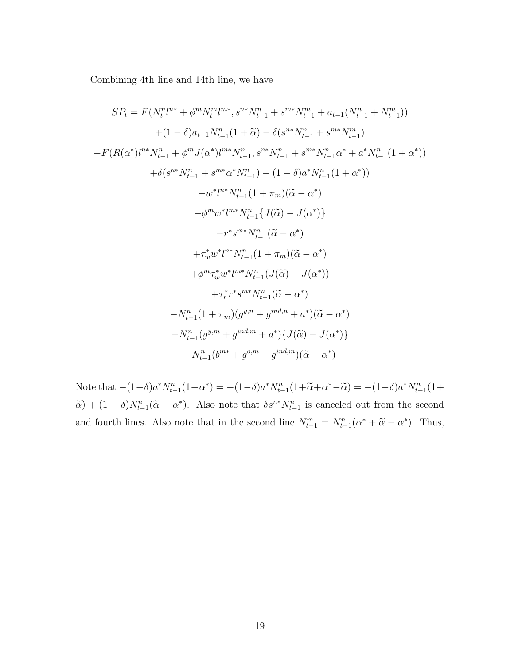Combining 4th line and 14th line, we have

$$
SP_{t} = F(N_{t}^{n}l^{n*} + \phi^{m}N_{t}^{m}l^{m*}, s^{n*}N_{t-1}^{n} + s^{m*}N_{t-1}^{m} + a_{t-1}(N_{t-1}^{n} + N_{t-1}^{m}))
$$
  
+  $(1 - \delta)a_{t-1}N_{t-1}^{n}(1 + \tilde{\alpha}) - \delta(s^{n*}N_{t-1}^{n} + s^{m*}N_{t-1}^{m})$   
-  $F(R(\alpha^{*})l^{n*}N_{t-1}^{n} + \phi^{m}J(\alpha^{*})l^{m*}N_{t-1}^{n}, s^{n*}N_{t-1}^{n} + s^{m*}N_{t-1}^{n}\alpha^{*} + a^{*}N_{t-1}^{n}(1 + \alpha^{*}))$   
+  $\delta(s^{n*}N_{t-1}^{n} + s^{m*}\alpha^{*}N_{t-1}^{n}) - (1 - \delta)a^{*}N_{t-1}^{n}(1 + \alpha^{*}))$   
-  $w^{*}l^{n*}N_{t-1}^{n}(1 + \pi_{m})(\tilde{\alpha} - \alpha^{*})$   
-  $\phi^{m}w^{*}l^{m*}N_{t-1}^{n}\{J(\tilde{\alpha}) - J(\alpha^{*})\}$   
-  $r^{*}s^{m*}N_{t-1}^{n}(\tilde{\alpha} - \alpha^{*})$   
+  $\tau_{w}^{*}w^{*}l^{n*}N_{t-1}^{n}(1 + \pi_{m})(\tilde{\alpha} - \alpha^{*})$   
+  $\phi^{m}\tau_{w}^{*}w^{*}l^{m*}N_{t-1}^{n}(J(\tilde{\alpha}) - J(\alpha^{*}))$   
+  $\tau_{r}^{*}r^{*}s^{m*}N_{t-1}^{n}(\tilde{\alpha} - \alpha^{*})$   
-  $N_{t-1}^{n}(1 + \pi_{m})(g^{y,n} + g^{ind,n} + a^{*})(\tilde{\alpha} - \alpha^{*})$   
-  $N_{t-1}^{n}(g^{y,m} + g^{ind,n} + a^{*})\{J(\tilde{\alpha}) - J(\alpha^{*})\}$   
-  $N_{t-1}^{n}(b^{m*} + g^{o,m} + g^{ind,m})(\tilde{\alpha} - \alpha^{*})$ 

Note that  $-(1-\delta)a^*N_{t-1}^n(1+\alpha^*) = -(1-\delta)a^*N_{t-1}^n(1+\widetilde{\alpha}+\alpha^*-\widetilde{\alpha}) = -(1-\delta)a^*N_{t-1}^n(1+\alpha^*)$  $\tilde{\alpha}$  +  $(1 - \delta)N_{t-1}^n(\tilde{\alpha} - \alpha^*)$ . Also note that  $\delta s^{n*}N_{t-1}^n$  is canceled out from the second and fourth lines. Also note that in the second line  $N_{t-1}^m = N_{t-1}^n (\alpha^* + \tilde{\alpha} - \alpha^*)$ . Thus,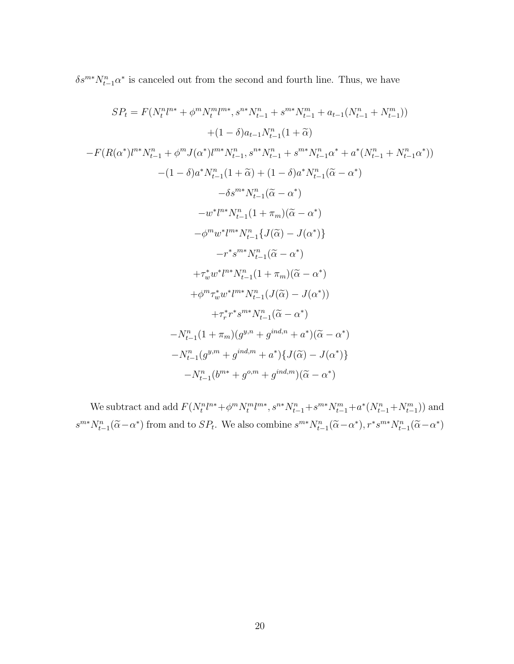$\delta s^{m*} N_{t-1}^n \alpha^*$  is canceled out from the second and fourth line. Thus, we have

$$
SP_{t} = F(N_{t}^{n}l^{n*} + \phi^{m}N_{t}^{m}l^{m*}, s^{n*}N_{t-1}^{n} + s^{m*}N_{t-1}^{m} + a_{t-1}(N_{t-1}^{n} + N_{t-1}^{m}))
$$
  
+ 
$$
(1 - \delta)a_{t-1}N_{t-1}^{n}(1 + \tilde{\alpha})
$$
  
- 
$$
F(R(\alpha^{*})l^{n*}N_{t-1}^{n} + \phi^{m}J(\alpha^{*})l^{m*}N_{t-1}^{n}, s^{n*}N_{t-1}^{n} + s^{m*}N_{t-1}^{n}\alpha^{*} + a^{*}(N_{t-1}^{n} + N_{t-1}^{n}\alpha^{*}))
$$
  
- 
$$
(1 - \delta)a^{*}N_{t-1}^{n}(1 + \tilde{\alpha}) + (1 - \delta)a^{*}N_{t-1}^{n}(\tilde{\alpha} - \alpha^{*})
$$
  
- 
$$
\delta s^{m*}N_{t-1}^{n}(\tilde{\alpha} - \alpha^{*})
$$
  
- 
$$
w^{*}l^{n*}N_{t-1}^{n}(1 + \pi_{m})(\tilde{\alpha} - \alpha^{*})
$$
  
- 
$$
\phi^{m}w^{*}l^{m*}N_{t-1}^{n}\{J(\tilde{\alpha}) - J(\alpha^{*})\}
$$
  
- 
$$
r^{*}s^{m*}N_{t-1}^{n}(\tilde{\alpha} - \alpha^{*})
$$
  
+ 
$$
\tau_{w}^{*}w^{*}l^{m*}N_{t-1}^{n}(1 + \pi_{m})(\tilde{\alpha} - \alpha^{*})
$$
  
+ 
$$
\phi^{m}\tau_{w}^{*}w^{*}l^{m*}N_{t-1}^{n}(J(\tilde{\alpha}) - J(\alpha^{*}))
$$
  
+ 
$$
\tau_{r}^{*}r^{*}s^{m*}N_{t-1}^{n}(\tilde{\alpha} - \alpha^{*})
$$
  
- 
$$
N_{t-1}^{n}(1 + \pi_{m})(g^{y,n} + g^{ind,n} + a^{*})(\tilde{\alpha} - \alpha^{*})
$$
  
- 
$$
N_{t-1}^{n}(g^{y,m} + g^{ind,m} + a^{*})\{J(\tilde{\alpha}) - J(\alpha^{*})\}
$$
<

We subtract and add  $F(N_t^n l^{n*} + \phi^m N_t^m l^{m*}, s^{n*} N_{t-1}^n + s^{m*} N_{t-1}^m + a^* (N_{t-1}^n + N_{t-1}^m))$  and  $s^{m*}N_{t-1}^n(\tilde{\alpha}-\alpha^*)$  from and to  $SP_t$ . We also combine  $s^{m*}N_{t-1}^n(\tilde{\alpha}-\alpha^*)$ ,  $r^*s^{m*}N_{t-1}^n(\tilde{\alpha}-\alpha^*)$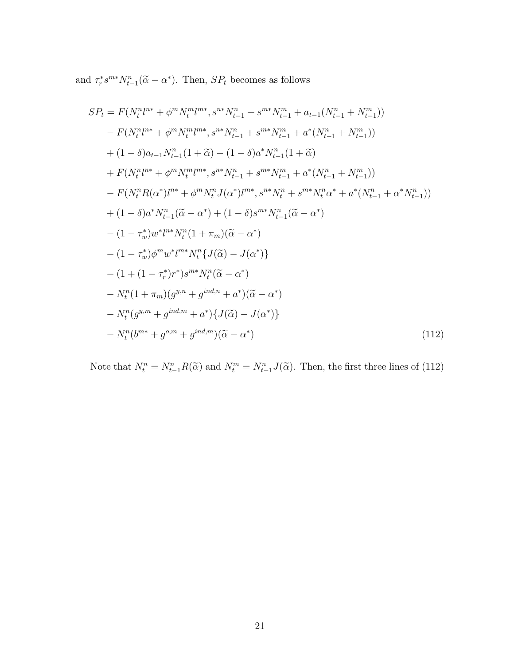and  $\tau_r^* s^{m*} N_{t-1}^n (\tilde{\alpha} - \alpha^*)$ . Then,  $SP_t$  becomes as follows

$$
SP_{t} = F(N_{t}^{n}l^{n*} + \phi^{m}N_{t}^{m}l^{m*}, s^{n*}N_{t-1}^{n} + s^{m*}N_{t-1}^{m} + a_{t-1}(N_{t-1}^{n} + N_{t-1}^{m}))
$$
  
\n
$$
- F(N_{t}^{n}l^{n*} + \phi^{m}N_{t}^{m}l^{m*}, s^{n*}N_{t-1}^{n} + s^{m*}N_{t-1}^{m} + a^{*}(N_{t-1}^{n} + N_{t-1}^{m}))
$$
  
\n
$$
+ (1 - \delta)a_{t-1}N_{t-1}^{n} (1 + \tilde{\alpha}) - (1 - \delta)a^{*}N_{t-1}^{n} (1 + \tilde{\alpha})
$$
  
\n
$$
+ F(N_{t}^{n}l^{n*} + \phi^{m}N_{t}^{m}l^{m*}, s^{n*}N_{t-1}^{n} + s^{m*}N_{t-1}^{m} + a^{*}(N_{t-1}^{n} + N_{t-1}^{m}))
$$
  
\n
$$
- F(N_{t}^{n}R(\alpha^{*})l^{n*} + \phi^{m}N_{t}^{n}J(\alpha^{*})l^{m*}, s^{n*}N_{t}^{n} + s^{m*}N_{t}^{n}\alpha^{*} + a^{*}(N_{t-1}^{n} + \alpha^{*}N_{t-1}^{n}))
$$
  
\n
$$
+ (1 - \delta)a^{*}N_{t-1}^{n} (\tilde{\alpha} - \alpha^{*}) + (1 - \delta)s^{m*}N_{t-1}^{n} (\tilde{\alpha} - \alpha^{*})
$$
  
\n
$$
- (1 - \tau_{w}^{*})w^{*}l^{n*}N_{t}^{n} (1 + \pi_{m})(\tilde{\alpha} - \alpha^{*})
$$
  
\n
$$
- (1 - \tau_{w}^{*})\phi^{m}w^{*}l^{m*}N_{t}^{n} \{ J(\tilde{\alpha}) - J(\alpha^{*}) \}
$$
  
\n
$$
- N_{t}^{n} (1 + \pi_{m})(g^{y,n} + g^{ind,n} + a^{*})(\tilde{\alpha} - \alpha^{*})
$$
  
\n
$$
- N_{t}^{n} (g^{y,m} + g^{ind,m} + a^{*})
$$

Note that  $N_t^n = N_{t-1}^n R(\tilde{\alpha})$  and  $N_t^m = N_{t-1}^n J(\tilde{\alpha})$ . Then, the first three lines of (112)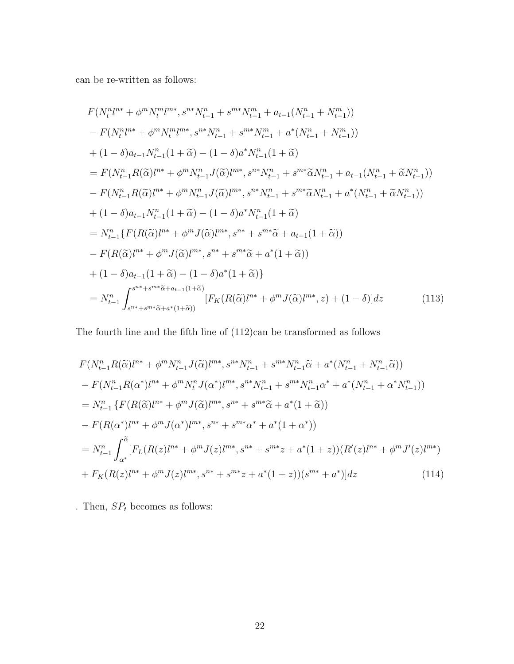can be re-written as follows:

$$
F(N_t^n l^{n*} + \phi^m N_t^m l^{m*}, s^{n*} N_{t-1}^n + s^{m*} N_{t-1}^m + a_{t-1}(N_{t-1}^n + N_{t-1}^m))
$$
  
\n
$$
- F(N_t^n l^{n*} + \phi^m N_t^m l^{m*}, s^{n*} N_{t-1}^n + s^{m*} N_{t-1}^m + a^* (N_{t-1}^n + N_{t-1}^m))
$$
  
\n
$$
+ (1 - \delta)a_{t-1} N_{t-1}^n (1 + \tilde{\alpha}) - (1 - \delta)a^* N_{t-1}^n (1 + \tilde{\alpha})
$$
  
\n
$$
= F(N_{t-1}^n R(\tilde{\alpha}) l^{n*} + \phi^m N_{t-1}^n J(\tilde{\alpha}) l^{m*}, s^{n*} N_{t-1}^n + s^{m*} \tilde{\alpha} N_{t-1}^n + a_{t-1}(N_{t-1}^n + \tilde{\alpha} N_{t-1}^n))
$$
  
\n
$$
- F(N_{t-1}^n R(\tilde{\alpha}) l^{n*} + \phi^m N_{t-1}^n J(\tilde{\alpha}) l^{m*}, s^{n*} N_{t-1}^n + s^{m*} \tilde{\alpha} N_{t-1}^n + a^* (N_{t-1}^n + \tilde{\alpha} N_{t-1}^n))
$$
  
\n
$$
+ (1 - \delta)a_{t-1} N_{t-1}^n (1 + \tilde{\alpha}) - (1 - \delta)a^* N_{t-1}^n (1 + \tilde{\alpha})
$$
  
\n
$$
= N_{t-1}^n \{ F(R(\tilde{\alpha}) l^{n*} + \phi^m J(\tilde{\alpha}) l^{m*}, s^{n*} + s^{m*} \tilde{\alpha} + a_{t-1}(1 + \tilde{\alpha}))
$$
  
\n
$$
- F(R(\tilde{\alpha}) l^{n*} + \phi^m J(\tilde{\alpha}) l^{m*}, s^{n*} + s^{m*} \tilde{\alpha} + a^* (1 + \tilde{\alpha}))
$$
  
\n
$$
+ (1 - \delta)a_{t-1}(1 + \tilde{\alpha}) - (1 - \delta)a^*(1 + \tilde{\alpha})\}
$$
  
\n

The fourth line and the fifth line of  $(112)$ can be transformed as follows

$$
F(N_{t-1}^{n}R(\tilde{\alpha})l^{n*} + \phi^{m}N_{t-1}^{n}J(\tilde{\alpha})l^{m*}, s^{n*}N_{t-1}^{n} + s^{m*}N_{t-1}^{n}\tilde{\alpha} + a^{*}(N_{t-1}^{n} + N_{t-1}^{n}\tilde{\alpha}))
$$
  
\n
$$
- F(N_{t-1}^{n}R(\alpha^{*})l^{n*} + \phi^{m}N_{t}^{n}J(\alpha^{*})l^{m*}, s^{n*}N_{t-1}^{n} + s^{m*}N_{t-1}^{n}\alpha^{*} + a^{*}(N_{t-1}^{n} + \alpha^{*}N_{t-1}^{n}))
$$
  
\n
$$
= N_{t-1}^{n} \{F(R(\tilde{\alpha})l^{n*} + \phi^{m}J(\tilde{\alpha})l^{m*}, s^{n*} + s^{m*}\tilde{\alpha} + a^{*}(1 + \tilde{\alpha}))
$$
  
\n
$$
- F(R(\alpha^{*})l^{n*} + \phi^{m}J(\alpha^{*})l^{m*}, s^{n*} + s^{m*}\alpha^{*} + a^{*}(1 + \alpha^{*}))
$$
  
\n
$$
= N_{t-1}^{n} \int_{\alpha^{*}}^{\tilde{\alpha}} [F_{L}(R(z)l^{n*} + \phi^{m}J(z)l^{m*}, s^{n*} + s^{m*}z + a^{*}(1 + z))(R'(z)l^{n*} + \phi^{m}J'(z)l^{m*})
$$
  
\n
$$
+ F_{K}(R(z)l^{n*} + \phi^{m}J(z)l^{m*}, s^{n*} + s^{m*}z + a^{*}(1 + z))(s^{m*} + a^{*})]dz
$$
\n(114)

. Then,  $\mathcal{S}P_{t}$  becomes as follows: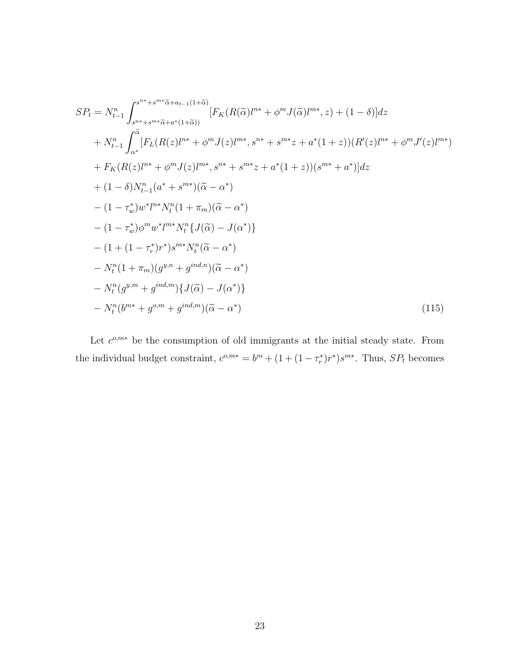$$
SP_{t} = N_{t-1}^{n} \int_{s^{n+}+s^{m+}\tilde{\alpha}+a_{t-1}(1+\tilde{\alpha})}^{s^{n+}+s^{m+}\tilde{\alpha}+a_{t-1}(1+\tilde{\alpha})} [F_{K}(R(\tilde{\alpha})l^{n*} + \phi^{m}J(\tilde{\alpha})l^{m*}, z) + (1 - \delta)]dz + N_{t-1}^{n} \int_{\alpha^{*}}^{\tilde{\alpha}} [F_{L}(R(z)l^{n*} + \phi^{m}J(z)l^{m*}, s^{n*} + s^{m*}z + a^{*}(1+z))(R'(z)l^{n*} + \phi^{m}J'(z)l^{m*}) + F_{K}(R(z)l^{n*} + \phi^{m}J(z)l^{m*}, s^{n*} + s^{m*}z + a^{*}(1+z))(s^{m*} + a^{*})]dz + (1 - \delta)N_{t-1}^{n} (a^{*} + s^{m*})(\tilde{\alpha} - \alpha^{*}) - (1 - \tau_{w}^{*})w^{*}l^{n*}N_{t}^{n} (1 + \pi_{m})(\tilde{\alpha} - \alpha^{*}) - (1 - \tau_{w}^{*})\phi^{m}w^{*}l^{m*}N_{t}^{n} \{J(\tilde{\alpha}) - J(\alpha^{*})\} - (1 + (1 - \tau_{r}^{*})r^{*})s^{m*}N_{t}^{n} (\tilde{\alpha} - \alpha^{*}) - N_{t}^{n} (1 + \pi_{m})(g^{n,n} + g^{ind,n})(\tilde{\alpha} - \alpha^{*}) - N_{t}^{n} (g^{n,m} + g^{ind,m}) \{J(\tilde{\alpha}) - J(\alpha^{*})\} - N_{t}^{n} (b^{m*} + g^{o,m} + g^{ind,m})(\tilde{\alpha} - \alpha^{*})
$$
\n(115)

Let  $c^{o,m*}$  be the consumption of old immigrants at the initial steady state. From the individual budget constraint,  $c^{o,m*} = b^m + (1 + (1 - \tau_r^*)r^*)s^{m*}$ . Thus,  $SP_t$  becomes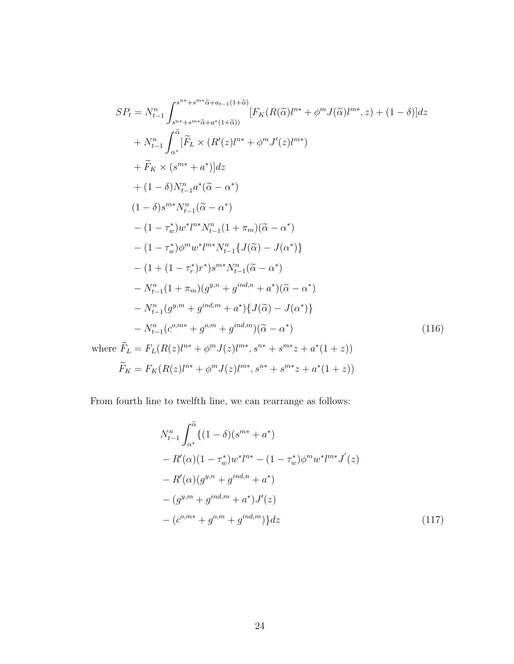$$
SP_{t} = N_{t-1}^{n} \int_{s^{n+}+s^{m+}\tilde{\alpha}+a_{t-1}(1+\tilde{\alpha})}^{s^{n+}+s^{m+}\tilde{\alpha}+a_{t-1}(1+\tilde{\alpha})} [F_{K}(R(\tilde{\alpha})l^{n*} + \phi^{m}J(\tilde{\alpha})l^{m*}, z) + (1 - \delta)]dz + N_{t-1}^{n} \int_{\alpha^{*}}^{\tilde{\alpha}} [\tilde{F}_{L} \times (R'(z)l^{n*} + \phi^{m}J'(z)l^{m*}) + \tilde{F}_{K} \times (s^{m*} + a^{*})]dz + (1 - \delta)N_{t-1}^{n}a^{*}(\tilde{\alpha} - \alpha^{*}) (1 - \delta)s^{m*}N_{t-1}^{n}(\tilde{\alpha} - \alpha^{*}) - (1 - \tau_{w}^{*})w^{*}l^{m*}N_{t-1}^{n}(1 + \pi_{m})(\tilde{\alpha} - \alpha^{*}) - (1 - \tau_{w}^{*})\phi^{m}w^{*}l^{m*}N_{t-1}^{n}\{J(\tilde{\alpha}) - J(\alpha^{*})\} - (1 + (1 - \tau_{r}^{*})r^{*})s^{m*}N_{t-1}^{n}(\tilde{\alpha} - \alpha^{*}) - N_{t-1}^{n}(1 + \pi_{m})(g^{y,n} + g^{ind,n} + a^{*})(\tilde{\alpha} - \alpha^{*}) - N_{t-1}^{n}(g^{y,m} + g^{ind,m} + a^{*})\{J(\tilde{\alpha}) - J(\alpha^{*})\} - N_{t-1}^{n}(c^{o,m*} + g^{o,m} + g^{ind,m})(\tilde{\alpha} - \alpha^{*}) \text{where } \tilde{F}_{L} = F_{L}(R(z)l^{n*} + \phi^{m}J(z)l^{m*}, s^{n*} + s^{m*}z + a^{*}(1 + z)) \tilde{F}_{K} = F_{K}(R(z)l^{n*} + \phi^{m}J(z)l^{m*}, s^{n*} + s^{m*}z + a^{*}(1 + z))
$$

From fourth line to twelfth line, we can rearrange as follows:

$$
N_{t-1}^{n} \int_{\alpha^{*}}^{\widetilde{\alpha}} \{ (1 - \delta)(s^{m*} + a^{*})
$$
  
\n
$$
- R'(\alpha)(1 - \tau_{w}^{*}) w^{*} l^{n*} - (1 - \tau_{w}^{*}) \phi^{m} w^{*} l^{m*} J'(z)
$$
  
\n
$$
- R'(\alpha)(g^{y,n} + g^{ind,n} + a^{*})
$$
  
\n
$$
- (g^{y,m} + g^{ind,m} + a^{*}) J'(z)
$$
  
\n
$$
- (c^{o,m*} + g^{o,m} + g^{ind,m}) \} dz
$$
\n(117)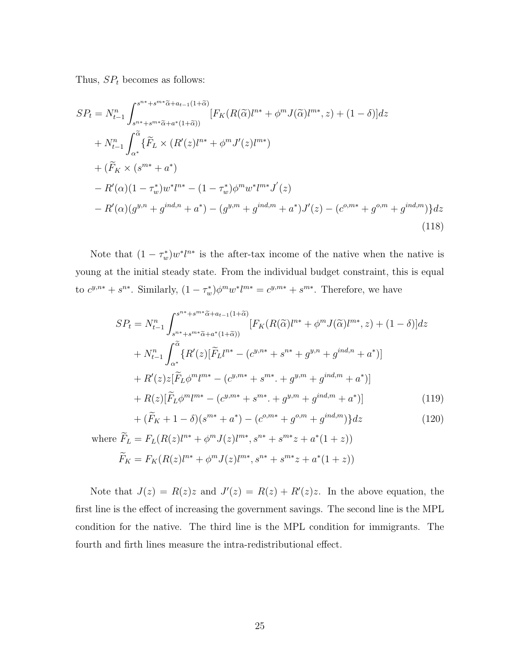Thus,  $SP_t$  becomes as follows:

$$
SP_{t} = N_{t-1}^{n} \int_{s^{n^{*}}+s^{m^{*}}\tilde{\alpha}+a_{t-1}(1+\tilde{\alpha})}^{s^{n^{*}}+s^{m^{*}}\tilde{\alpha}+a_{t-1}(1+\tilde{\alpha})} [F_{K}(R(\tilde{\alpha})l^{n^{*}}+\phi^{m}J(\tilde{\alpha})l^{m^{*}},z) + (1-\delta)]dz + N_{t-1}^{n} \int_{\alpha^{*}}^{\tilde{\alpha}} \{\tilde{F}_{L} \times (R'(z)l^{n^{*}}+\phi^{m}J'(z)l^{m^{*}}) + (\tilde{F}_{K} \times (s^{m^{*}}+a^{*}) - R'(\alpha)(1-\tau_{w}^{*})w^{*}l^{n^{*}} - (1-\tau_{w}^{*})\phi^{m}w^{*}l^{m^{*}}J'(z) - R'(\alpha)(g^{y,n}+g^{ind,n}+a^{*}) - (g^{y,m}+g^{ind,m}+a^{*})J'(z) - (c^{o,m^{*}}+g^{o,m}+g^{ind,m})\}dz
$$
\n(118)

Note that  $(1 - \tau_w^*) w^* l^{n*}$  is the after-tax income of the native when the native is young at the initial steady state. From the individual budget constraint, this is equal to  $c^{y,n*} + s^{n*}$ . Similarly,  $(1 - \tau_w^*) \phi^m w^* l^{m*} = c^{y,m*} + s^{m*}$ . Therefore, we have

$$
SP_{t} = N_{t-1}^{n} \int_{s^{n^{*}}+s^{m^{*}}\tilde{\alpha}+a_{t-1}(1+\tilde{\alpha})}^{s^{n^{*}}+s^{m^{*}}\tilde{\alpha}+a_{t-1}(1+\tilde{\alpha})} [F_{K}(R(\tilde{\alpha})l^{n^{*}}+\phi^{m}J(\tilde{\alpha})l^{m^{*}},z) + (1-\delta)]dz + N_{t-1}^{n} \int_{\alpha^{*}}^{\tilde{\alpha}} \{R'(z)[\tilde{F}_{L}l^{n^{*}}-(c^{y,n^{*}}+s^{n^{*}}+g^{y,n}+g^{ind,n}+a^{*})] + R'(z)z[\tilde{F}_{L}\phi^{m}l^{m^{*}}-(c^{y,m^{*}}+s^{m^{*}}+g^{y,m}+g^{ind,m}+a^{*})] + R(z)[\tilde{F}_{L}\phi^{m}l^{m^{*}}-(c^{y,m^{*}}+s^{m^{*}}+g^{y,m}+g^{ind,m}+a^{*})] + (\tilde{F}_{K}+1-\delta)(s^{m^{*}}+a^{*})-(c^{o,m^{*}}+g^{o,m}+g^{ind,m})\}dz
$$
(120)

where 
$$
\widetilde{F}_L = F_L(R(z)l^{n*} + \phi^m J(z)l^{m*}, s^{n*} + s^{m*}z + a^*(1+z))
$$
  
\n $\widetilde{F}_K = F_K(R(z)l^{n*} + \phi^m J(z)l^{m*}, s^{n*} + s^{m*}z + a^*(1+z))$ 

Note that  $J(z) = R(z)z$  and  $J'(z) = R(z) + R'(z)z$ . In the above equation, the first line is the effect of increasing the government savings. The second line is the MPL condition for the native. The third line is the MPL condition for immigrants. The fourth and firth lines measure the intra-redistributional effect.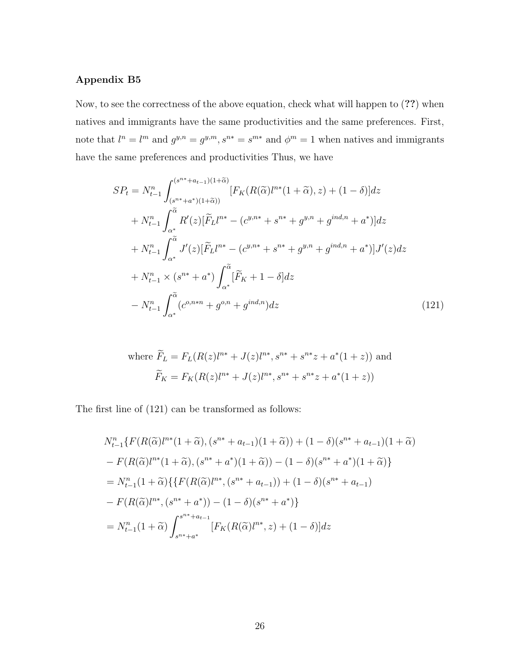## Appendix B5

Now, to see the correctness of the above equation, check what will happen to (??) when natives and immigrants have the same productivities and the same preferences. First, note that  $l^n = l^m$  and  $g^{y,n} = g^{y,m}, s^{n*} = s^{m*}$  and  $\phi^m = 1$  when natives and immigrants have the same preferences and productivities Thus, we have

$$
SP_{t} = N_{t-1}^{n} \int_{(s^{n^{*}}+a_{t-1})(1+\tilde{\alpha})}^{(s^{n^{*}}+a_{t-1})(1+\tilde{\alpha})} [F_{K}(R(\tilde{\alpha})l^{n^{*}}(1+\tilde{\alpha}), z) + (1-\delta)]dz + N_{t-1}^{n} \int_{\alpha^{*}}^{\tilde{\alpha}} R'(z)[\tilde{F}_{L}l^{n^{*}} - (c^{y,n^{*}} + s^{n^{*}} + g^{y,n} + g^{ind,n} + a^{*})]dz + N_{t-1}^{n} \int_{\alpha^{*}}^{\tilde{\alpha}} J'(z)[\tilde{F}_{L}l^{n^{*}} - (c^{y,n^{*}} + s^{n^{*}} + g^{y,n} + g^{ind,n} + a^{*})]J'(z)dz + N_{t-1}^{n} \times (s^{n^{*}} + a^{*}) \int_{\alpha^{*}}^{\tilde{\alpha}} [\tilde{F}_{K} + 1 - \delta]dz - N_{t-1}^{n} \int_{\alpha^{*}}^{\tilde{\alpha}} (c^{o,n^{*}n} + g^{o,n} + g^{ind,n})dz
$$
(121)

where 
$$
\widetilde{F}_L = F_L(R(z)l^{n*} + J(z)l^{n*}, s^{n*} + s^{n*}z + a^*(1+z))
$$
 and  
\n
$$
\widetilde{F}_K = F_K(R(z)l^{n*} + J(z)l^{n*}, s^{n*} + s^{n*}z + a^*(1+z))
$$

The first line of (121) can be transformed as follows:

$$
N_{t-1}^{n} \{ F(R(\tilde{\alpha})l^{n*}(1+\tilde{\alpha}), (s^{n*}+a_{t-1})(1+\tilde{\alpha})) + (1-\delta)(s^{n*}+a_{t-1})(1+\tilde{\alpha})
$$
  
\n
$$
- F(R(\tilde{\alpha})l^{n*}(1+\tilde{\alpha}), (s^{n*}+a^{*})(1+\tilde{\alpha})) - (1-\delta)(s^{n*}+a^{*})(1+\tilde{\alpha}) \}
$$
  
\n
$$
= N_{t-1}^{n} (1+\tilde{\alpha}) \{ \{ F(R(\tilde{\alpha})l^{n*}, (s^{n*}+a_{t-1})) + (1-\delta)(s^{n*}+a_{t-1})
$$
  
\n
$$
- F(R(\tilde{\alpha})l^{n*}, (s^{n*}+a^{*})) - (1-\delta)(s^{n*}+a^{*}) \}
$$
  
\n
$$
= N_{t-1}^{n} (1+\tilde{\alpha}) \int_{s^{n*}+a^{*}}^{s^{n*}+a_{t-1}} [F_K(R(\tilde{\alpha})l^{n*}, z) + (1-\delta)] dz
$$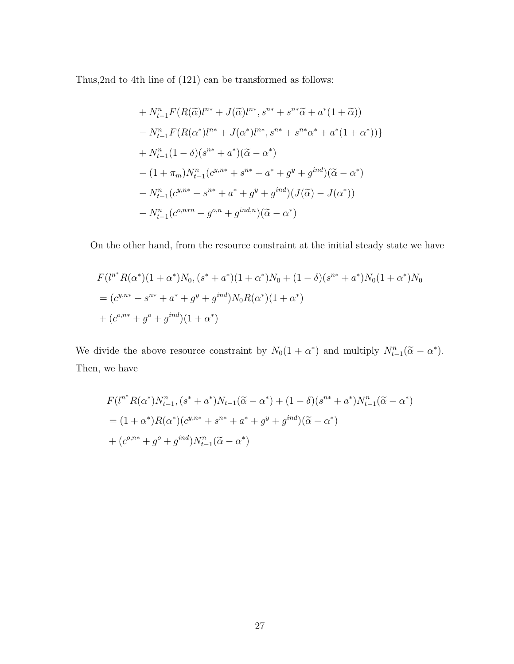Thus,2nd to 4th line of (121) can be transformed as follows:

+ 
$$
N_{t-1}^n F(R(\tilde{\alpha})l^{n*} + J(\tilde{\alpha})l^{n*}, s^{n*} + s^{n*}\tilde{\alpha} + a^*(1 + \tilde{\alpha}))
$$
  
\n-  $N_{t-1}^n F(R(\alpha^*)l^{n*} + J(\alpha^*)l^{n*}, s^{n*} + s^{n*}\alpha^* + a^*(1 + \alpha^*))$   
\n+  $N_{t-1}^n (1 - \delta)(s^{n*} + a^*)(\tilde{\alpha} - \alpha^*)$   
\n-  $(1 + \pi_m)N_{t-1}^n (c^{y,n*} + s^{n*} + a^* + g^y + g^{ind})(\tilde{\alpha} - \alpha^*)$   
\n-  $N_{t-1}^n (c^{y,n*} + s^{n*} + a^* + g^y + g^{ind})(J(\tilde{\alpha}) - J(\alpha^*))$   
\n-  $N_{t-1}^n (c^{o,n*n} + g^{o,n} + g^{ind,n})(\tilde{\alpha} - \alpha^*)$ 

On the other hand, from the resource constraint at the initial steady state we have

$$
F(l^{n^*}R(\alpha^*)(1+\alpha^*)N_0, (s^*+a^*)(1+\alpha^*)N_0 + (1-\delta)(s^{n^*}+a^*)N_0(1+\alpha^*)N_0
$$
  
=  $(c^{y,n^*}+s^{n^*}+a^*+g^y+g^{ind})N_0R(\alpha^*)(1+\alpha^*)$   
+  $(c^{o,n^*}+g^o+g^{ind})(1+\alpha^*)$ 

We divide the above resource constraint by  $N_0(1 + \alpha^*)$  and multiply  $N_{t-1}^n(\tilde{\alpha} - \alpha^*)$ . Then, we have

$$
F(l^{n^*}R(\alpha^*)N_{t-1}^n, (s^* + a^*)N_{t-1}(\tilde{\alpha} - \alpha^*) + (1 - \delta)(s^{n^*} + a^*)N_{t-1}^n(\tilde{\alpha} - \alpha^*)
$$
  
=  $(1 + \alpha^*)R(\alpha^*)(c^{y,n^*} + s^{n^*} + a^* + g^y + g^{ind})(\tilde{\alpha} - \alpha^*)$   
+  $(c^{o,n^*} + g^o + g^{ind})N_{t-1}^n(\tilde{\alpha} - \alpha^*)$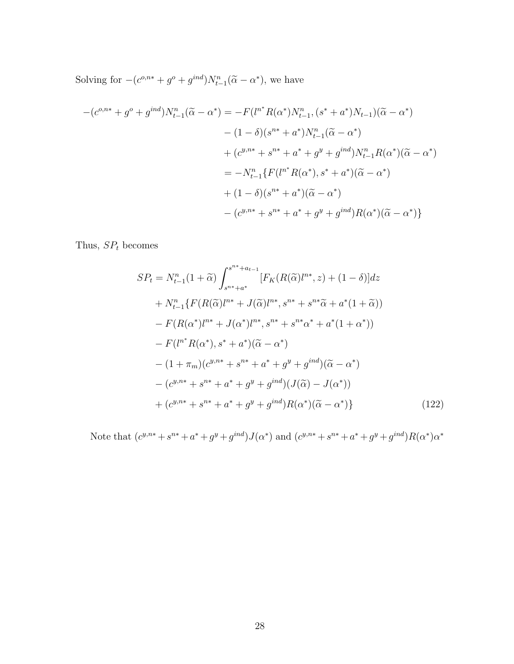Solving for  $-(c^{o,n*} + g^o + g^{ind})N_{t-1}^n(\tilde{\alpha} - \alpha^*)$ , we have

$$
-(c^{o,n*} + g^o + g^{ind})N_{t-1}^n(\tilde{\alpha} - \alpha^*) = -F(l^{n*}R(\alpha^*)N_{t-1}^n, (s^* + a^*)N_{t-1})(\tilde{\alpha} - \alpha^*)
$$
  

$$
- (1 - \delta)(s^{n*} + a^*)N_{t-1}^n(\tilde{\alpha} - \alpha^*)
$$
  

$$
+ (c^{y,n*} + s^{n*} + a^* + g^y + g^{ind})N_{t-1}^nR(\alpha^*)(\tilde{\alpha} - \alpha^*)
$$
  

$$
= -N_{t-1}^n\{F(l^{n*}R(\alpha^*), s^* + a^*)(\tilde{\alpha} - \alpha^*)
$$
  

$$
+ (1 - \delta)(s^{n*} + a^*)(\tilde{\alpha} - \alpha^*)
$$
  

$$
- (c^{y,n*} + s^{n*} + a^* + g^y + g^{ind})R(\alpha^*)(\tilde{\alpha} - \alpha^*)\}
$$

Thus,  $SP<sub>t</sub>$  becomes

$$
SP_{t} = N_{t-1}^{n}(1+\tilde{\alpha}) \int_{s^{n^{*}}+a_{t-1}}^{s^{n^{*}}+a_{t-1}} [F_{K}(R(\tilde{\alpha})l^{n^{*}}, z) + (1-\delta)]dz
$$
  
+  $N_{t-1}^{n} \{ F(R(\tilde{\alpha})l^{n^{*}} + J(\tilde{\alpha})l^{n^{*}}, s^{n^{*}} + s^{n^{*}}\tilde{\alpha} + a^{*}(1+\tilde{\alpha}))$   
-  $F(R(\alpha^{*})l^{n^{*}} + J(\alpha^{*})l^{n^{*}}, s^{n^{*}} + s^{n^{*}}\alpha^{*} + a^{*}(1+\alpha^{*}))$   
-  $F(l^{n^{*}}R(\alpha^{*}), s^{*} + a^{*})(\tilde{\alpha} - \alpha^{*})$   
-  $(1+\pi_{m})(c^{y,n^{*}} + s^{n^{*}} + a^{*} + g^{y} + g^{ind})(\tilde{\alpha} - \alpha^{*})$   
-  $(c^{y,n^{*}} + s^{n^{*}} + a^{*} + g^{y} + g^{ind})(J(\tilde{\alpha}) - J(\alpha^{*}))$   
+  $(c^{y,n^{*}} + s^{n^{*}} + a^{*} + g^{y} + g^{ind})R(\alpha^{*})(\tilde{\alpha} - \alpha^{*})$  (122)

Note that  $(c^{y,n*} + s^{n*} + a^* + g^y + g^{ind})J(\alpha^*)$  and  $(c^{y,n*} + s^{n*} + a^* + g^y + g^{ind})R(\alpha^*)\alpha^*$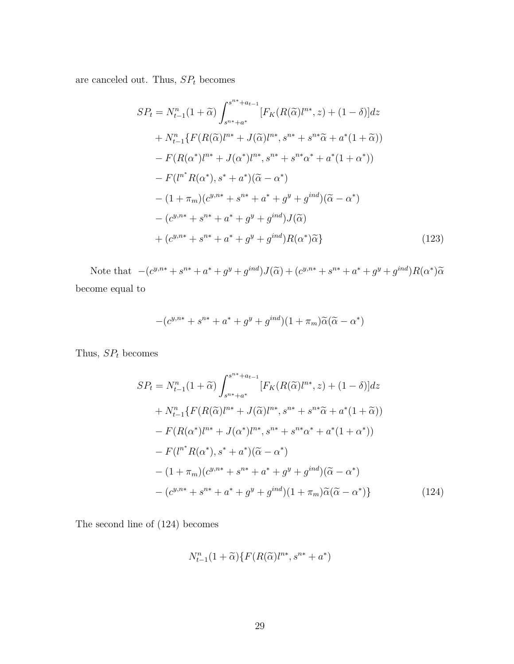are canceled out. Thus,  ${\cal SP}_t$  becomes

$$
SP_{t} = N_{t-1}^{n}(1+\tilde{\alpha}) \int_{s^{n^{*}}+a_{t-1}}^{s^{n^{*}}+a_{t-1}} [F_{K}(R(\tilde{\alpha})l^{n^{*}}, z) + (1-\delta)]dz
$$
  
+  $N_{t-1}^{n} \{ F(R(\tilde{\alpha})l^{n^{*}} + J(\tilde{\alpha})l^{n^{*}}, s^{n^{*}} + s^{n^{*}}\tilde{\alpha} + a^{*}(1+\tilde{\alpha}))$   
-  $F(R(\alpha^{*})l^{n^{*}} + J(\alpha^{*})l^{n^{*}}, s^{n^{*}} + s^{n^{*}}\alpha^{*} + a^{*}(1+\alpha^{*}))$   
-  $F(l^{n^{*}}R(\alpha^{*}), s^{*} + a^{*})(\tilde{\alpha} - \alpha^{*})$   
-  $(1+\pi_{m})(c^{y,n^{*}} + s^{n^{*}} + a^{*} + g^{y} + g^{ind})(\tilde{\alpha} - \alpha^{*})$   
-  $(c^{y,n^{*}} + s^{n^{*}} + a^{*} + g^{y} + g^{ind})J(\tilde{\alpha})$   
+  $(c^{y,n^{*}} + s^{n^{*}} + a^{*} + g^{y} + g^{ind})R(\alpha^{*})\tilde{\alpha}$  (123)

Note that  $-(c^{y,n*} + s^{n*} + a^* + g^y + g^{ind})J(\tilde{\alpha}) + (c^{y,n*} + s^{n*} + a^* + g^y + g^{ind})R(\alpha^*)\tilde{\alpha}$ become equal to

$$
-(c^{y,n*} + s^{n*} + a^* + g^y + g^{ind})(1 + \pi_m)\widetilde{\alpha}(\widetilde{\alpha} - \alpha^*)
$$

Thus,  $SP<sub>t</sub>$  becomes

$$
SP_{t} = N_{t-1}^{n}(1+\tilde{\alpha}) \int_{s^{n^{*}}+a_{t-1}}^{s^{n^{*}}+a_{t-1}} [F_{K}(R(\tilde{\alpha})l^{n^{*}}, z) + (1-\delta)]dz
$$
  
+ 
$$
N_{t-1}^{n} \{ F(R(\tilde{\alpha})l^{n^{*}} + J(\tilde{\alpha})l^{n^{*}}, s^{n^{*}} + s^{n^{*}}\tilde{\alpha} + a^{*}(1+\tilde{\alpha}))
$$
  
- 
$$
F(R(\alpha^{*})l^{n^{*}} + J(\alpha^{*})l^{n^{*}}, s^{n^{*}} + s^{n^{*}}\alpha^{*} + a^{*}(1+\alpha^{*}))
$$
  
- 
$$
F(l^{n^{*}}R(\alpha^{*}), s^{*} + a^{*})(\tilde{\alpha} - \alpha^{*})
$$
  
- 
$$
(1 + \pi_{m})(c^{y,n^{*}} + s^{n^{*}} + a^{*} + g^{y} + g^{ind})(\tilde{\alpha} - \alpha^{*})
$$
  
- 
$$
(c^{y,n^{*}} + s^{n^{*}} + a^{*} + g^{y} + g^{ind})(1 + \pi_{m})\tilde{\alpha}(\tilde{\alpha} - \alpha^{*})
$$
 (124)

The second line of (124) becomes

$$
N_{t-1}^n(1+\widetilde{\alpha})\{F(R(\widetilde{\alpha})l^{n*},s^{n*}+a^*)
$$